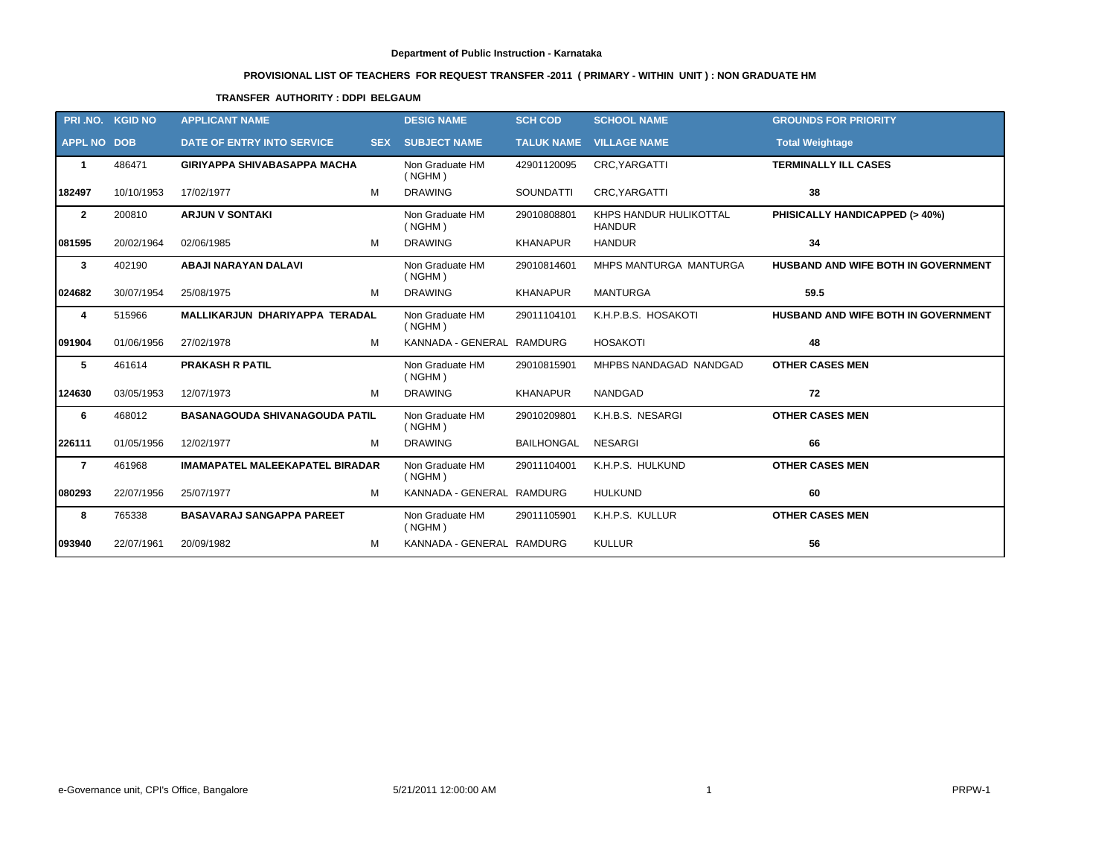# **PROVISIONAL LIST OF TEACHERS FOR REQUEST TRANSFER -2011 ( PRIMARY - WITHIN UNIT ) : NON GRADUATE HM**

# **TRANSFER AUTHORITY : DDPI BELGAUM**

|                    | PRI.NO. KGID NO | <b>APPLICANT NAME</b>                  |   | <b>DESIG NAME</b>          | <b>SCH COD</b>    | <b>SCHOOL NAME</b>                      | <b>GROUNDS FOR PRIORITY</b>         |
|--------------------|-----------------|----------------------------------------|---|----------------------------|-------------------|-----------------------------------------|-------------------------------------|
| <b>APPL NO DOB</b> |                 | DATE OF ENTRY INTO SERVICE             |   | <b>SEX SUBJECT NAME</b>    |                   | <b>TALUK NAME VILLAGE NAME</b>          | <b>Total Weightage</b>              |
| $\mathbf 1$        | 486471          | <b>GIRIYAPPA SHIVABASAPPA MACHA</b>    |   | Non Graduate HM<br>( NGHM) | 42901120095       | CRC, YARGATTI                           | <b>TERMINALLY ILL CASES</b>         |
| 182497             | 10/10/1953      | 17/02/1977                             | M | <b>DRAWING</b>             | <b>SOUNDATTI</b>  | CRC, YARGATTI                           | 38                                  |
| $\overline{2}$     | 200810          | <b>ARJUN V SONTAKI</b>                 |   | Non Graduate HM<br>( NGHM) | 29010808801       | KHPS HANDUR HULIKOTTAL<br><b>HANDUR</b> | PHISICALLY HANDICAPPED (> 40%)      |
| 081595             | 20/02/1964      | 02/06/1985                             | M | <b>DRAWING</b>             | <b>KHANAPUR</b>   | <b>HANDUR</b>                           | 34                                  |
| $\mathbf{3}$       | 402190          | <b>ABAJI NARAYAN DALAVI</b>            |   | Non Graduate HM<br>( NGHM) | 29010814601       | MHPS MANTURGA MANTURGA                  | HUSBAND AND WIFE BOTH IN GOVERNMENT |
| 024682             | 30/07/1954      | 25/08/1975                             | м | <b>DRAWING</b>             | <b>KHANAPUR</b>   | <b>MANTURGA</b>                         | 59.5                                |
| 4                  | 515966          | MALLIKARJUN DHARIYAPPA TERADAL         |   | Non Graduate HM<br>(NGHM)  | 29011104101       | K.H.P.B.S. HOSAKOTI                     | HUSBAND AND WIFE BOTH IN GOVERNMENT |
| 091904             | 01/06/1956      | 27/02/1978                             | M | KANNADA - GENERAL RAMDURG  |                   | <b>HOSAKOTI</b>                         | 48                                  |
| 5                  | 461614          | <b>PRAKASH R PATIL</b>                 |   | Non Graduate HM<br>( NGHM) | 29010815901       | MHPBS NANDAGAD NANDGAD                  | <b>OTHER CASES MEN</b>              |
| 124630             | 03/05/1953      | 12/07/1973                             | М | <b>DRAWING</b>             | <b>KHANAPUR</b>   | <b>NANDGAD</b>                          | 72                                  |
| 6                  | 468012          | <b>BASANAGOUDA SHIVANAGOUDA PATIL</b>  |   | Non Graduate HM<br>( NGHM) | 29010209801       | K.H.B.S. NESARGI                        | <b>OTHER CASES MEN</b>              |
| 226111             | 01/05/1956      | 12/02/1977                             | M | <b>DRAWING</b>             | <b>BAILHONGAL</b> | <b>NESARGI</b>                          | 66                                  |
| $\overline{7}$     | 461968          | <b>IMAMAPATEL MALEEKAPATEL BIRADAR</b> |   | Non Graduate HM<br>( NGHM) | 29011104001       | K.H.P.S. HULKUND                        | <b>OTHER CASES MEN</b>              |
| 080293             | 22/07/1956      | 25/07/1977                             | M | KANNADA - GENERAL RAMDURG  |                   | <b>HULKUND</b>                          | 60                                  |
| 8                  | 765338          | <b>BASAVARAJ SANGAPPA PAREET</b>       |   | Non Graduate HM<br>( NGHM) | 29011105901       | K.H.P.S. KULLUR                         | <b>OTHER CASES MEN</b>              |
| 093940             | 22/07/1961      | 20/09/1982                             | М | KANNADA - GENERAL RAMDURG  |                   | <b>KULLUR</b>                           | 56                                  |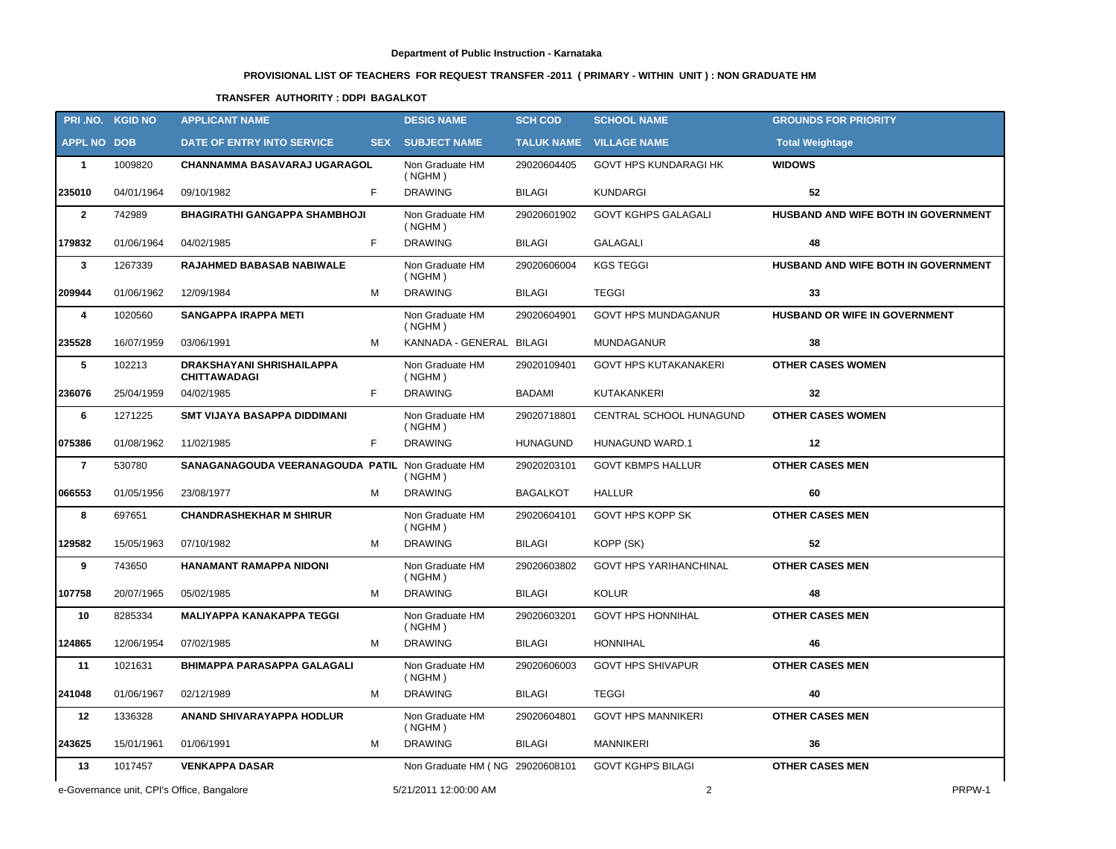# **PROVISIONAL LIST OF TEACHERS FOR REQUEST TRANSFER -2011 ( PRIMARY - WITHIN UNIT ) : NON GRADUATE HM**

# **TRANSFER AUTHORITY : DDPI BAGALKOT**

|                    | PRI.NO. KGID NO | <b>APPLICANT NAME</b>                            |   | <b>DESIG NAME</b>               | <b>SCH COD</b>  | <b>SCHOOL NAME</b>             | <b>GROUNDS FOR PRIORITY</b>         |
|--------------------|-----------------|--------------------------------------------------|---|---------------------------------|-----------------|--------------------------------|-------------------------------------|
| <b>APPL NO DOB</b> |                 | DATE OF ENTRY INTO SERVICE                       |   | <b>SEX SUBJECT NAME</b>         |                 | <b>TALUK NAME VILLAGE NAME</b> | <b>Total Weightage</b>              |
| $\overline{1}$     | 1009820         | <b>CHANNAMMA BASAVARAJ UGARAGOL</b>              |   | Non Graduate HM<br>(NGHM)       | 29020604405     | GOVT HPS KUNDARAGI HK          | <b>WIDOWS</b>                       |
| 235010             | 04/01/1964      | 09/10/1982                                       | F | <b>DRAWING</b>                  | BILAGI          | <b>KUNDARGI</b>                | 52                                  |
| $\overline{2}$     | 742989          | <b>BHAGIRATHI GANGAPPA SHAMBHOJI</b>             |   | Non Graduate HM<br>(NGHM)       | 29020601902     | <b>GOVT KGHPS GALAGALI</b>     | HUSBAND AND WIFE BOTH IN GOVERNMENT |
| 179832             | 01/06/1964      | 04/02/1985                                       | F | <b>DRAWING</b>                  | <b>BILAGI</b>   | GALAGALI                       | 48                                  |
| $\mathbf{3}$       | 1267339         | RAJAHMED BABASAB NABIWALE                        |   | Non Graduate HM<br>( NGHM)      | 29020606004     | <b>KGS TEGGI</b>               | HUSBAND AND WIFE BOTH IN GOVERNMENT |
| 209944             | 01/06/1962      | 12/09/1984                                       | м | <b>DRAWING</b>                  | <b>BILAGI</b>   | <b>TEGGI</b>                   | 33                                  |
| 4                  | 1020560         | <b>SANGAPPA IRAPPA METI</b>                      |   | Non Graduate HM<br>( NGHM)      | 29020604901     | <b>GOVT HPS MUNDAGANUR</b>     | HUSBAND OR WIFE IN GOVERNMENT       |
| 235528             | 16/07/1959      | 03/06/1991                                       | м | KANNADA - GENERAL BILAGI        |                 | <b>MUNDAGANUR</b>              | 38                                  |
| 5                  | 102213          | DRAKSHAYANI SHRISHAILAPPA<br><b>CHITTAWADAGI</b> |   | Non Graduate HM<br>( NGHM)      | 29020109401     | <b>GOVT HPS KUTAKANAKERI</b>   | <b>OTHER CASES WOMEN</b>            |
| 236076             | 25/04/1959      | 04/02/1985                                       | F | <b>DRAWING</b>                  | <b>BADAMI</b>   | KUTAKANKERI                    | 32                                  |
| 6                  | 1271225         | <b>SMT VIJAYA BASAPPA DIDDIMANI</b>              |   | Non Graduate HM<br>(NGHM)       | 29020718801     | CENTRAL SCHOOL HUNAGUND        | <b>OTHER CASES WOMEN</b>            |
| 075386             | 01/08/1962      | 11/02/1985                                       | F | <b>DRAWING</b>                  | <b>HUNAGUND</b> | <b>HUNAGUND WARD.1</b>         | 12                                  |
| $\overline{7}$     | 530780          | SANAGANAGOUDA VEERANAGOUDA PATIL Non Graduate HM |   | ( NGHM)                         | 29020203101     | <b>GOVT KBMPS HALLUR</b>       | <b>OTHER CASES MEN</b>              |
| 066553             | 01/05/1956      | 23/08/1977                                       | м | <b>DRAWING</b>                  | <b>BAGALKOT</b> | <b>HALLUR</b>                  | 60                                  |
| 8                  | 697651          | <b>CHANDRASHEKHAR M SHIRUR</b>                   |   | Non Graduate HM<br>( NGHM)      | 29020604101     | <b>GOVT HPS KOPP SK</b>        | <b>OTHER CASES MEN</b>              |
| 129582             | 15/05/1963      | 07/10/1982                                       | м | <b>DRAWING</b>                  | <b>BILAGI</b>   | KOPP (SK)                      | 52                                  |
| 9                  | 743650          | <b>HANAMANT RAMAPPA NIDONI</b>                   |   | Non Graduate HM<br>( NGHM)      | 29020603802     | <b>GOVT HPS YARIHANCHINAL</b>  | <b>OTHER CASES MEN</b>              |
| 107758             | 20/07/1965      | 05/02/1985                                       | м | <b>DRAWING</b>                  | <b>BILAGI</b>   | <b>KOLUR</b>                   | 48                                  |
| 10                 | 8285334         | <b>MALIYAPPA KANAKAPPA TEGGI</b>                 |   | Non Graduate HM<br>( NGHM)      | 29020603201     | <b>GOVT HPS HONNIHAL</b>       | <b>OTHER CASES MEN</b>              |
| 124865             | 12/06/1954      | 07/02/1985                                       | м | <b>DRAWING</b>                  | <b>BILAGI</b>   | <b>HONNIHAL</b>                | 46                                  |
| 11                 | 1021631         | BHIMAPPA PARASAPPA GALAGALI                      |   | Non Graduate HM<br>(NGHM)       | 29020606003     | <b>GOVT HPS SHIVAPUR</b>       | <b>OTHER CASES MEN</b>              |
| 241048             | 01/06/1967      | 02/12/1989                                       | м | <b>DRAWING</b>                  | BILAGI          | <b>TEGGI</b>                   | 40                                  |
| 12                 | 1336328         | ANAND SHIVARAYAPPA HODLUR                        |   | Non Graduate HM<br>(NGHM)       | 29020604801     | <b>GOVT HPS MANNIKERI</b>      | <b>OTHER CASES MEN</b>              |
| 243625             | 15/01/1961      | 01/06/1991                                       | М | <b>DRAWING</b>                  | BILAGI          | <b>MANNIKERI</b>               | 36                                  |
| 13                 | 1017457         | <b>VENKAPPA DASAR</b>                            |   | Non Graduate HM (NG 29020608101 |                 | <b>GOVT KGHPS BILAGI</b>       | <b>OTHER CASES MEN</b>              |
|                    |                 | e-Governance unit, CPI's Office, Bangalore       |   | 5/21/2011 12:00:00 AM           |                 | $\overline{2}$                 | PRPW-1                              |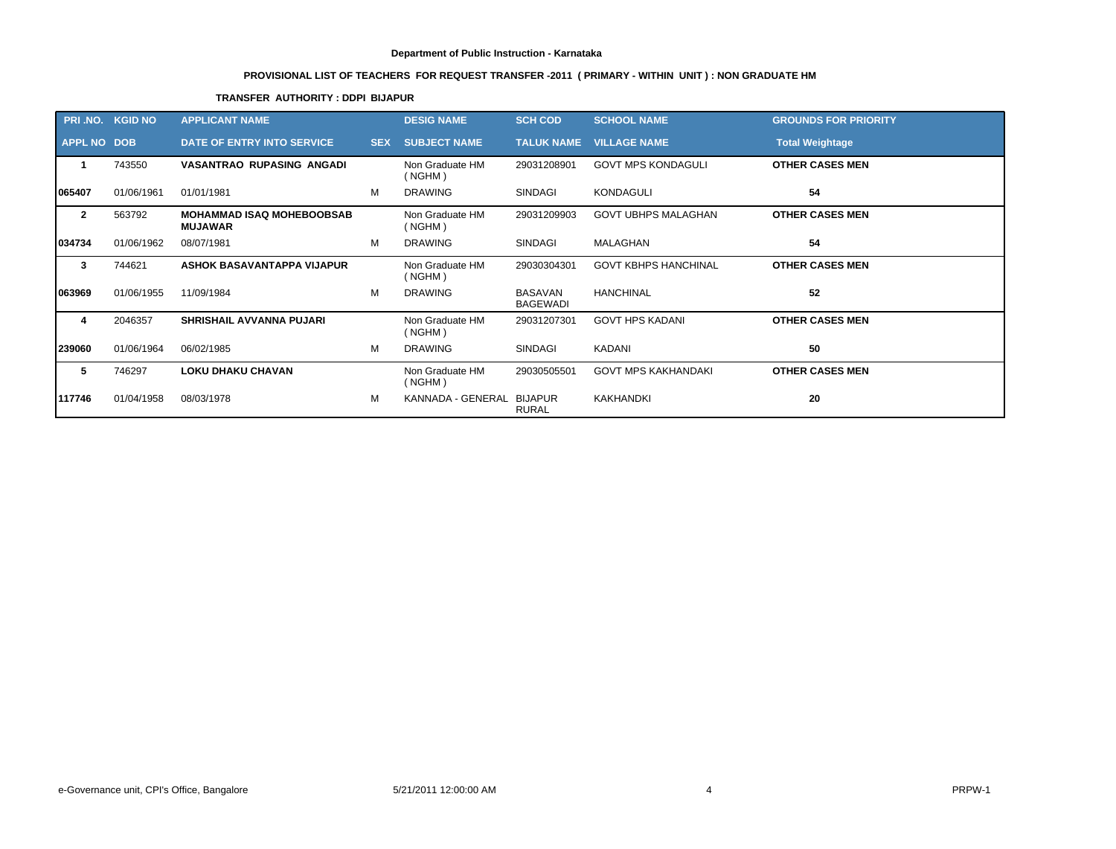# **PROVISIONAL LIST OF TEACHERS FOR REQUEST TRANSFER -2011 ( PRIMARY - WITHIN UNIT ) : NON GRADUATE HM**

# **TRANSFER AUTHORITY : DDPI BIJAPUR**

| PRI .NO.           | <b>KGID NO</b> | <b>APPLICANT NAME</b>                              |            | <b>DESIG NAME</b>         | <b>SCH COD</b>                    | <b>SCHOOL NAME</b>          | <b>GROUNDS FOR PRIORITY</b> |
|--------------------|----------------|----------------------------------------------------|------------|---------------------------|-----------------------------------|-----------------------------|-----------------------------|
| <b>APPL NO DOB</b> |                | <b>DATE OF ENTRY INTO SERVICE</b>                  | <b>SEX</b> | <b>SUBJECT NAME</b>       | <b>TALUK NAME</b>                 | <b>VILLAGE NAME</b>         | <b>Total Weightage</b>      |
|                    | 743550         | <b>VASANTRAO RUPASING ANGADI</b>                   |            | Non Graduate HM<br>(NGHM) | 29031208901                       | <b>GOVT MPS KONDAGULI</b>   | <b>OTHER CASES MEN</b>      |
| 1065407            | 01/06/1961     | 01/01/1981                                         | м          | <b>DRAWING</b>            | <b>SINDAGI</b>                    | <b>KONDAGULI</b>            | 54                          |
| $\mathbf{2}$       | 563792         | <b>MOHAMMAD ISAQ MOHEBOOBSAB</b><br><b>MUJAWAR</b> |            | Non Graduate HM<br>(NGHM) | 29031209903                       | <b>GOVT UBHPS MALAGHAN</b>  | <b>OTHER CASES MEN</b>      |
| 034734             | 01/06/1962     | 08/07/1981                                         | м          | <b>DRAWING</b>            | <b>SINDAGI</b>                    | MALAGHAN                    | 54                          |
| 3                  | 744621         | <b>ASHOK BASAVANTAPPA VIJAPUR</b>                  |            | Non Graduate HM<br>(NGHM) | 29030304301                       | <b>GOVT KBHPS HANCHINAL</b> | <b>OTHER CASES MEN</b>      |
| 063969             | 01/06/1955     | 11/09/1984                                         | м          | <b>DRAWING</b>            | <b>BASAVAN</b><br><b>BAGEWADI</b> | <b>HANCHINAL</b>            | 52                          |
| 4                  | 2046357        | <b>SHRISHAIL AVVANNA PUJARI</b>                    |            | Non Graduate HM<br>(NGHM) | 29031207301                       | <b>GOVT HPS KADANI</b>      | <b>OTHER CASES MEN</b>      |
| 239060             | 01/06/1964     | 06/02/1985                                         | м          | <b>DRAWING</b>            | <b>SINDAGI</b>                    | <b>KADANI</b>               | 50                          |
| 5                  | 746297         | <b>LOKU DHAKU CHAVAN</b>                           |            | Non Graduate HM<br>(NGHM) | 29030505501                       | <b>GOVT MPS KAKHANDAKI</b>  | <b>OTHER CASES MEN</b>      |
| 117746             | 01/04/1958     | 08/03/1978                                         | м          | KANNADA - GENERAL         | BIJAPUR<br><b>RURAL</b>           | <b>KAKHANDKI</b>            | 20                          |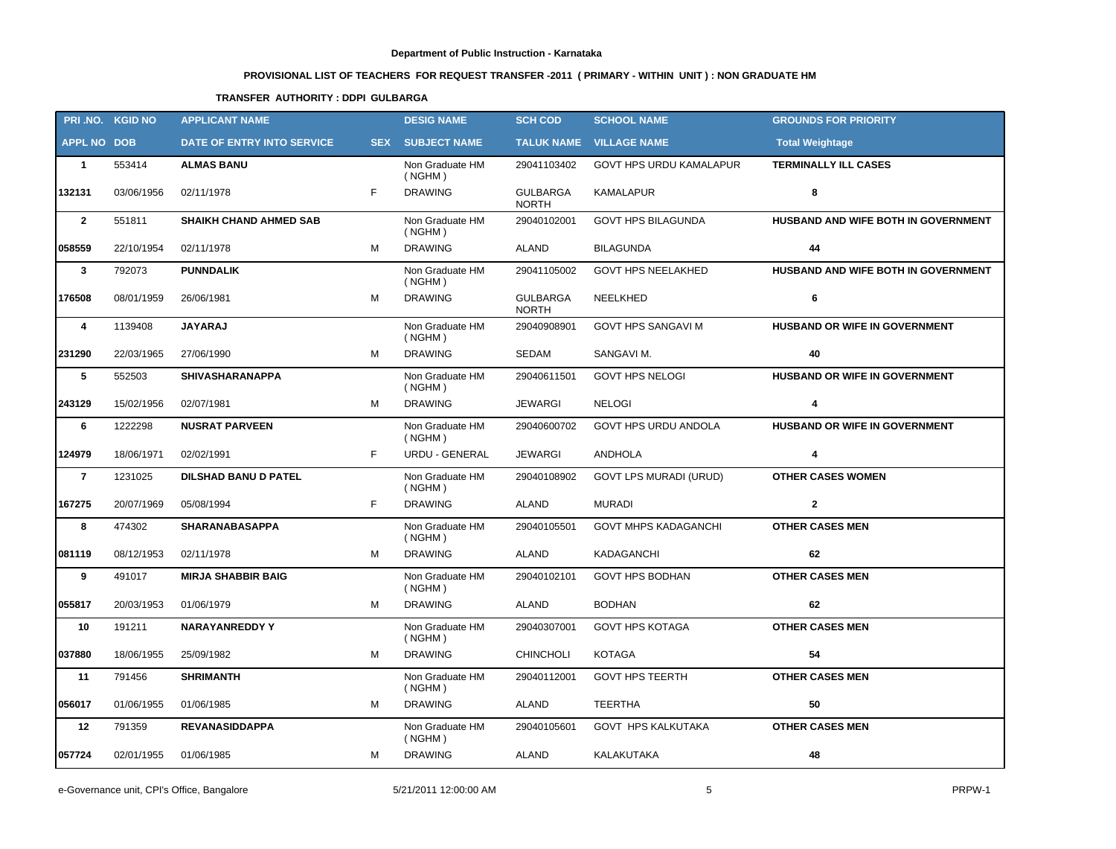# **PROVISIONAL LIST OF TEACHERS FOR REQUEST TRANSFER -2011 ( PRIMARY - WITHIN UNIT ) : NON GRADUATE HM**

# **TRANSFER AUTHORITY : DDPI GULBARGA**

|                    | PRI.NO. KGID NO | <b>APPLICANT NAME</b>         |   | <b>DESIG NAME</b>          | <b>SCH COD</b>                  | <b>SCHOOL NAME</b>             | <b>GROUNDS FOR PRIORITY</b>          |
|--------------------|-----------------|-------------------------------|---|----------------------------|---------------------------------|--------------------------------|--------------------------------------|
| <b>APPL NO DOB</b> |                 | DATE OF ENTRY INTO SERVICE    |   | <b>SEX SUBJECT NAME</b>    |                                 | <b>TALUK NAME VILLAGE NAME</b> | <b>Total Weightage</b>               |
| $\mathbf{1}$       | 553414          | <b>ALMAS BANU</b>             |   | Non Graduate HM<br>( NGHM) | 29041103402                     | GOVT HPS URDU KAMALAPUR        | <b>TERMINALLY ILL CASES</b>          |
| 132131             | 03/06/1956      | 02/11/1978                    | F | <b>DRAWING</b>             | <b>GULBARGA</b><br><b>NORTH</b> | <b>KAMALAPUR</b>               | 8                                    |
| $\overline{2}$     | 551811          | <b>SHAIKH CHAND AHMED SAB</b> |   | Non Graduate HM<br>( NGHM) | 29040102001                     | <b>GOVT HPS BILAGUNDA</b>      | HUSBAND AND WIFE BOTH IN GOVERNMENT  |
| 058559             | 22/10/1954      | 02/11/1978                    | М | <b>DRAWING</b>             | <b>ALAND</b>                    | <b>BILAGUNDA</b>               | 44                                   |
| $\mathbf{3}$       | 792073          | <b>PUNNDALIK</b>              |   | Non Graduate HM<br>( NGHM) | 29041105002                     | <b>GOVT HPS NEELAKHED</b>      | HUSBAND AND WIFE BOTH IN GOVERNMENT  |
| 176508             | 08/01/1959      | 26/06/1981                    | M | <b>DRAWING</b>             | <b>GULBARGA</b><br><b>NORTH</b> | NEELKHED                       | 6                                    |
| 4                  | 1139408         | <b>JAYARAJ</b>                |   | Non Graduate HM<br>( NGHM) | 29040908901                     | <b>GOVT HPS SANGAVI M</b>      | HUSBAND OR WIFE IN GOVERNMENT        |
| 231290             | 22/03/1965      | 27/06/1990                    | M | <b>DRAWING</b>             | SEDAM                           | SANGAVI M.                     | 40                                   |
| 5                  | 552503          | <b>SHIVASHARANAPPA</b>        |   | Non Graduate HM<br>( NGHM) | 29040611501                     | <b>GOVT HPS NELOGI</b>         | <b>HUSBAND OR WIFE IN GOVERNMENT</b> |
| 243129             | 15/02/1956      | 02/07/1981                    | M | <b>DRAWING</b>             | <b>JEWARGI</b>                  | <b>NELOGI</b>                  | 4                                    |
| 6                  | 1222298         | <b>NUSRAT PARVEEN</b>         |   | Non Graduate HM<br>( NGHM) | 29040600702                     | GOVT HPS URDU ANDOLA           | HUSBAND OR WIFE IN GOVERNMENT        |
| 124979             | 18/06/1971      | 02/02/1991                    | F | URDU - GENERAL             | <b>JEWARGI</b>                  | <b>ANDHOLA</b>                 | $\overline{4}$                       |
| $\overline{7}$     | 1231025         | <b>DILSHAD BANU D PATEL</b>   |   | Non Graduate HM<br>( NGHM) | 29040108902                     | <b>GOVT LPS MURADI (URUD)</b>  | <b>OTHER CASES WOMEN</b>             |
| 167275             | 20/07/1969      | 05/08/1994                    | F | <b>DRAWING</b>             | ALAND                           | MURADI                         | $\overline{2}$                       |
| 8                  | 474302          | <b>SHARANABASAPPA</b>         |   | Non Graduate HM<br>( NGHM) | 29040105501                     | <b>GOVT MHPS KADAGANCHI</b>    | <b>OTHER CASES MEN</b>               |
| 081119             | 08/12/1953      | 02/11/1978                    | M | <b>DRAWING</b>             | <b>ALAND</b>                    | KADAGANCHI                     | 62                                   |
| 9                  | 491017          | <b>MIRJA SHABBIR BAIG</b>     |   | Non Graduate HM<br>( NGHM) | 29040102101                     | <b>GOVT HPS BODHAN</b>         | <b>OTHER CASES MEN</b>               |
| 055817             | 20/03/1953      | 01/06/1979                    | м | <b>DRAWING</b>             | <b>ALAND</b>                    | <b>BODHAN</b>                  | 62                                   |
| 10                 | 191211          | <b>NARAYANREDDY Y</b>         |   | Non Graduate HM<br>( NGHM) | 29040307001                     | <b>GOVT HPS KOTAGA</b>         | <b>OTHER CASES MEN</b>               |
| 037880             | 18/06/1955      | 25/09/1982                    | м | <b>DRAWING</b>             | <b>CHINCHOLI</b>                | <b>KOTAGA</b>                  | 54                                   |
| 11                 | 791456          | <b>SHRIMANTH</b>              |   | Non Graduate HM<br>( NGHM) | 29040112001                     | <b>GOVT HPS TEERTH</b>         | <b>OTHER CASES MEN</b>               |
| 056017             | 01/06/1955      | 01/06/1985                    | M | <b>DRAWING</b>             | ALAND                           | <b>TEERTHA</b>                 | 50                                   |
| 12                 | 791359          | <b>REVANASIDDAPPA</b>         |   | Non Graduate HM<br>( NGHM) | 29040105601                     | <b>GOVT HPS KALKUTAKA</b>      | <b>OTHER CASES MEN</b>               |
| 057724             | 02/01/1955      | 01/06/1985                    | м | <b>DRAWING</b>             | ALAND                           | KALAKUTAKA                     | 48                                   |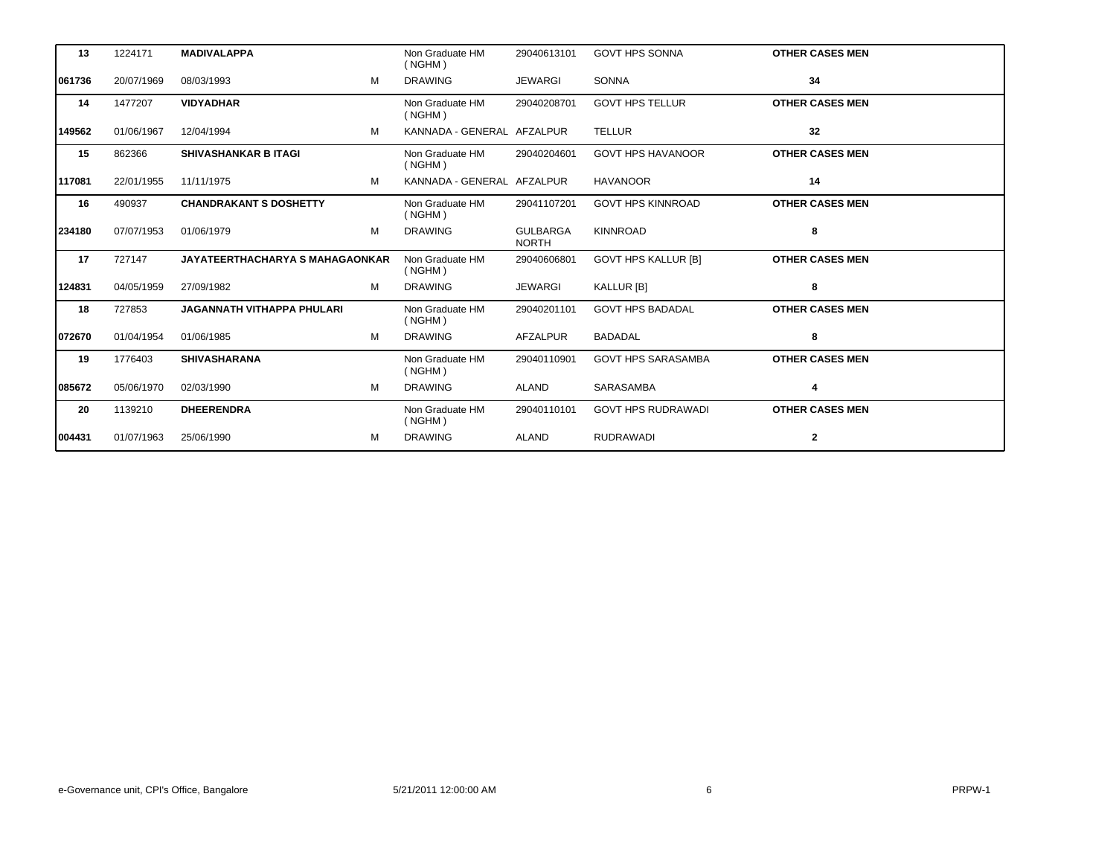| 13     | 1224171    | <b>MADIVALAPPA</b>                     | Non Graduate HM<br>( NGHM) | 29040613101                     | <b>GOVT HPS SONNA</b>      | <b>OTHER CASES MEN</b> |
|--------|------------|----------------------------------------|----------------------------|---------------------------------|----------------------------|------------------------|
| 061736 | 20/07/1969 | M<br>08/03/1993                        | <b>DRAWING</b>             | <b>JEWARGI</b>                  | <b>SONNA</b>               | 34                     |
| 14     | 1477207    | <b>VIDYADHAR</b>                       | Non Graduate HM<br>( NGHM) | 29040208701                     | <b>GOVT HPS TELLUR</b>     | <b>OTHER CASES MEN</b> |
| 149562 | 01/06/1967 | 12/04/1994<br>м                        | KANNADA - GENERAL AFZALPUR |                                 | <b>TELLUR</b>              | 32                     |
| 15     | 862366     | <b>SHIVASHANKAR B ITAGI</b>            | Non Graduate HM<br>( NGHM) | 29040204601                     | <b>GOVT HPS HAVANOOR</b>   | <b>OTHER CASES MEN</b> |
| 117081 | 22/01/1955 | М<br>11/11/1975                        | KANNADA - GENERAL AFZALPUR |                                 | <b>HAVANOOR</b>            | 14                     |
| 16     | 490937     | <b>CHANDRAKANT S DOSHETTY</b>          | Non Graduate HM<br>( NGHM) | 29041107201                     | <b>GOVT HPS KINNROAD</b>   | <b>OTHER CASES MEN</b> |
| 234180 | 07/07/1953 | M<br>01/06/1979                        | <b>DRAWING</b>             | <b>GULBARGA</b><br><b>NORTH</b> | <b>KINNROAD</b>            | 8                      |
| 17     | 727147     | <b>JAYATEERTHACHARYA S MAHAGAONKAR</b> | Non Graduate HM<br>( NGHM) | 29040606801                     | <b>GOVT HPS KALLUR [B]</b> | <b>OTHER CASES MEN</b> |
| 124831 | 04/05/1959 | M<br>27/09/1982                        | <b>DRAWING</b>             | <b>JEWARGI</b>                  | <b>KALLUR [B]</b>          | 8                      |
| 18     | 727853     | <b>JAGANNATH VITHAPPA PHULARI</b>      | Non Graduate HM<br>( NGHM) | 29040201101                     | <b>GOVT HPS BADADAL</b>    | <b>OTHER CASES MEN</b> |
| 072670 | 01/04/1954 | M<br>01/06/1985                        | <b>DRAWING</b>             | <b>AFZALPUR</b>                 | <b>BADADAL</b>             | 8                      |
| 19     | 1776403    | <b>SHIVASHARANA</b>                    | Non Graduate HM<br>( NGHM) | 29040110901                     | <b>GOVT HPS SARASAMBA</b>  | <b>OTHER CASES MEN</b> |
| 085672 | 05/06/1970 | м<br>02/03/1990                        | <b>DRAWING</b>             | <b>ALAND</b>                    | <b>SARASAMBA</b>           | 4                      |
| 20     | 1139210    | <b>DHEERENDRA</b>                      | Non Graduate HM<br>( NGHM) | 29040110101                     | <b>GOVT HPS RUDRAWADI</b>  | <b>OTHER CASES MEN</b> |
| 004431 | 01/07/1963 | 25/06/1990<br>м                        | <b>DRAWING</b>             | <b>ALAND</b>                    | <b>RUDRAWADI</b>           | $\mathbf{2}$           |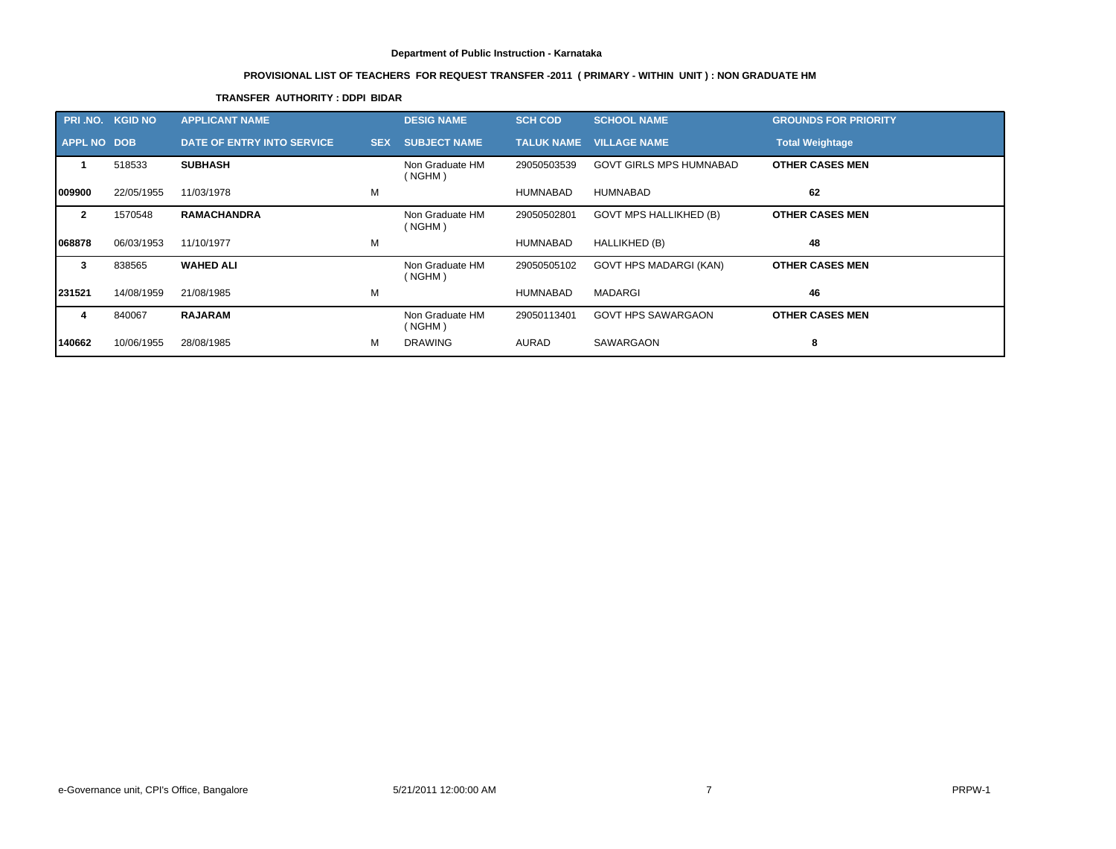# **PROVISIONAL LIST OF TEACHERS FOR REQUEST TRANSFER -2011 ( PRIMARY - WITHIN UNIT ) : NON GRADUATE HM**

# **TRANSFER AUTHORITY : DDPI BIDAR**

| PRI.NO. KGID NO |            | <b>APPLICANT NAME</b>      |            | <b>DESIG NAME</b>         | <b>SCH COD</b>    | <b>SCHOOL NAME</b>             | <b>GROUNDS FOR PRIORITY</b> |
|-----------------|------------|----------------------------|------------|---------------------------|-------------------|--------------------------------|-----------------------------|
| APPL NO DOB     |            | DATE OF ENTRY INTO SERVICE | <b>SEX</b> | <b>SUBJECT NAME</b>       | <b>TALUK NAME</b> | <b>VILLAGE NAME</b>            | <b>Total Weightage</b>      |
|                 | 518533     | <b>SUBHASH</b>             |            | Non Graduate HM<br>(NGHM) | 29050503539       | <b>GOVT GIRLS MPS HUMNABAD</b> | <b>OTHER CASES MEN</b>      |
| 1009900         | 22/05/1955 | 11/03/1978                 | M          |                           | <b>HUMNABAD</b>   | <b>HUMNABAD</b>                | 62                          |
| $\mathbf{2}$    | 1570548    | <b>RAMACHANDRA</b>         |            | Non Graduate HM<br>(NGHM) | 29050502801       | <b>GOVT MPS HALLIKHED (B)</b>  | <b>OTHER CASES MEN</b>      |
| 1068878         | 06/03/1953 | 11/10/1977                 | M          |                           | <b>HUMNABAD</b>   | HALLIKHED (B)                  | 48                          |
| 3               | 838565     | <b>WAHED ALI</b>           |            | Non Graduate HM<br>(NGHM) | 29050505102       | GOVT HPS MADARGI (KAN)         | <b>OTHER CASES MEN</b>      |
| 231521          | 14/08/1959 | 21/08/1985                 | М          |                           | <b>HUMNABAD</b>   | MADARGI                        | 46                          |
| 4               | 840067     | <b>RAJARAM</b>             |            | Non Graduate HM<br>(NGHM) | 29050113401       | <b>GOVT HPS SAWARGAON</b>      | <b>OTHER CASES MEN</b>      |
| 140662          | 10/06/1955 | 28/08/1985                 | м          | <b>DRAWING</b>            | <b>AURAD</b>      | SAWARGAON                      | 8                           |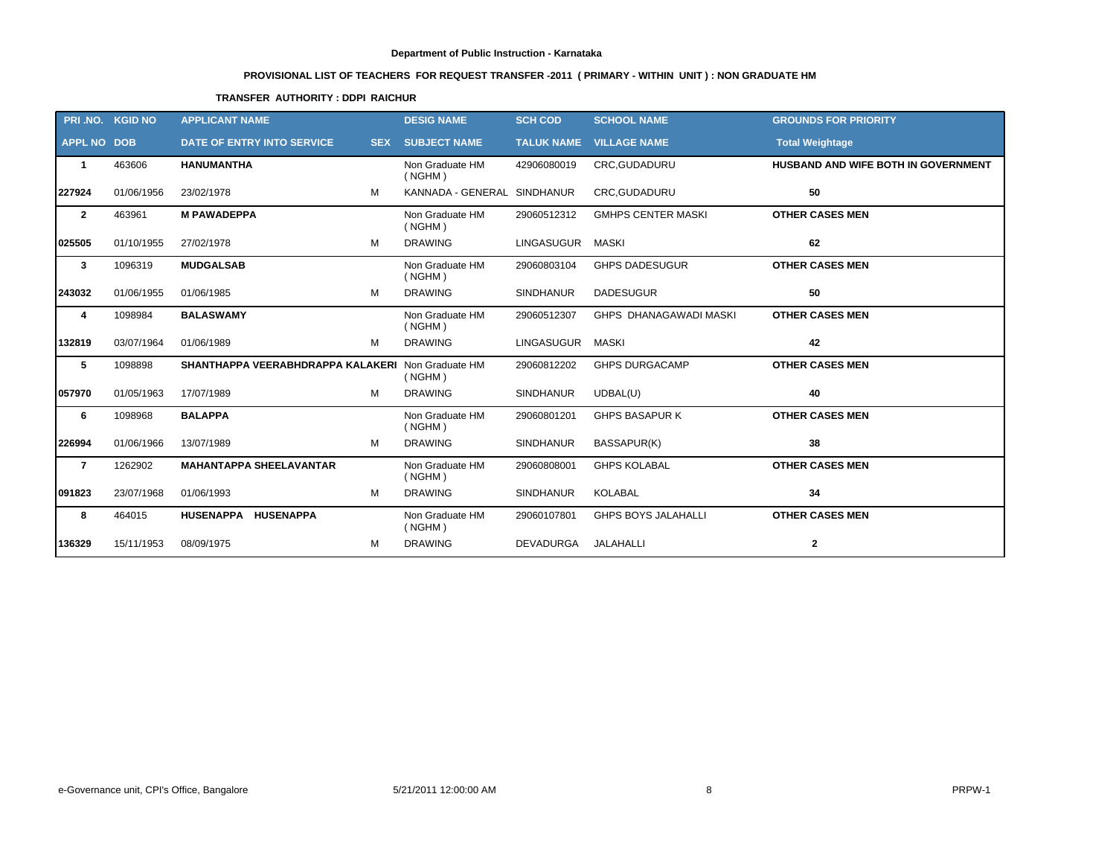# **PROVISIONAL LIST OF TEACHERS FOR REQUEST TRANSFER -2011 ( PRIMARY - WITHIN UNIT ) : NON GRADUATE HM**

# **TRANSFER AUTHORITY : DDPI RAICHUR**

|                    | PRI.NO. KGID NO | <b>APPLICANT NAME</b>                             | <b>DESIG NAME</b>           | <b>SCH COD</b>    | <b>SCHOOL NAME</b>             | <b>GROUNDS FOR PRIORITY</b>         |
|--------------------|-----------------|---------------------------------------------------|-----------------------------|-------------------|--------------------------------|-------------------------------------|
| <b>APPL NO DOB</b> |                 | <b>DATE OF ENTRY INTO SERVICE</b>                 | <b>SEX SUBJECT NAME</b>     |                   | <b>TALUK NAME VILLAGE NAME</b> | <b>Total Weightage</b>              |
| 1                  | 463606          | <b>HANUMANTHA</b>                                 | Non Graduate HM<br>( NGHM)  | 42906080019       | CRC, GUDADURU                  | HUSBAND AND WIFE BOTH IN GOVERNMENT |
| 227924             | 01/06/1956      | 23/02/1978<br>м                                   | KANNADA - GENERAL SINDHANUR |                   | CRC, GUDADURU                  | 50                                  |
| $\mathbf{2}$       | 463961          | <b>M PAWADEPPA</b>                                | Non Graduate HM<br>( NGHM)  | 29060512312       | <b>GMHPS CENTER MASKI</b>      | <b>OTHER CASES MEN</b>              |
| 025505             | 01/10/1955      | 27/02/1978<br>м                                   | <b>DRAWING</b>              | <b>LINGASUGUR</b> | <b>MASKI</b>                   | 62                                  |
| 3                  | 1096319         | <b>MUDGALSAB</b>                                  | Non Graduate HM<br>( NGHM)  | 29060803104       | <b>GHPS DADESUGUR</b>          | <b>OTHER CASES MEN</b>              |
| 243032             | 01/06/1955      | M<br>01/06/1985                                   | <b>DRAWING</b>              | <b>SINDHANUR</b>  | <b>DADESUGUR</b>               | 50                                  |
| 4                  | 1098984         | <b>BALASWAMY</b>                                  | Non Graduate HM<br>( NGHM)  | 29060512307       | GHPS DHANAGAWADI MASKI         | <b>OTHER CASES MEN</b>              |
| 132819             | 03/07/1964      | 01/06/1989<br>M                                   | <b>DRAWING</b>              | LINGASUGUR        | MASKI                          | 42                                  |
| 5                  | 1098898         | SHANTHAPPA VEERABHDRAPPA KALAKERI Non Graduate HM | ( NGHM)                     | 29060812202       | <b>GHPS DURGACAMP</b>          | <b>OTHER CASES MEN</b>              |
| 057970             | 01/05/1963      | 17/07/1989<br>м                                   | <b>DRAWING</b>              | <b>SINDHANUR</b>  | UDBAL(U)                       | 40                                  |
| 6                  | 1098968         | <b>BALAPPA</b>                                    | Non Graduate HM<br>( NGHM)  | 29060801201       | <b>GHPS BASAPUR K</b>          | <b>OTHER CASES MEN</b>              |
| 226994             | 01/06/1966      | M<br>13/07/1989                                   | <b>DRAWING</b>              | <b>SINDHANUR</b>  | BASSAPUR(K)                    | 38                                  |
| $\overline{7}$     | 1262902         | <b>MAHANTAPPA SHEELAVANTAR</b>                    | Non Graduate HM<br>( NGHM)  | 29060808001       | <b>GHPS KOLABAL</b>            | <b>OTHER CASES MEN</b>              |
| 091823             | 23/07/1968      | M<br>01/06/1993                                   | <b>DRAWING</b>              | <b>SINDHANUR</b>  | <b>KOLABAL</b>                 | 34                                  |
| 8                  | 464015          | HUSENAPPA HUSENAPPA                               | Non Graduate HM<br>( NGHM)  | 29060107801       | <b>GHPS BOYS JALAHALLI</b>     | <b>OTHER CASES MEN</b>              |
| 136329             | 15/11/1953      | M<br>08/09/1975                                   | <b>DRAWING</b>              | DEVADURGA         | JALAHALLI                      | $\mathbf{2}$                        |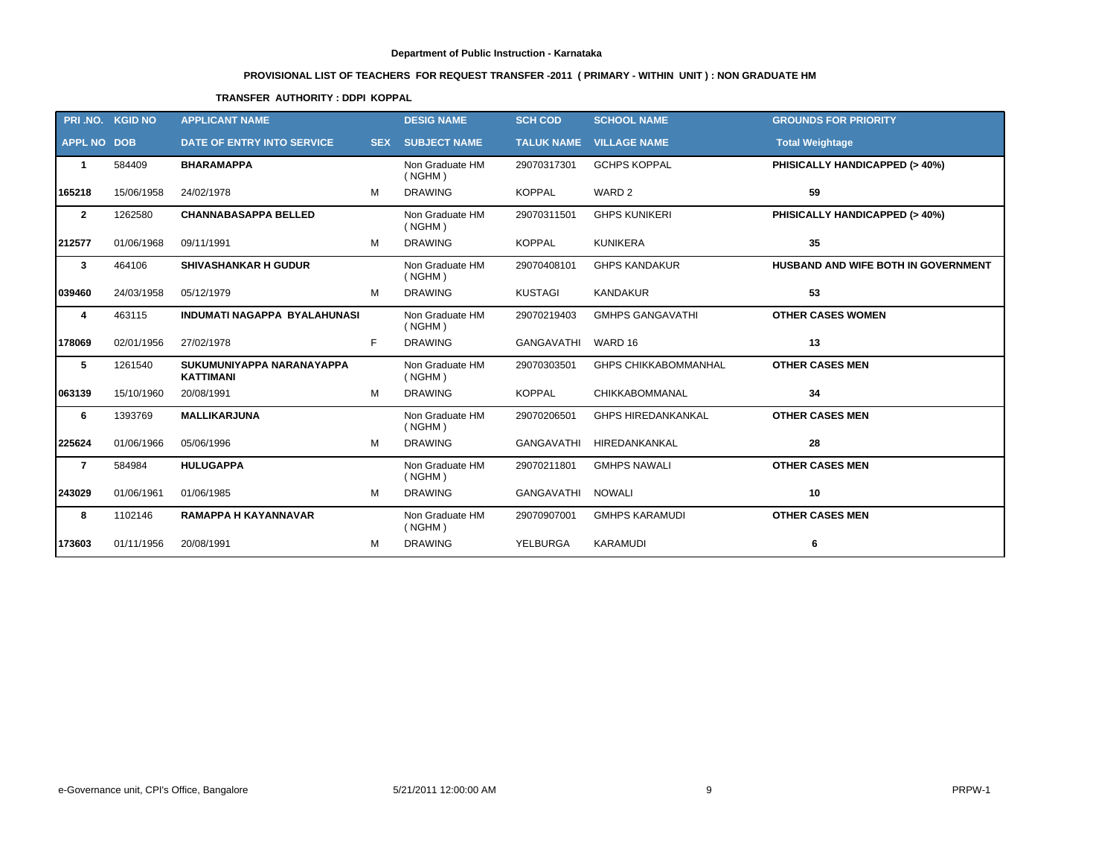# **PROVISIONAL LIST OF TEACHERS FOR REQUEST TRANSFER -2011 ( PRIMARY - WITHIN UNIT ) : NON GRADUATE HM**

# **TRANSFER AUTHORITY : DDPI KOPPAL**

|                    | PRI.NO. KGID NO | <b>APPLICANT NAME</b>                         |   | <b>DESIG NAME</b>          | <b>SCH COD</b>    | <b>SCHOOL NAME</b>          | <b>GROUNDS FOR PRIORITY</b>              |
|--------------------|-----------------|-----------------------------------------------|---|----------------------------|-------------------|-----------------------------|------------------------------------------|
| <b>APPL NO DOB</b> |                 | <b>DATE OF ENTRY INTO SERVICE</b>             |   | <b>SEX SUBJECT NAME</b>    | <b>TALUK NAME</b> | <b>VILLAGE NAME</b>         | <b>Total Weightage</b>                   |
| 1                  | 584409          | <b>BHARAMAPPA</b>                             |   | Non Graduate HM<br>(NGHM)  | 29070317301       | <b>GCHPS KOPPAL</b>         | <b>PHISICALLY HANDICAPPED (&gt; 40%)</b> |
| 165218             | 15/06/1958      | 24/02/1978                                    | M | <b>DRAWING</b>             | <b>KOPPAL</b>     | WARD 2                      | 59                                       |
| $\mathbf{2}$       | 1262580         | <b>CHANNABASAPPA BELLED</b>                   |   | Non Graduate HM<br>( NGHM) | 29070311501       | <b>GHPS KUNIKERI</b>        | PHISICALLY HANDICAPPED (> 40%)           |
| 212577             | 01/06/1968      | 09/11/1991                                    | M | <b>DRAWING</b>             | <b>KOPPAL</b>     | <b>KUNIKERA</b>             | 35                                       |
| 3                  | 464106          | <b>SHIVASHANKAR H GUDUR</b>                   |   | Non Graduate HM<br>(NGHM)  | 29070408101       | <b>GHPS KANDAKUR</b>        | HUSBAND AND WIFE BOTH IN GOVERNMENT      |
| 039460             | 24/03/1958      | 05/12/1979                                    | м | <b>DRAWING</b>             | <b>KUSTAGI</b>    | <b>KANDAKUR</b>             | 53                                       |
| 4                  | 463115          | <b>INDUMATI NAGAPPA BYALAHUNASI</b>           |   | Non Graduate HM<br>(NGHM)  | 29070219403       | <b>GMHPS GANGAVATHI</b>     | <b>OTHER CASES WOMEN</b>                 |
| 178069             | 02/01/1956      | 27/02/1978                                    | F | <b>DRAWING</b>             | GANGAVATHI        | WARD 16                     | 13                                       |
| 5                  | 1261540         | SUKUMUNIYAPPA NARANAYAPPA<br><b>KATTIMANI</b> |   | Non Graduate HM<br>( NGHM) | 29070303501       | <b>GHPS CHIKKABOMMANHAL</b> | <b>OTHER CASES MEN</b>                   |
| 063139             | 15/10/1960      | 20/08/1991                                    | M | <b>DRAWING</b>             | <b>KOPPAL</b>     | <b>CHIKKABOMMANAL</b>       | 34                                       |
| 6                  | 1393769         | <b>MALLIKARJUNA</b>                           |   | Non Graduate HM<br>(NGHM)  | 29070206501       | <b>GHPS HIREDANKANKAL</b>   | <b>OTHER CASES MEN</b>                   |
| 225624             | 01/06/1966      | 05/06/1996                                    | M | <b>DRAWING</b>             | <b>GANGAVATHI</b> | HIREDANKANKAL               | 28                                       |
| $\overline{7}$     | 584984          | <b>HULUGAPPA</b>                              |   | Non Graduate HM<br>( NGHM) | 29070211801       | <b>GMHPS NAWALI</b>         | <b>OTHER CASES MEN</b>                   |
| 243029             | 01/06/1961      | 01/06/1985                                    | м | <b>DRAWING</b>             | <b>GANGAVATHI</b> | <b>NOWALI</b>               | 10                                       |
| 8                  | 1102146         | <b>RAMAPPA H KAYANNAVAR</b>                   |   | Non Graduate HM<br>( NGHM) | 29070907001       | <b>GMHPS KARAMUDI</b>       | <b>OTHER CASES MEN</b>                   |
| 173603             | 01/11/1956      | 20/08/1991                                    | м | <b>DRAWING</b>             | <b>YELBURGA</b>   | KARAMUDI                    | 6                                        |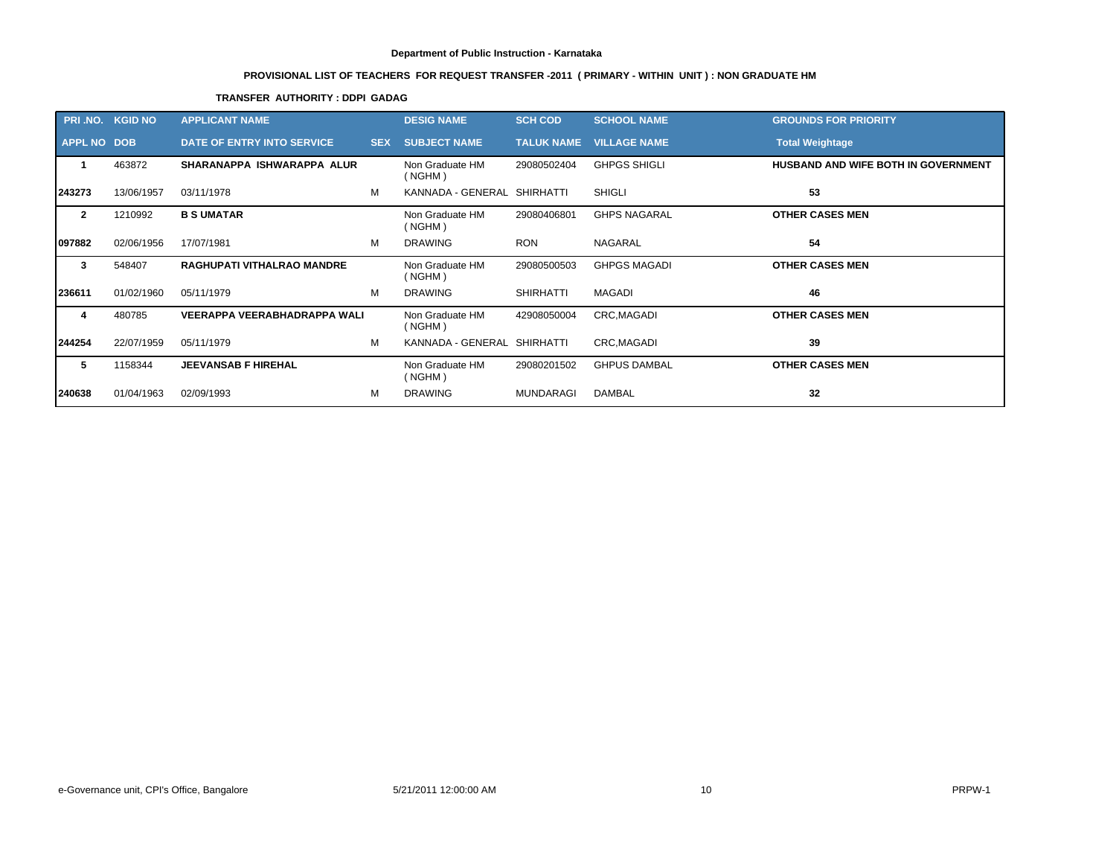# **PROVISIONAL LIST OF TEACHERS FOR REQUEST TRANSFER -2011 ( PRIMARY - WITHIN UNIT ) : NON GRADUATE HM**

# **TRANSFER AUTHORITY : DDPI GADAG**

| PRI .NO.           | <b>KGID NO</b> | <b>APPLICANT NAME</b>               |            | <b>DESIG NAME</b>           | <b>SCH COD</b>    | <b>SCHOOL NAME</b>  | <b>GROUNDS FOR PRIORITY</b>                |
|--------------------|----------------|-------------------------------------|------------|-----------------------------|-------------------|---------------------|--------------------------------------------|
| <b>APPL NO DOB</b> |                | <b>DATE OF ENTRY INTO SERVICE</b>   | <b>SEX</b> | <b>SUBJECT NAME</b>         | <b>TALUK NAME</b> | <b>VILLAGE NAME</b> | <b>Total Weightage</b>                     |
|                    | 463872         | SHARANAPPA ISHWARAPPA ALUR          |            | Non Graduate HM<br>(NGHM)   | 29080502404       | <b>GHPGS SHIGLI</b> | <b>HUSBAND AND WIFE BOTH IN GOVERNMENT</b> |
| 243273             | 13/06/1957     | 03/11/1978                          | M          | KANNADA - GENERAL SHIRHATTI |                   | <b>SHIGLI</b>       | 53                                         |
| $\mathbf{2}$       | 1210992        | <b>B S UMATAR</b>                   |            | Non Graduate HM<br>(NGHM)   | 29080406801       | <b>GHPS NAGARAL</b> | <b>OTHER CASES MEN</b>                     |
| 097882             | 02/06/1956     | 17/07/1981                          | м          | <b>DRAWING</b>              | <b>RON</b>        | NAGARAL             | 54                                         |
| 3                  | 548407         | <b>RAGHUPATI VITHALRAO MANDRE</b>   |            | Non Graduate HM<br>(NGHM)   | 29080500503       | <b>GHPGS MAGADI</b> | <b>OTHER CASES MEN</b>                     |
| 236611             | 01/02/1960     | 05/11/1979                          | M          | <b>DRAWING</b>              | <b>SHIRHATTI</b>  | <b>MAGADI</b>       | 46                                         |
| 4                  | 480785         | <b>VEERAPPA VEERABHADRAPPA WALI</b> |            | Non Graduate HM<br>(NGHM)   | 42908050004       | CRC, MAGADI         | <b>OTHER CASES MEN</b>                     |
| 244254             | 22/07/1959     | 05/11/1979                          | м          | KANNADA - GENERAL SHIRHATTI |                   | CRC, MAGADI         | 39                                         |
| 5                  | 1158344        | <b>JEEVANSAB F HIREHAL</b>          |            | Non Graduate HM<br>(NGHM)   | 29080201502       | <b>GHPUS DAMBAL</b> | <b>OTHER CASES MEN</b>                     |
| 240638             | 01/04/1963     | 02/09/1993                          | М          | <b>DRAWING</b>              | <b>MUNDARAGI</b>  | <b>DAMBAL</b>       | 32                                         |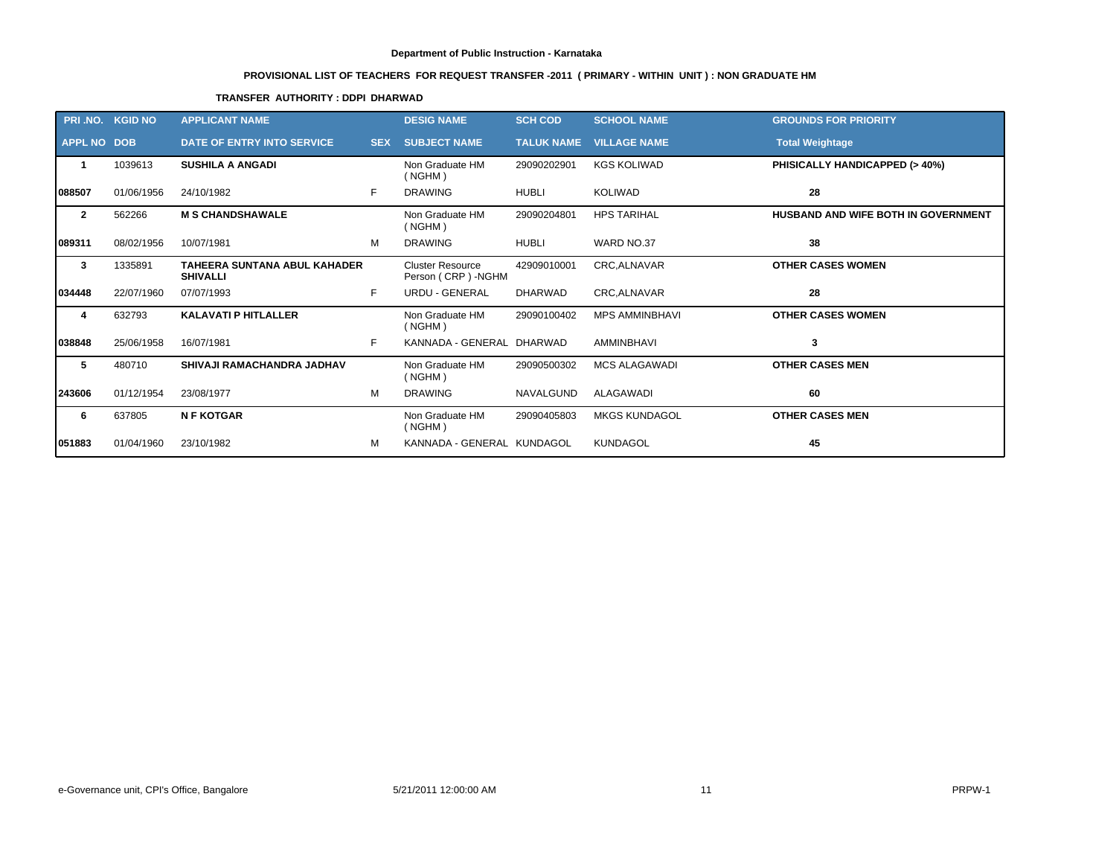# **PROVISIONAL LIST OF TEACHERS FOR REQUEST TRANSFER -2011 ( PRIMARY - WITHIN UNIT ) : NON GRADUATE HM**

# **TRANSFER AUTHORITY : DDPI DHARWAD**

| <b>PRI .NO.</b>    | <b>KGID NO</b> | <b>APPLICANT NAME</b>                                  |            | <b>DESIG NAME</b>                             | <b>SCH COD</b>    | <b>SCHOOL NAME</b>    | <b>GROUNDS FOR PRIORITY</b>         |
|--------------------|----------------|--------------------------------------------------------|------------|-----------------------------------------------|-------------------|-----------------------|-------------------------------------|
| <b>APPL NO DOB</b> |                | DATE OF ENTRY INTO SERVICE                             | <b>SEX</b> | <b>SUBJECT NAME</b>                           | <b>TALUK NAME</b> | <b>VILLAGE NAME</b>   | <b>Total Weightage</b>              |
| -1                 | 1039613        | <b>SUSHILA A ANGADI</b>                                |            | Non Graduate HM<br>(NGHM)                     | 29090202901       | <b>KGS KOLIWAD</b>    | PHISICALLY HANDICAPPED (> 40%)      |
| 088507             | 01/06/1956     | 24/10/1982                                             | F.         | <b>DRAWING</b>                                | <b>HUBLI</b>      | <b>KOLIWAD</b>        | 28                                  |
| $\mathbf{2}$       | 562266         | <b>M S CHANDSHAWALE</b>                                |            | Non Graduate HM<br>(NGHM)                     | 29090204801       | <b>HPS TARIHAL</b>    | HUSBAND AND WIFE BOTH IN GOVERNMENT |
| 089311             | 08/02/1956     | 10/07/1981                                             | M          | <b>DRAWING</b>                                | <b>HUBLI</b>      | WARD NO.37            | 38                                  |
| 3                  | 1335891        | <b>TAHEERA SUNTANA ABUL KAHADER</b><br><b>SHIVALLI</b> |            | <b>Cluster Resource</b><br>Person (CRP) -NGHM | 42909010001       | <b>CRC.ALNAVAR</b>    | <b>OTHER CASES WOMEN</b>            |
| 034448             | 22/07/1960     | 07/07/1993                                             | F          | <b>URDU - GENERAL</b>                         | <b>DHARWAD</b>    | CRC, ALNAVAR          | 28                                  |
| 4                  | 632793         | <b>KALAVATI P HITLALLER</b>                            |            | Non Graduate HM<br>(NGHM)                     | 29090100402       | <b>MPS AMMINBHAVI</b> | <b>OTHER CASES WOMEN</b>            |
| 038848             | 25/06/1958     | 16/07/1981                                             | F          | KANNADA - GENERAL DHARWAD                     |                   | <b>AMMINBHAVI</b>     | 3                                   |
| 5                  | 480710         | SHIVAJI RAMACHANDRA JADHAV                             |            | Non Graduate HM<br>(NGHM)                     | 29090500302       | <b>MCS ALAGAWADI</b>  | <b>OTHER CASES MEN</b>              |
| 243606             | 01/12/1954     | 23/08/1977                                             | м          | <b>DRAWING</b>                                | <b>NAVALGUND</b>  | ALAGAWADI             | 60                                  |
| 6                  | 637805         | <b>N F KOTGAR</b>                                      |            | Non Graduate HM<br>(NGHM)                     | 29090405803       | <b>MKGS KUNDAGOL</b>  | <b>OTHER CASES MEN</b>              |
| 051883             | 01/04/1960     | 23/10/1982                                             | м          | KANNADA - GENERAL KUNDAGOL                    |                   | <b>KUNDAGOL</b>       | 45                                  |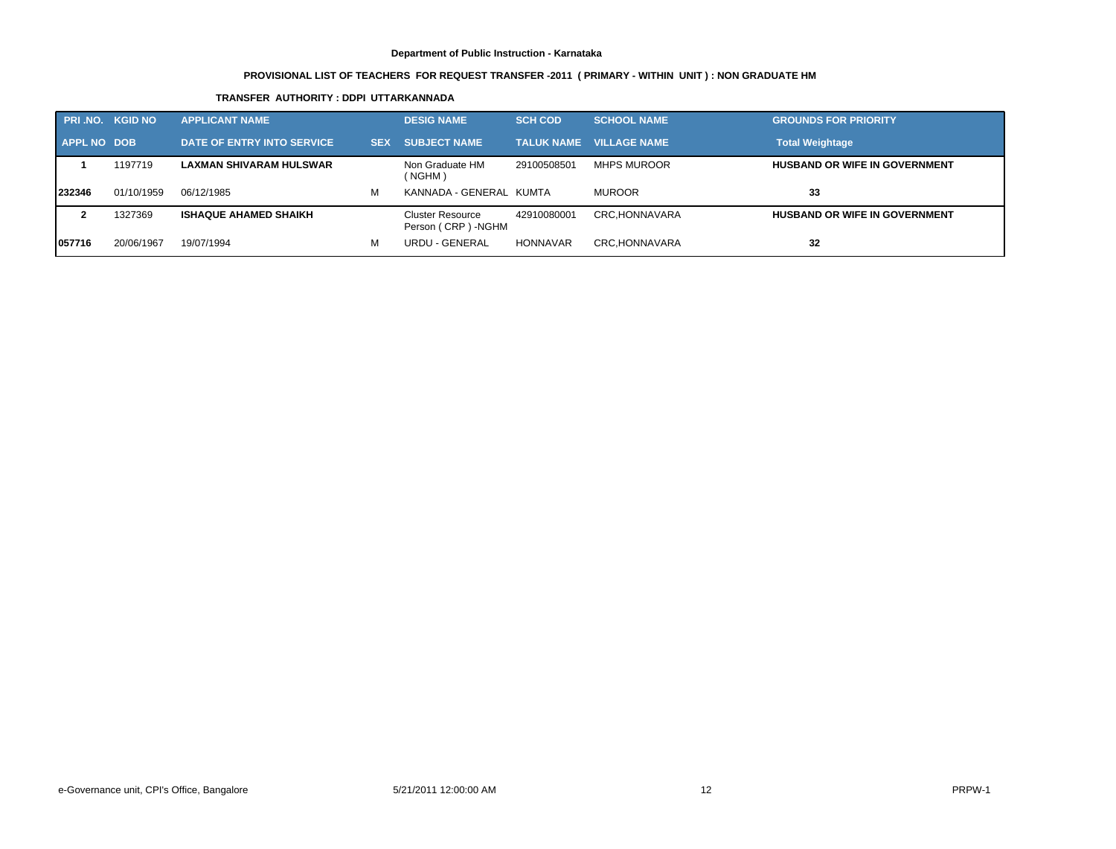# **PROVISIONAL LIST OF TEACHERS FOR REQUEST TRANSFER -2011 ( PRIMARY - WITHIN UNIT ) : NON GRADUATE HM**

# **TRANSFER AUTHORITY : DDPI UTTARKANNADA**

| <b>PRI.NO. KGID NO</b> |            | <b>APPLICANT NAME</b>          |            | <b>DESIG NAME</b>                              | <b>SCH COD</b> | <b>SCHOOL NAME</b>             | <b>GROUNDS FOR PRIORITY</b>          |
|------------------------|------------|--------------------------------|------------|------------------------------------------------|----------------|--------------------------------|--------------------------------------|
| APPL NO DOB            |            | DATE OF ENTRY INTO SERVICE     | <b>SEX</b> | <b>SUBJECT NAME</b>                            |                | <b>TALUK NAME VILLAGE NAME</b> | <b>Total Weightage</b>               |
|                        | 1197719    | <b>LAXMAN SHIVARAM HULSWAR</b> |            | Non Graduate HM<br>(NGHM)                      | 29100508501    | <b>MHPS MUROOR</b>             | <b>HUSBAND OR WIFE IN GOVERNMENT</b> |
| 232346                 | 01/10/1959 | 06/12/1985                     | м          | KANNADA - GENERAL KUMTA                        |                | <b>MUROOR</b>                  | 33                                   |
|                        | 1327369    | <b>ISHAQUE AHAMED SHAIKH</b>   |            | <b>Cluster Resource</b><br>Person (CRP) - NGHM | 42910080001    | CRC.HONNAVARA                  | <b>HUSBAND OR WIFE IN GOVERNMENT</b> |
| 1057716                | 20/06/1967 | 19/07/1994                     | м          | URDU - GENERAL                                 | HONNAVAR       | CRC, HONNAVARA                 | 32                                   |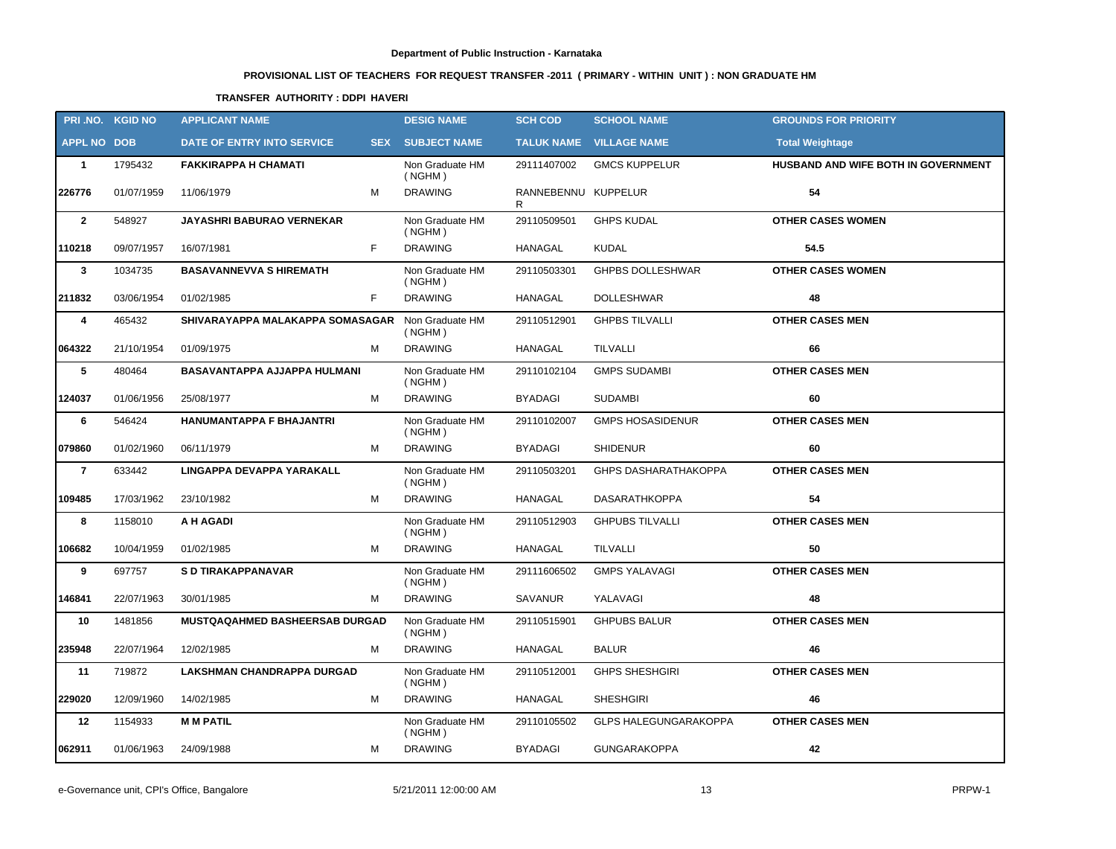# **PROVISIONAL LIST OF TEACHERS FOR REQUEST TRANSFER -2011 ( PRIMARY - WITHIN UNIT ) : NON GRADUATE HM**

# **TRANSFER AUTHORITY : DDPI HAVERI**

|                    | PRI.NO. KGID NO | <b>APPLICANT NAME</b>               | <b>DESIG NAME</b>          | <b>SCH COD</b>           | <b>SCHOOL NAME</b>             | <b>GROUNDS FOR PRIORITY</b>         |
|--------------------|-----------------|-------------------------------------|----------------------------|--------------------------|--------------------------------|-------------------------------------|
| <b>APPL NO DOB</b> |                 | DATE OF ENTRY INTO SERVICE          | <b>SEX SUBJECT NAME</b>    |                          | <b>TALUK NAME VILLAGE NAME</b> | <b>Total Weightage</b>              |
| $\mathbf{1}$       | 1795432         | <b>FAKKIRAPPA H CHAMATI</b>         | Non Graduate HM<br>( NGHM) | 29111407002              | <b>GMCS KUPPELUR</b>           | HUSBAND AND WIFE BOTH IN GOVERNMENT |
| 226776             | 01/07/1959      | M<br>11/06/1979                     | <b>DRAWING</b>             | RANNEBENNU KUPPELUR<br>R |                                | 54                                  |
| $\mathbf{2}$       | 548927          | <b>JAYASHRI BABURAO VERNEKAR</b>    | Non Graduate HM<br>( NGHM) | 29110509501              | <b>GHPS KUDAL</b>              | <b>OTHER CASES WOMEN</b>            |
| 110218             | 09/07/1957      | F<br>16/07/1981                     | <b>DRAWING</b>             | <b>HANAGAL</b>           | <b>KUDAL</b>                   | 54.5                                |
| 3                  | 1034735         | <b>BASAVANNEVVA S HIREMATH</b>      | Non Graduate HM<br>( NGHM) | 29110503301              | <b>GHPBS DOLLESHWAR</b>        | <b>OTHER CASES WOMEN</b>            |
| 211832             | 03/06/1954      | F<br>01/02/1985                     | <b>DRAWING</b>             | <b>HANAGAL</b>           | <b>DOLLESHWAR</b>              | 48                                  |
| 4                  | 465432          | SHIVARAYAPPA MALAKAPPA SOMASAGAR    | Non Graduate HM<br>( NGHM) | 29110512901              | <b>GHPBS TILVALLI</b>          | <b>OTHER CASES MEN</b>              |
| 064322             | 21/10/1954      | 01/09/1975<br>М                     | <b>DRAWING</b>             | <b>HANAGAL</b>           | TILVALLI                       | 66                                  |
| 5                  | 480464          | <b>BASAVANTAPPA AJJAPPA HULMANI</b> | Non Graduate HM<br>( NGHM) | 29110102104              | <b>GMPS SUDAMBI</b>            | <b>OTHER CASES MEN</b>              |
| 124037             | 01/06/1956      | М<br>25/08/1977                     | <b>DRAWING</b>             | <b>BYADAGI</b>           | <b>SUDAMBI</b>                 | 60                                  |
| 6                  | 546424          | HANUMANTAPPA F BHAJANTRI            | Non Graduate HM<br>( NGHM) | 29110102007              | <b>GMPS HOSASIDENUR</b>        | <b>OTHER CASES MEN</b>              |
| 079860             | 01/02/1960      | 06/11/1979<br>м                     | <b>DRAWING</b>             | <b>BYADAGI</b>           | <b>SHIDENUR</b>                | 60                                  |
| $\overline{7}$     | 633442          | LINGAPPA DEVAPPA YARAKALL           | Non Graduate HM<br>( NGHM) | 29110503201              | <b>GHPS DASHARATHAKOPPA</b>    | <b>OTHER CASES MEN</b>              |
| 109485             | 17/03/1962      | M<br>23/10/1982                     | <b>DRAWING</b>             | <b>HANAGAL</b>           | <b>DASARATHKOPPA</b>           | 54                                  |
| 8                  | 1158010         | A H AGADI                           | Non Graduate HM<br>( NGHM) | 29110512903              | <b>GHPUBS TILVALLI</b>         | <b>OTHER CASES MEN</b>              |
| 106682             | 10/04/1959      | 01/02/1985<br>м                     | <b>DRAWING</b>             | HANAGAL                  | <b>TILVALLI</b>                | 50                                  |
| 9                  | 697757          | S D TIRAKAPPANAVAR                  | Non Graduate HM<br>( NGHM) | 29111606502              | <b>GMPS YALAVAGI</b>           | <b>OTHER CASES MEN</b>              |
| 146841             | 22/07/1963      | М<br>30/01/1985                     | <b>DRAWING</b>             | SAVANUR                  | YALAVAGI                       | 48                                  |
| 10                 | 1481856         | MUSTQAQAHMED BASHEERSAB DURGAD      | Non Graduate HM<br>( NGHM) | 29110515901              | <b>GHPUBS BALUR</b>            | <b>OTHER CASES MEN</b>              |
| 235948             | 22/07/1964      | 12/02/1985<br>М                     | <b>DRAWING</b>             | <b>HANAGAL</b>           | <b>BALUR</b>                   | 46                                  |
| 11                 | 719872          | LAKSHMAN CHANDRAPPA DURGAD          | Non Graduate HM<br>( NGHM) | 29110512001              | <b>GHPS SHESHGIRI</b>          | <b>OTHER CASES MEN</b>              |
| 229020             | 12/09/1960      | 14/02/1985<br>М                     | <b>DRAWING</b>             | <b>HANAGAL</b>           | <b>SHESHGIRI</b>               | 46                                  |
| 12                 | 1154933         | <b>MM PATIL</b>                     | Non Graduate HM<br>( NGHM) | 29110105502              | <b>GLPS HALEGUNGARAKOPPA</b>   | <b>OTHER CASES MEN</b>              |
| 062911             | 01/06/1963      | 24/09/1988<br>м                     | <b>DRAWING</b>             | <b>BYADAGI</b>           | <b>GUNGARAKOPPA</b>            | 42                                  |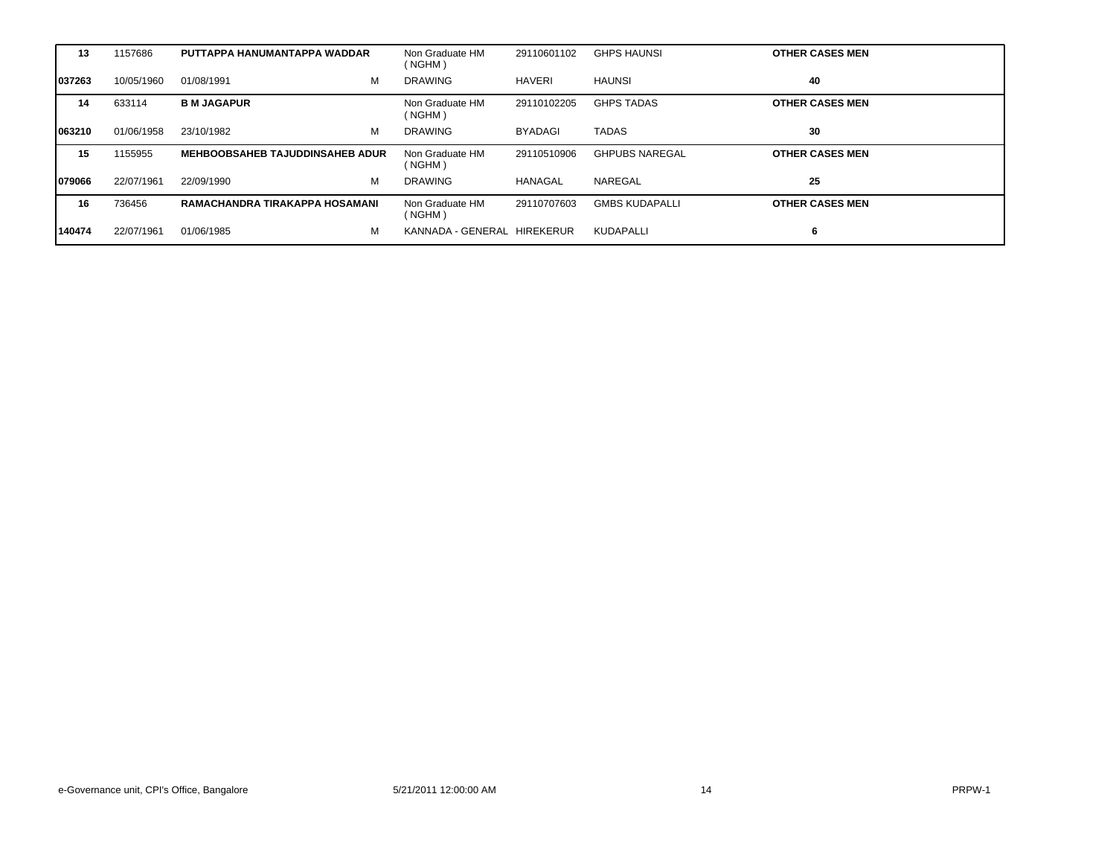| 13      | 1157686    | PUTTAPPA HANUMANTAPPA WADDAR           | Non Graduate HM<br>(NGHM)   | 29110601102    | <b>GHPS HAUNSI</b>    | <b>OTHER CASES MEN</b> |
|---------|------------|----------------------------------------|-----------------------------|----------------|-----------------------|------------------------|
| 1037263 | 10/05/1960 | м<br>01/08/1991                        | <b>DRAWING</b>              | HAVERI         | <b>HAUNSI</b>         | 40                     |
| 14      | 633114     | <b>B M JAGAPUR</b>                     | Non Graduate HM<br>(NGHM)   | 29110102205    | <b>GHPS TADAS</b>     | <b>OTHER CASES MEN</b> |
| 063210  | 01/06/1958 | М<br>23/10/1982                        | <b>DRAWING</b>              | <b>BYADAGI</b> | <b>TADAS</b>          | 30                     |
| 15      | 1155955    | <b>MEHBOOBSAHEB TAJUDDINSAHEB ADUR</b> | Non Graduate HM<br>(NGHM)   | 29110510906    | <b>GHPUBS NAREGAL</b> | <b>OTHER CASES MEN</b> |
| 1079066 | 22/07/1961 | м<br>22/09/1990                        | <b>DRAWING</b>              | HANAGAL        | NAREGAL               | 25                     |
| 16      | 736456     | RAMACHANDRA TIRAKAPPA HOSAMANI         | Non Graduate HM<br>(NGHM)   | 29110707603    | <b>GMBS KUDAPALLI</b> | <b>OTHER CASES MEN</b> |
| 140474  | 22/07/1961 | M<br>01/06/1985                        | KANNADA - GENERAL HIREKERUR |                | KUDAPALLI             | 6                      |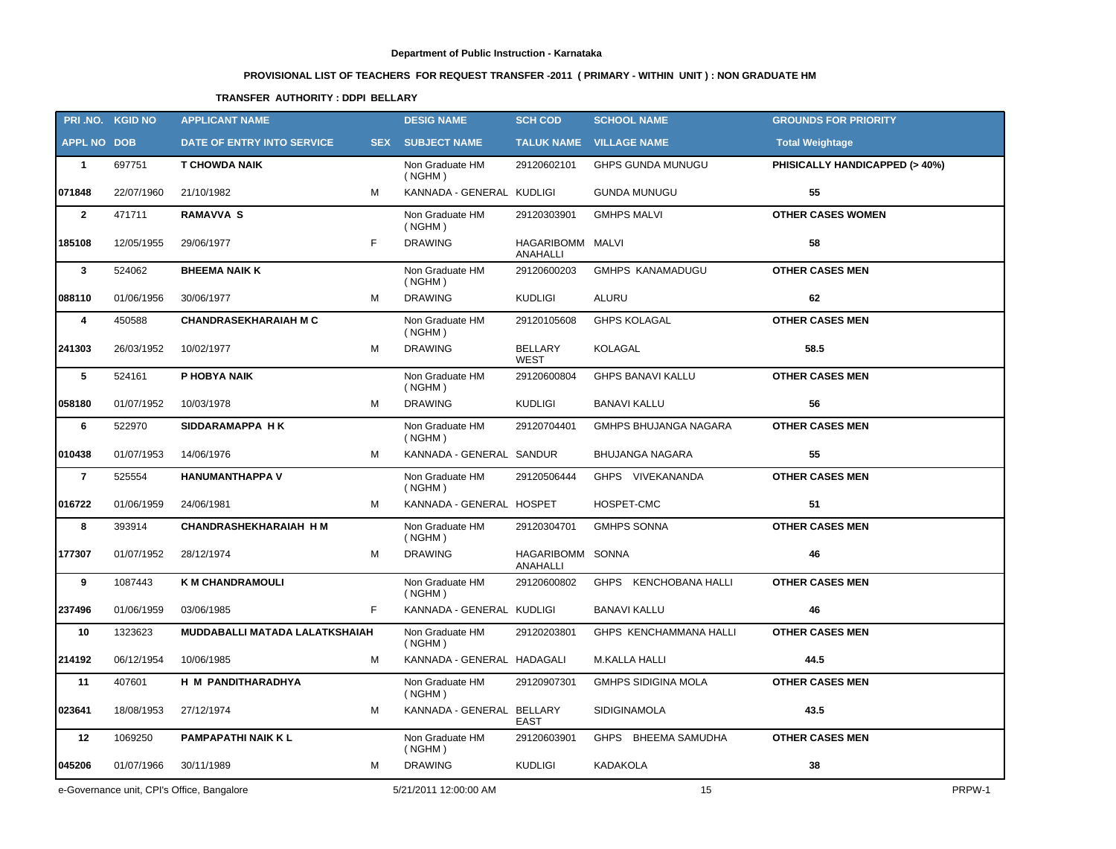# **PROVISIONAL LIST OF TEACHERS FOR REQUEST TRANSFER -2011 ( PRIMARY - WITHIN UNIT ) : NON GRADUATE HM**

# **TRANSFER AUTHORITY : DDPI BELLARY**

|                    | PRI.NO. KGID NO | <b>APPLICANT NAME</b>                      |   | <b>DESIG NAME</b>          | <b>SCH COD</b>                | <b>SCHOOL NAME</b>             | <b>GROUNDS FOR PRIORITY</b>    |        |
|--------------------|-----------------|--------------------------------------------|---|----------------------------|-------------------------------|--------------------------------|--------------------------------|--------|
| <b>APPL NO DOB</b> |                 | DATE OF ENTRY INTO SERVICE                 |   | <b>SEX SUBJECT NAME</b>    |                               | <b>TALUK NAME VILLAGE NAME</b> | <b>Total Weightage</b>         |        |
| $\mathbf{1}$       | 697751          | <b>T CHOWDA NAIK</b>                       |   | Non Graduate HM<br>( NGHM) | 29120602101                   | GHPS GUNDA MUNUGU              | PHISICALLY HANDICAPPED (> 40%) |        |
| 071848             | 22/07/1960      | 21/10/1982                                 | м | KANNADA - GENERAL KUDLIGI  |                               | <b>GUNDA MUNUGU</b>            | 55                             |        |
| $\overline{2}$     | 471711          | <b>RAMAVVA S</b>                           |   | Non Graduate HM<br>( NGHM) | 29120303901                   | <b>GMHPS MALVI</b>             | <b>OTHER CASES WOMEN</b>       |        |
| 185108             | 12/05/1955      | 29/06/1977                                 | F | <b>DRAWING</b>             | HAGARIBOMM MALVI<br>ANAHALLI  |                                | 58                             |        |
| $\mathbf{3}$       | 524062          | <b>BHEEMA NAIK K</b>                       |   | Non Graduate HM<br>( NGHM) | 29120600203                   | <b>GMHPS KANAMADUGU</b>        | <b>OTHER CASES MEN</b>         |        |
| 088110             | 01/06/1956      | 30/06/1977                                 | м | <b>DRAWING</b>             | <b>KUDLIGI</b>                | ALURU                          | 62                             |        |
| 4                  | 450588          | <b>CHANDRASEKHARAIAH M C</b>               |   | Non Graduate HM<br>( NGHM) | 29120105608                   | <b>GHPS KOLAGAL</b>            | <b>OTHER CASES MEN</b>         |        |
| 241303             | 26/03/1952      | 10/02/1977                                 | M | <b>DRAWING</b>             | <b>BELLARY</b><br><b>WEST</b> | KOLAGAL                        | 58.5                           |        |
| 5                  | 524161          | P HOBYA NAIK                               |   | Non Graduate HM<br>( NGHM) | 29120600804                   | <b>GHPS BANAVI KALLU</b>       | <b>OTHER CASES MEN</b>         |        |
| 058180             | 01/07/1952      | 10/03/1978                                 | М | <b>DRAWING</b>             | <b>KUDLIGI</b>                | <b>BANAVI KALLU</b>            | 56                             |        |
| 6                  | 522970          | SIDDARAMAPPA HK                            |   | Non Graduate HM<br>( NGHM) | 29120704401                   | <b>GMHPS BHUJANGA NAGARA</b>   | <b>OTHER CASES MEN</b>         |        |
| 010438             | 01/07/1953      | 14/06/1976                                 | М | KANNADA - GENERAL SANDUR   |                               | <b>BHUJANGA NAGARA</b>         | 55                             |        |
| $\overline{7}$     | 525554          | <b>HANUMANTHAPPA V</b>                     |   | Non Graduate HM<br>( NGHM) | 29120506444                   | GHPS VIVEKANANDA               | <b>OTHER CASES MEN</b>         |        |
| 016722             | 01/06/1959      | 24/06/1981                                 | м | KANNADA - GENERAL HOSPET   |                               | HOSPET-CMC                     | 51                             |        |
| 8                  | 393914          | <b>CHANDRASHEKHARAIAH H M</b>              |   | Non Graduate HM<br>( NGHM) | 29120304701                   | <b>GMHPS SONNA</b>             | <b>OTHER CASES MEN</b>         |        |
| 177307             | 01/07/1952      | 28/12/1974                                 | М | <b>DRAWING</b>             | HAGARIBOMM SONNA<br>ANAHALLI  |                                | 46                             |        |
| 9                  | 1087443         | <b>K M CHANDRAMOULI</b>                    |   | Non Graduate HM<br>( NGHM) | 29120600802                   | GHPS KENCHOBANA HALLI          | <b>OTHER CASES MEN</b>         |        |
| 237496             | 01/06/1959      | 03/06/1985                                 | F | KANNADA - GENERAL KUDLIGI  |                               | <b>BANAVI KALLU</b>            | 46                             |        |
| 10                 | 1323623         | MUDDABALLI MATADA LALATKSHAIAH             |   | Non Graduate HM<br>( NGHM) | 29120203801                   | GHPS KENCHAMMANA HALLI         | <b>OTHER CASES MEN</b>         |        |
| 214192             | 06/12/1954      | 10/06/1985                                 | M | KANNADA - GENERAL HADAGALI |                               | M.KALLA HALLI                  | 44.5                           |        |
| 11                 | 407601          | H M PANDITHARADHYA                         |   | Non Graduate HM<br>(NGHM)  | 29120907301                   | <b>GMHPS SIDIGINA MOLA</b>     | <b>OTHER CASES MEN</b>         |        |
| 023641             | 18/08/1953      | 27/12/1974                                 | М | KANNADA - GENERAL BELLARY  | <b>EAST</b>                   | <b>SIDIGINAMOLA</b>            | 43.5                           |        |
| 12                 | 1069250         | <b>PAMPAPATHI NAIK KL</b>                  |   | Non Graduate HM<br>( NGHM) | 29120603901                   | GHPS BHEEMA SAMUDHA            | <b>OTHER CASES MEN</b>         |        |
| 045206             | 01/07/1966      | 30/11/1989                                 | М | <b>DRAWING</b>             | <b>KUDLIGI</b>                | <b>KADAKOLA</b>                | 38                             |        |
|                    |                 | e-Governance unit, CPI's Office, Bangalore |   | 5/21/2011 12:00:00 AM      |                               | 15                             |                                | PRPW-1 |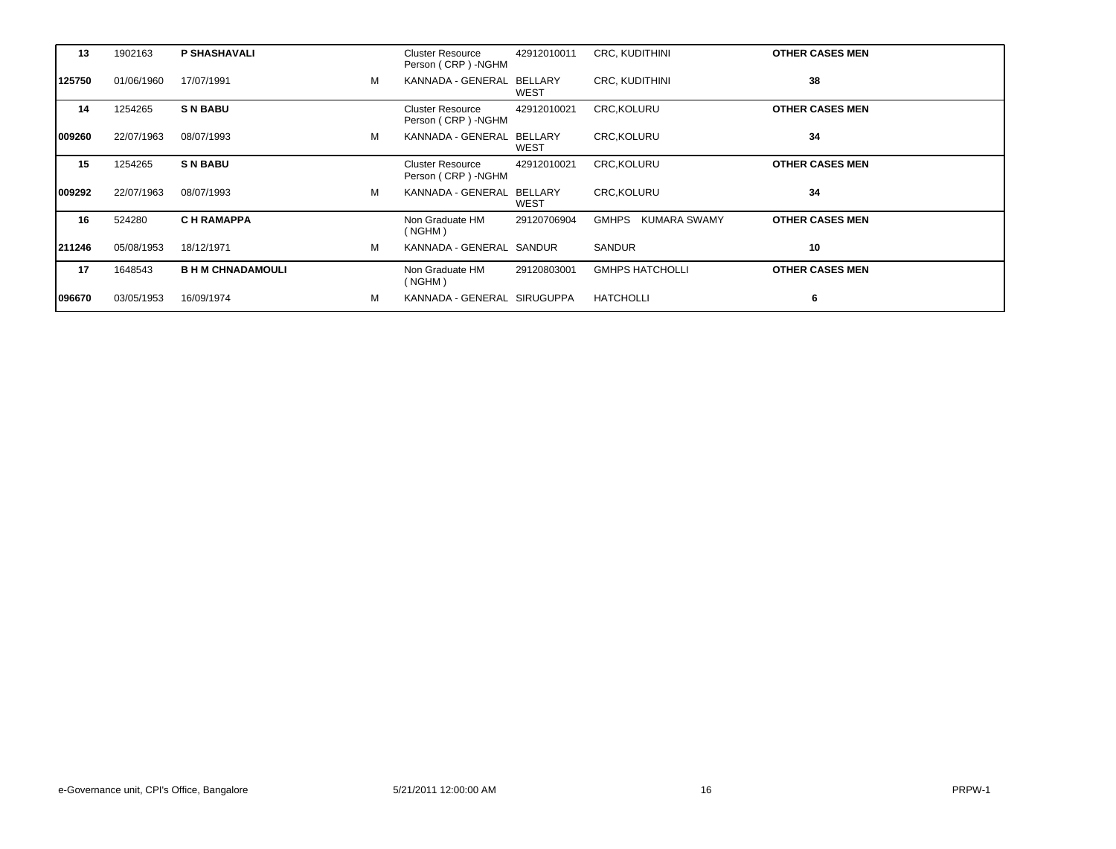| 13     | 1902163    | <b>P SHASHAVALI</b>      |   | <b>Cluster Resource</b><br>Person (CRP) -NGHM  | 42912010011 | CRC, KUDITHINI                      | <b>OTHER CASES MEN</b> |
|--------|------------|--------------------------|---|------------------------------------------------|-------------|-------------------------------------|------------------------|
| 125750 | 01/06/1960 | 17/07/1991               | M | KANNADA - GENERAL BELLARY                      | <b>WEST</b> | <b>CRC, KUDITHINI</b>               | 38                     |
| 14     | 1254265    | <b>SN BABU</b>           |   | <b>Cluster Resource</b><br>Person (CRP) - NGHM | 42912010021 | <b>CRC.KOLURU</b>                   | <b>OTHER CASES MEN</b> |
| 009260 | 22/07/1963 | 08/07/1993               | M | KANNADA - GENERAL BELLARY                      | WEST        | CRC, KOLURU                         | 34                     |
| 15     | 1254265    | <b>SN BABU</b>           |   | <b>Cluster Resource</b><br>Person (CRP) - NGHM | 42912010021 | <b>CRC, KOLURU</b>                  | <b>OTHER CASES MEN</b> |
| 009292 | 22/07/1963 | 08/07/1993               | м | KANNADA - GENERAL BELLARY                      | WEST        | <b>CRC, KOLURU</b>                  | 34                     |
| 16     | 524280     | <b>CH RAMAPPA</b>        |   | Non Graduate HM<br>( NGHM)                     | 29120706904 | <b>GMHPS</b><br><b>KUMARA SWAMY</b> | <b>OTHER CASES MEN</b> |
| 211246 | 05/08/1953 | 18/12/1971               | м | KANNADA - GENERAL SANDUR                       |             | SANDUR                              | 10                     |
| 17     | 1648543    | <b>B H M CHNADAMOULI</b> |   | Non Graduate HM<br>( NGHM)                     | 29120803001 | <b>GMHPS HATCHOLLI</b>              | <b>OTHER CASES MEN</b> |
| 096670 | 03/05/1953 | 16/09/1974               | м | KANNADA - GENERAL SIRUGUPPA                    |             | HATCHOLLI                           | 6                      |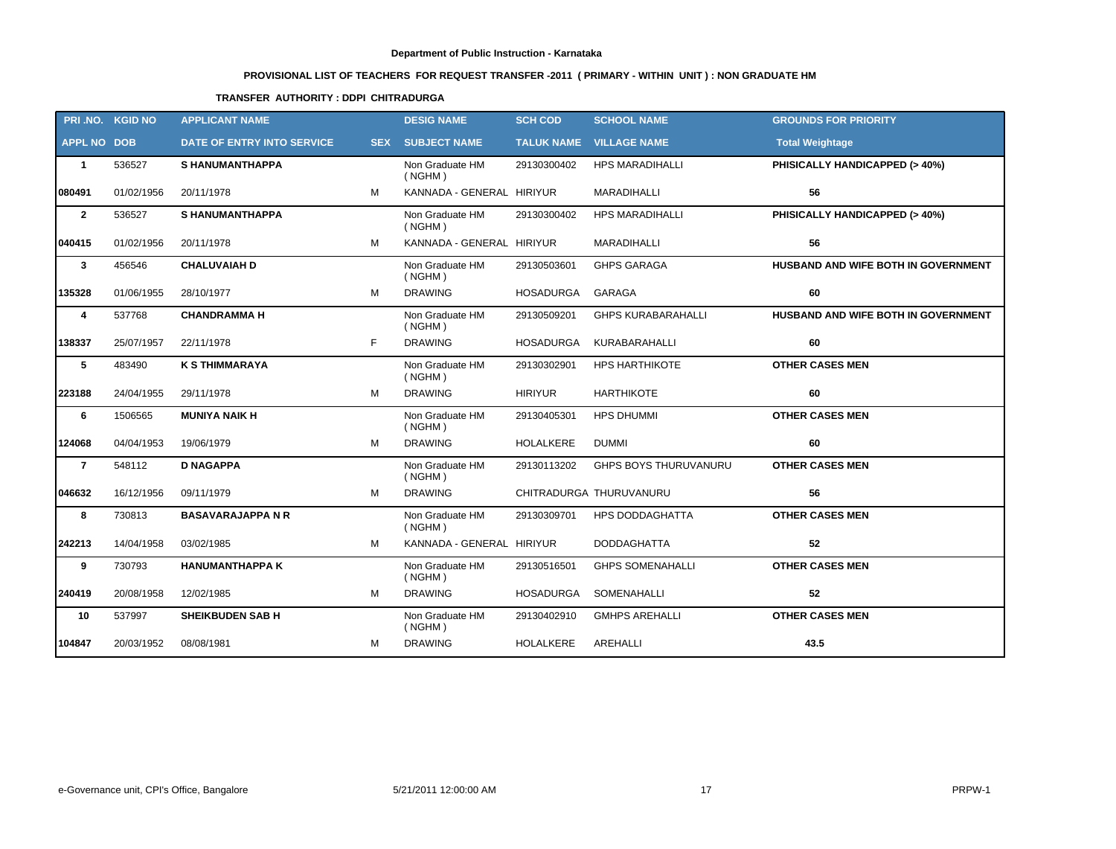# **PROVISIONAL LIST OF TEACHERS FOR REQUEST TRANSFER -2011 ( PRIMARY - WITHIN UNIT ) : NON GRADUATE HM**

# **TRANSFER AUTHORITY : DDPI CHITRADURGA**

|                    | PRI.NO. KGID NO | <b>APPLICANT NAME</b>             |            | <b>DESIG NAME</b>          | <b>SCH COD</b>    | <b>SCHOOL NAME</b>           | <b>GROUNDS FOR PRIORITY</b>         |
|--------------------|-----------------|-----------------------------------|------------|----------------------------|-------------------|------------------------------|-------------------------------------|
| <b>APPL NO DOB</b> |                 | <b>DATE OF ENTRY INTO SERVICE</b> | <b>SEX</b> | <b>SUBJECT NAME</b>        | <b>TALUK NAME</b> | <b>VILLAGE NAME</b>          | <b>Total Weightage</b>              |
| $\mathbf{1}$       | 536527          | <b>S HANUMANTHAPPA</b>            |            | Non Graduate HM<br>( NGHM) | 29130300402       | <b>HPS MARADIHALLI</b>       | PHISICALLY HANDICAPPED (> 40%)      |
| 080491             | 01/02/1956      | 20/11/1978                        | M          | KANNADA - GENERAL HIRIYUR  |                   | MARADIHALLI                  | 56                                  |
| $\mathbf{2}$       | 536527          | <b>S HANUMANTHAPPA</b>            |            | Non Graduate HM<br>( NGHM) | 29130300402       | HPS MARADIHALLI              | PHISICALLY HANDICAPPED (> 40%)      |
| 040415             | 01/02/1956      | 20/11/1978                        | M          | KANNADA - GENERAL HIRIYUR  |                   | <b>MARADIHALLI</b>           | 56                                  |
| 3                  | 456546          | <b>CHALUVAIAH D</b>               |            | Non Graduate HM<br>( NGHM) | 29130503601       | <b>GHPS GARAGA</b>           | HUSBAND AND WIFE BOTH IN GOVERNMENT |
| 135328             | 01/06/1955      | 28/10/1977                        | M          | <b>DRAWING</b>             | HOSADURGA         | GARAGA                       | 60                                  |
| 4                  | 537768          | <b>CHANDRAMMA H</b>               |            | Non Graduate HM<br>( NGHM) | 29130509201       | <b>GHPS KURABARAHALLI</b>    | HUSBAND AND WIFE BOTH IN GOVERNMENT |
| 138337             | 25/07/1957      | 22/11/1978                        | F          | <b>DRAWING</b>             | <b>HOSADURGA</b>  | KURABARAHALLI                | 60                                  |
| $5\phantom{a}$     | 483490          | <b>K S THIMMARAYA</b>             |            | Non Graduate HM<br>( NGHM) | 29130302901       | <b>HPS HARTHIKOTE</b>        | <b>OTHER CASES MEN</b>              |
| 223188             | 24/04/1955      | 29/11/1978                        | M          | <b>DRAWING</b>             | <b>HIRIYUR</b>    | HARTHIKOTE                   | 60                                  |
| 6                  | 1506565         | <b>MUNIYA NAIK H</b>              |            | Non Graduate HM<br>( NGHM) | 29130405301       | HPS DHUMMI                   | <b>OTHER CASES MEN</b>              |
| 124068             | 04/04/1953      | 19/06/1979                        | M          | <b>DRAWING</b>             | <b>HOLALKERE</b>  | <b>DUMMI</b>                 | 60                                  |
| $\overline{7}$     | 548112          | <b>D NAGAPPA</b>                  |            | Non Graduate HM<br>( NGHM) | 29130113202       | <b>GHPS BOYS THURUVANURU</b> | <b>OTHER CASES MEN</b>              |
| 046632             | 16/12/1956      | 09/11/1979                        | M          | <b>DRAWING</b>             |                   | CHITRADURGA THURUVANURU      | 56                                  |
| 8                  | 730813          | <b>BASAVARAJAPPA N R</b>          |            | Non Graduate HM<br>( NGHM) | 29130309701       | HPS DODDAGHATTA              | <b>OTHER CASES MEN</b>              |
| 242213             | 14/04/1958      | 03/02/1985                        | M          | KANNADA - GENERAL HIRIYUR  |                   | <b>DODDAGHATTA</b>           | 52                                  |
| 9                  | 730793          | <b>HANUMANTHAPPA K</b>            |            | Non Graduate HM<br>( NGHM) | 29130516501       | <b>GHPS SOMENAHALLI</b>      | <b>OTHER CASES MEN</b>              |
| 240419             | 20/08/1958      | 12/02/1985                        | M          | <b>DRAWING</b>             | HOSADURGA         | SOMENAHALLI                  | 52                                  |
| 10                 | 537997          | <b>SHEIKBUDEN SAB H</b>           |            | Non Graduate HM<br>(NGHM)  | 29130402910       | <b>GMHPS AREHALLI</b>        | <b>OTHER CASES MEN</b>              |
| 104847             | 20/03/1952      | 08/08/1981                        | M          | <b>DRAWING</b>             | <b>HOLALKERE</b>  | AREHALLI                     | 43.5                                |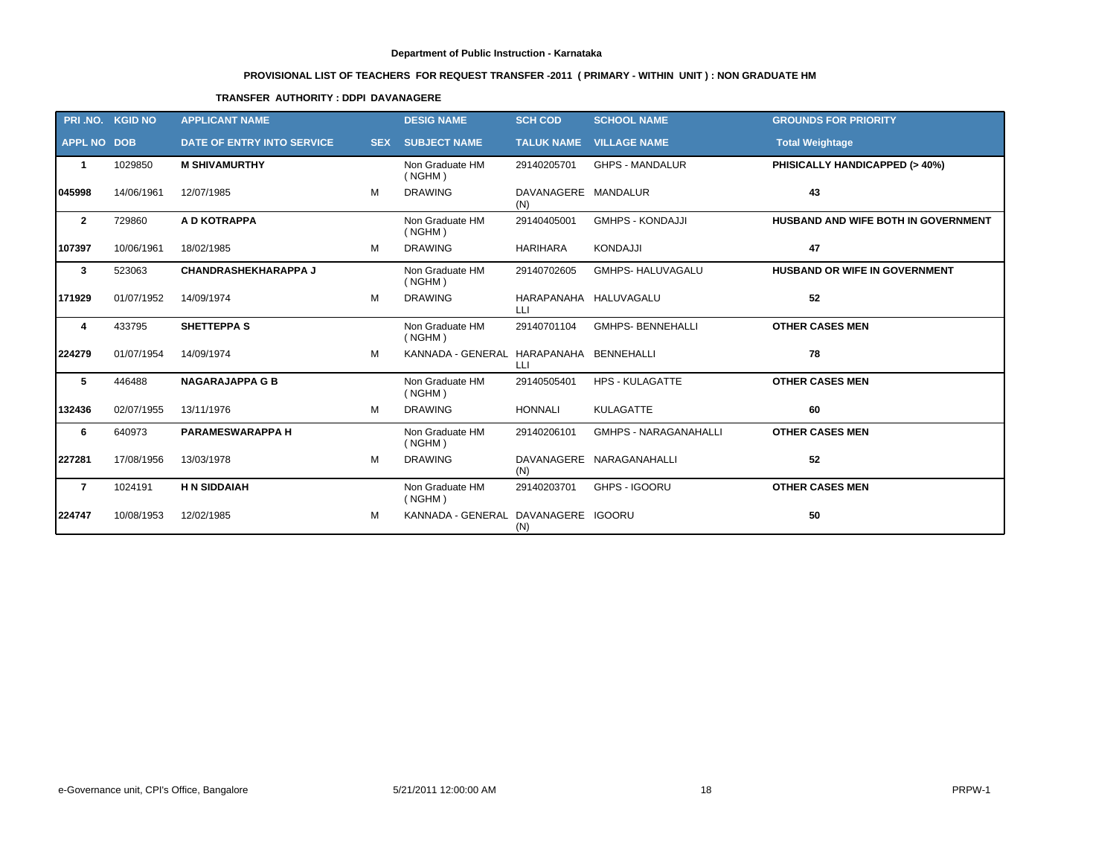# **PROVISIONAL LIST OF TEACHERS FOR REQUEST TRANSFER -2011 ( PRIMARY - WITHIN UNIT ) : NON GRADUATE HM**

# **TRANSFER AUTHORITY : DDPI DAVANAGERE**

|                    | PRI.NO. KGID NO | <b>APPLICANT NAME</b>       |            | <b>DESIG NAME</b>                       | <b>SCH COD</b>              | <b>SCHOOL NAME</b>           | <b>GROUNDS FOR PRIORITY</b>          |
|--------------------|-----------------|-----------------------------|------------|-----------------------------------------|-----------------------------|------------------------------|--------------------------------------|
| <b>APPL NO DOB</b> |                 | DATE OF ENTRY INTO SERVICE  | <b>SEX</b> | <b>SUBJECT NAME</b>                     | <b>TALUK NAME</b>           | <b>VILLAGE NAME</b>          | <b>Total Weightage</b>               |
| $\mathbf{1}$       | 1029850         | <b>M SHIVAMURTHY</b>        |            | Non Graduate HM<br>( NGHM)              | 29140205701                 | <b>GHPS - MANDALUR</b>       | PHISICALLY HANDICAPPED (> 40%)       |
| 045998             | 14/06/1961      | 12/07/1985                  | M          | <b>DRAWING</b>                          | DAVANAGERE MANDALUR<br>(N)  |                              | 43                                   |
| $\overline{2}$     | 729860          | A D KOTRAPPA                |            | Non Graduate HM<br>( NGHM)              | 29140405001                 | <b>GMHPS - KONDAJJI</b>      | HUSBAND AND WIFE BOTH IN GOVERNMENT  |
| 107397             | 10/06/1961      | 18/02/1985                  | M          | <b>DRAWING</b>                          | <b>HARIHARA</b>             | <b>KONDAJJI</b>              | 47                                   |
| 3                  | 523063          | <b>CHANDRASHEKHARAPPA J</b> |            | Non Graduate HM<br>( NGHM)              | 29140702605                 | <b>GMHPS- HALUVAGALU</b>     | <b>HUSBAND OR WIFE IN GOVERNMENT</b> |
| 171929             | 01/07/1952      | 14/09/1974                  | M          | <b>DRAWING</b>                          | HARAPANAHA HALUVAGALU<br>LЦ |                              | 52                                   |
| 4                  | 433795          | <b>SHETTEPPA S</b>          |            | Non Graduate HM<br>( NGHM)              | 29140701104                 | <b>GMHPS-BENNEHALLI</b>      | <b>OTHER CASES MEN</b>               |
| 224279             | 01/07/1954      | 14/09/1974                  | M          | KANNADA - GENERAL HARAPANAHA BENNEHALLI | LLI                         |                              | 78                                   |
| 5                  | 446488          | <b>NAGARAJAPPA G B</b>      |            | Non Graduate HM<br>( NGHM)              | 29140505401                 | <b>HPS - KULAGATTE</b>       | <b>OTHER CASES MEN</b>               |
| 132436             | 02/07/1955      | 13/11/1976                  | м          | <b>DRAWING</b>                          | <b>HONNALI</b>              | <b>KULAGATTE</b>             | 60                                   |
| 6                  | 640973          | <b>PARAMESWARAPPA H</b>     |            | Non Graduate HM<br>( NGHM)              | 29140206101                 | <b>GMHPS - NARAGANAHALLI</b> | <b>OTHER CASES MEN</b>               |
| 227281             | 17/08/1956      | 13/03/1978                  | М          | <b>DRAWING</b>                          | (N)                         | DAVANAGERE NARAGANAHALLI     | 52                                   |
| $\overline{7}$     | 1024191         | <b>H N SIDDAIAH</b>         |            | Non Graduate HM<br>( NGHM)              | 29140203701                 | GHPS - IGOORU                | <b>OTHER CASES MEN</b>               |
| 224747             | 10/08/1953      | 12/02/1985                  | м          | KANNADA - GENERAL DAVANAGERE IGOORU     | (N)                         |                              | 50                                   |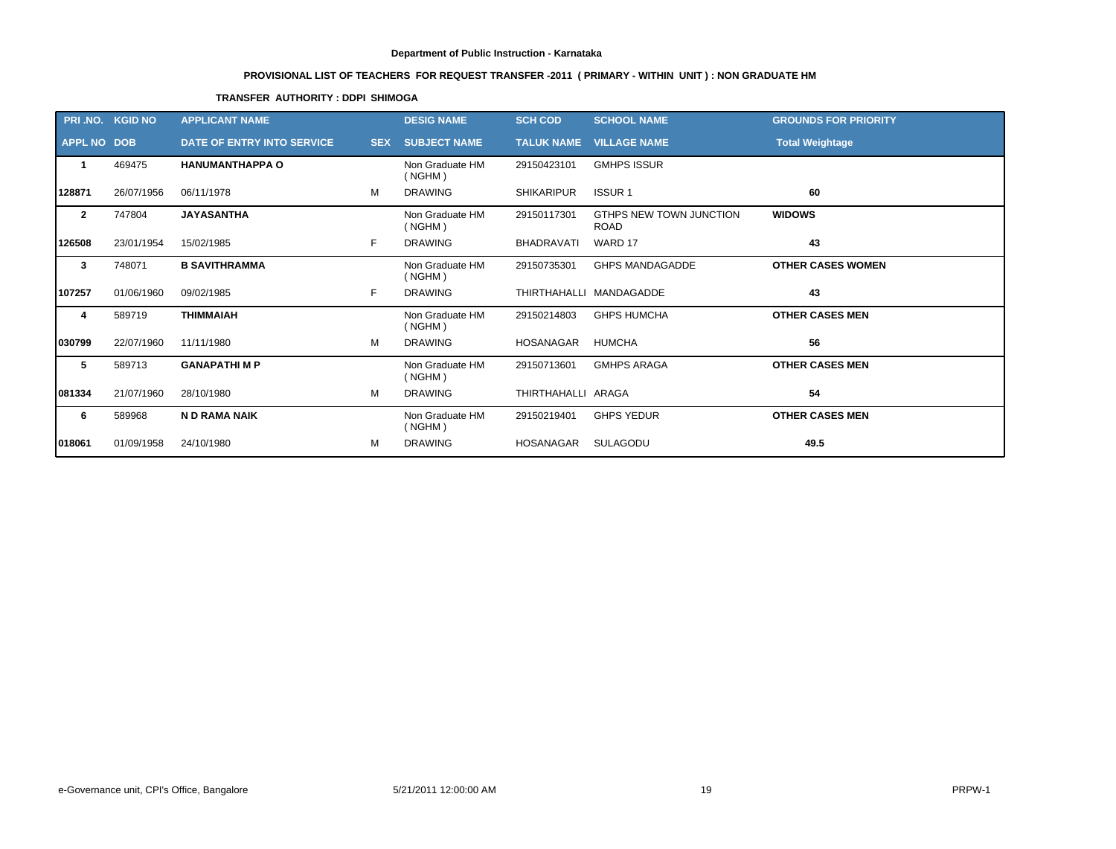# **PROVISIONAL LIST OF TEACHERS FOR REQUEST TRANSFER -2011 ( PRIMARY - WITHIN UNIT ) : NON GRADUATE HM**

# **TRANSFER AUTHORITY : DDPI SHIMOGA**

|                    | PRI.NO. KGID NO | <b>APPLICANT NAME</b>      |            | <b>DESIG NAME</b>          | <b>SCH COD</b>     | <b>SCHOOL NAME</b>                     | <b>GROUNDS FOR PRIORITY</b> |
|--------------------|-----------------|----------------------------|------------|----------------------------|--------------------|----------------------------------------|-----------------------------|
| <b>APPL NO DOB</b> |                 | DATE OF ENTRY INTO SERVICE | <b>SEX</b> | <b>SUBJECT NAME</b>        |                    | <b>TALUK NAME VILLAGE NAME</b>         | <b>Total Weightage</b>      |
| -1                 | 469475          | <b>HANUMANTHAPPA O</b>     |            | Non Graduate HM<br>(NGHM)  | 29150423101        | <b>GMHPS ISSUR</b>                     |                             |
| 128871             | 26/07/1956      | 06/11/1978                 | м          | <b>DRAWING</b>             | <b>SHIKARIPUR</b>  | <b>ISSUR1</b>                          | 60                          |
| $\overline{2}$     | 747804          | <b>JAYASANTHA</b>          |            | Non Graduate HM<br>( NGHM) | 29150117301        | GTHPS NEW TOWN JUNCTION<br><b>ROAD</b> | <b>WIDOWS</b>               |
| 126508             | 23/01/1954      | 15/02/1985                 | F.         | <b>DRAWING</b>             | <b>BHADRAVATI</b>  | WARD 17                                | 43                          |
| 3                  | 748071          | <b>B SAVITHRAMMA</b>       |            | Non Graduate HM<br>(NGHM)  | 29150735301        | <b>GHPS MANDAGADDE</b>                 | <b>OTHER CASES WOMEN</b>    |
| 107257             | 01/06/1960      | 09/02/1985                 | F          | <b>DRAWING</b>             |                    | THIRTHAHALLI MANDAGADDE                | 43                          |
| 4                  | 589719          | <b>THIMMAIAH</b>           |            | Non Graduate HM<br>( NGHM) | 29150214803        | <b>GHPS HUMCHA</b>                     | <b>OTHER CASES MEN</b>      |
| 1030799            | 22/07/1960      | 11/11/1980                 | м          | <b>DRAWING</b>             | <b>HOSANAGAR</b>   | <b>HUMCHA</b>                          | 56                          |
| 5                  | 589713          | <b>GANAPATHIMP</b>         |            | Non Graduate HM<br>( NGHM) | 29150713601        | <b>GMHPS ARAGA</b>                     | <b>OTHER CASES MEN</b>      |
| 081334             | 21/07/1960      | 28/10/1980                 | м          | <b>DRAWING</b>             | THIRTHAHALLI ARAGA |                                        | 54                          |
| 6                  | 589968          | N D RAMA NAIK              |            | Non Graduate HM<br>( NGHM) | 29150219401        | <b>GHPS YEDUR</b>                      | <b>OTHER CASES MEN</b>      |
| 018061             | 01/09/1958      | 24/10/1980                 | м          | <b>DRAWING</b>             | <b>HOSANAGAR</b>   | SULAGODU                               | 49.5                        |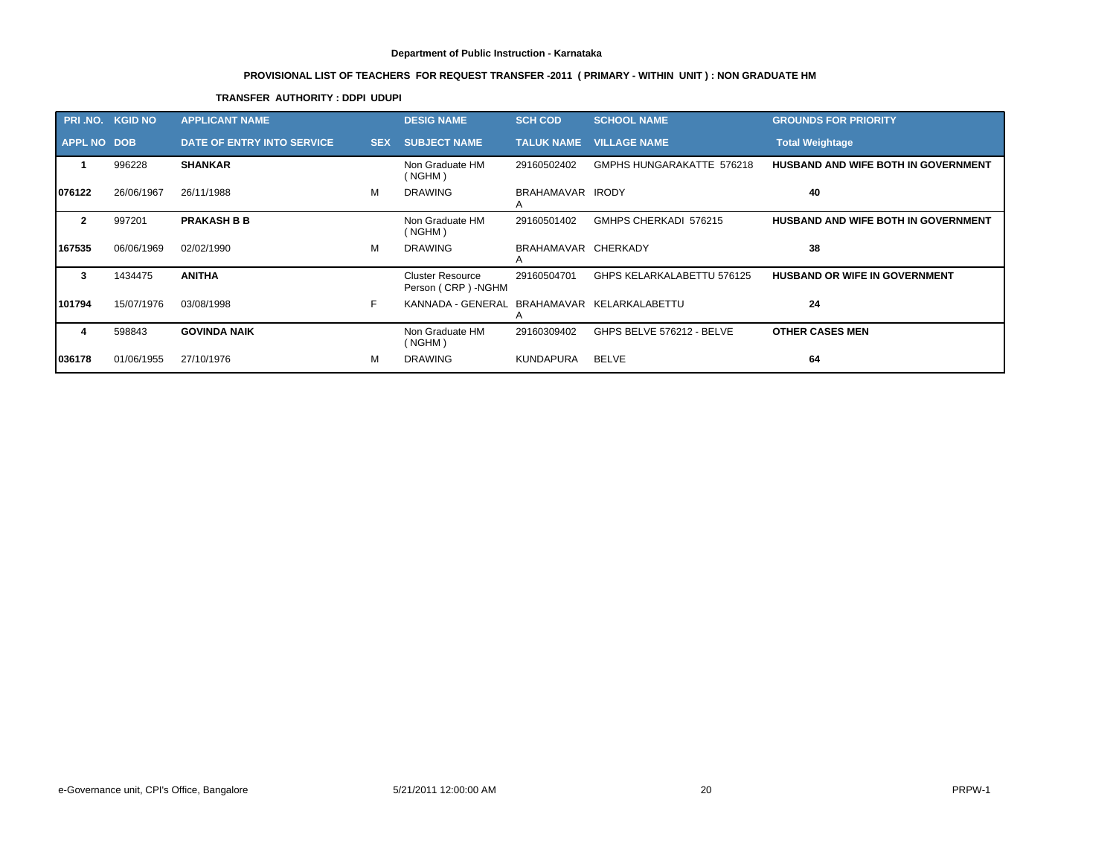# **PROVISIONAL LIST OF TEACHERS FOR REQUEST TRANSFER -2011 ( PRIMARY - WITHIN UNIT ) : NON GRADUATE HM**

# **TRANSFER AUTHORITY : DDPI UDUPI**

|                    | PRI.NO. KGID NO | <b>APPLICANT NAME</b>      |            | <b>DESIG NAME</b>                              | <b>SCH COD</b>           | <b>SCHOOL NAME</b>             | <b>GROUNDS FOR PRIORITY</b>                |
|--------------------|-----------------|----------------------------|------------|------------------------------------------------|--------------------------|--------------------------------|--------------------------------------------|
| <b>APPL NO DOB</b> |                 | DATE OF ENTRY INTO SERVICE | <b>SEX</b> | <b>SUBJECT NAME</b>                            |                          | <b>TALUK NAME VILLAGE NAME</b> | <b>Total Weightage</b>                     |
|                    | 996228          | <b>SHANKAR</b>             |            | Non Graduate HM<br>(NGHM)                      | 29160502402              | GMPHS HUNGARAKATTE 576218      | <b>HUSBAND AND WIFE BOTH IN GOVERNMENT</b> |
| 076122             | 26/06/1967      | 26/11/1988                 | м          | <b>DRAWING</b>                                 | BRAHAMAVAR IRODY<br>A    |                                | 40                                         |
| $\mathbf{2}$       | 997201          | <b>PRAKASH B B</b>         |            | Non Graduate HM<br>(NGHM)                      | 29160501402              | GMHPS CHERKADI 576215          | <b>HUSBAND AND WIFE BOTH IN GOVERNMENT</b> |
| 167535             | 06/06/1969      | 02/02/1990                 | M          | <b>DRAWING</b>                                 | BRAHAMAVAR CHERKADY<br>A |                                | 38                                         |
| 3                  | 1434475         | <b>ANITHA</b>              |            | <b>Cluster Resource</b><br>Person (CRP) - NGHM | 29160504701              | GHPS KELARKALABETTU 576125     | <b>HUSBAND OR WIFE IN GOVERNMENT</b>       |
| 101794             | 15/07/1976      | 03/08/1998                 | F.         | KANNADA - GENERAL BRAHAMAVAR KELARKALABETTU    |                          |                                | 24                                         |
| 4                  | 598843          | <b>GOVINDA NAIK</b>        |            | Non Graduate HM<br>(NGHM)                      | 29160309402              | GHPS BELVE 576212 - BELVE      | <b>OTHER CASES MEN</b>                     |
| 036178             | 01/06/1955      | 27/10/1976                 | м          | <b>DRAWING</b>                                 | KUNDAPURA                | BELVE                          | 64                                         |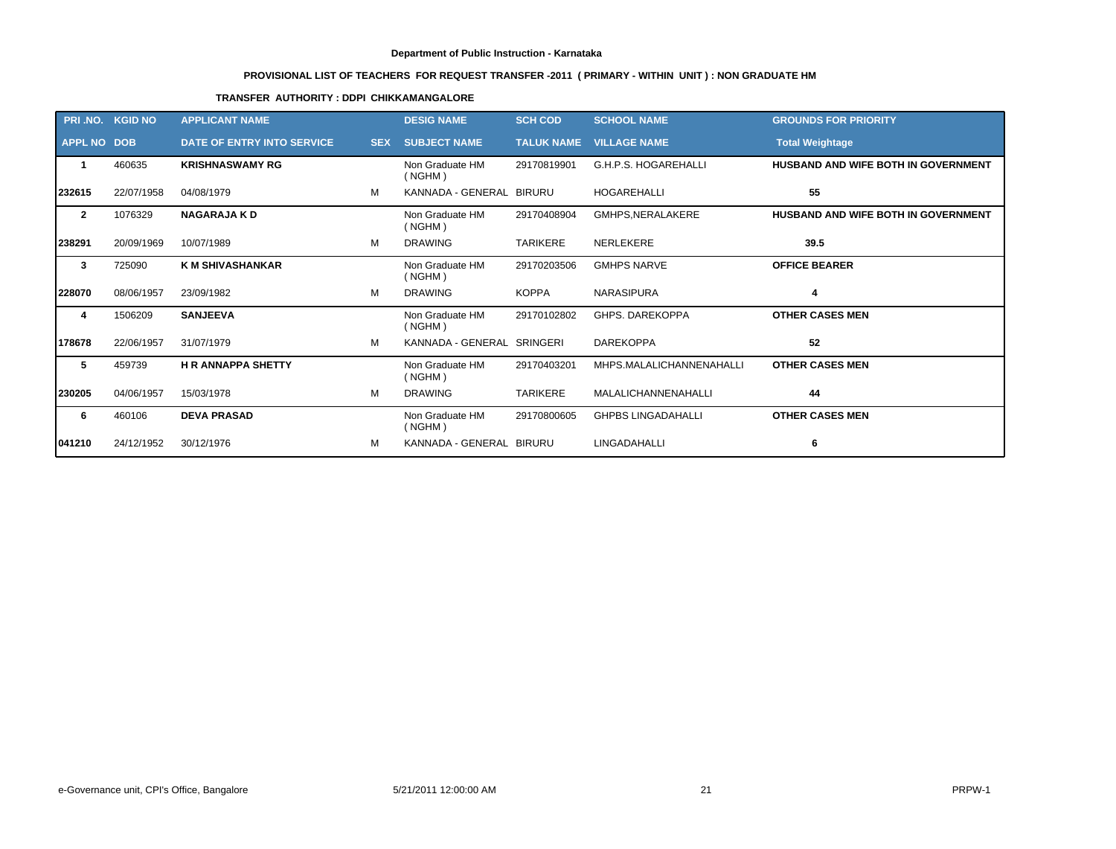# **PROVISIONAL LIST OF TEACHERS FOR REQUEST TRANSFER -2011 ( PRIMARY - WITHIN UNIT ) : NON GRADUATE HM**

# **TRANSFER AUTHORITY : DDPI CHIKKAMANGALORE**

|                    | PRI.NO. KGID NO | <b>APPLICANT NAME</b>             |            | <b>DESIG NAME</b>          | <b>SCH COD</b>    | <b>SCHOOL NAME</b>        | <b>GROUNDS FOR PRIORITY</b>                |
|--------------------|-----------------|-----------------------------------|------------|----------------------------|-------------------|---------------------------|--------------------------------------------|
| <b>APPL NO DOB</b> |                 | <b>DATE OF ENTRY INTO SERVICE</b> | <b>SEX</b> | <b>SUBJECT NAME</b>        | <b>TALUK NAME</b> | <b>VILLAGE NAME</b>       | <b>Total Weightage</b>                     |
| -1                 | 460635          | <b>KRISHNASWAMY RG</b>            |            | Non Graduate HM<br>( NGHM) | 29170819901       | G.H.P.S. HOGAREHALLI      | HUSBAND AND WIFE BOTH IN GOVERNMENT        |
| 232615             | 22/07/1958      | 04/08/1979                        | м          | KANNADA - GENERAL BIRURU   |                   | <b>HOGAREHALLI</b>        | 55                                         |
| $\overline{2}$     | 1076329         | <b>NAGARAJA K D</b>               |            | Non Graduate HM<br>( NGHM) | 29170408904       | GMHPS, NERALAKERE         | <b>HUSBAND AND WIFE BOTH IN GOVERNMENT</b> |
| 238291             | 20/09/1969      | 10/07/1989                        | м          | <b>DRAWING</b>             | TARIKERE          | <b>NERLEKERE</b>          | 39.5                                       |
| 3                  | 725090          | <b>K M SHIVASHANKAR</b>           |            | Non Graduate HM<br>( NGHM) | 29170203506       | <b>GMHPS NARVE</b>        | <b>OFFICE BEARER</b>                       |
| 228070             | 08/06/1957      | 23/09/1982                        | м          | <b>DRAWING</b>             | <b>KOPPA</b>      | <b>NARASIPURA</b>         | 4                                          |
| 4                  | 1506209         | <b>SANJEEVA</b>                   |            | Non Graduate HM<br>( NGHM) | 29170102802       | GHPS. DAREKOPPA           | <b>OTHER CASES MEN</b>                     |
| 178678             | 22/06/1957      | 31/07/1979                        | м          | KANNADA - GENERAL SRINGERI |                   | <b>DAREKOPPA</b>          | 52                                         |
| 5                  | 459739          | <b>HR ANNAPPA SHETTY</b>          |            | Non Graduate HM<br>( NGHM) | 29170403201       | MHPS.MALALICHANNENAHALLI  | <b>OTHER CASES MEN</b>                     |
| 230205             | 04/06/1957      | 15/03/1978                        | м          | <b>DRAWING</b>             | <b>TARIKERE</b>   | MALALICHANNENAHALLI       | 44                                         |
| 6                  | 460106          | <b>DEVA PRASAD</b>                |            | Non Graduate HM<br>(NGHM)  | 29170800605       | <b>GHPBS LINGADAHALLI</b> | <b>OTHER CASES MEN</b>                     |
| 1041210            | 24/12/1952      | 30/12/1976                        | м          | KANNADA - GENERAL BIRURU   |                   | LINGADAHALLI              | 6                                          |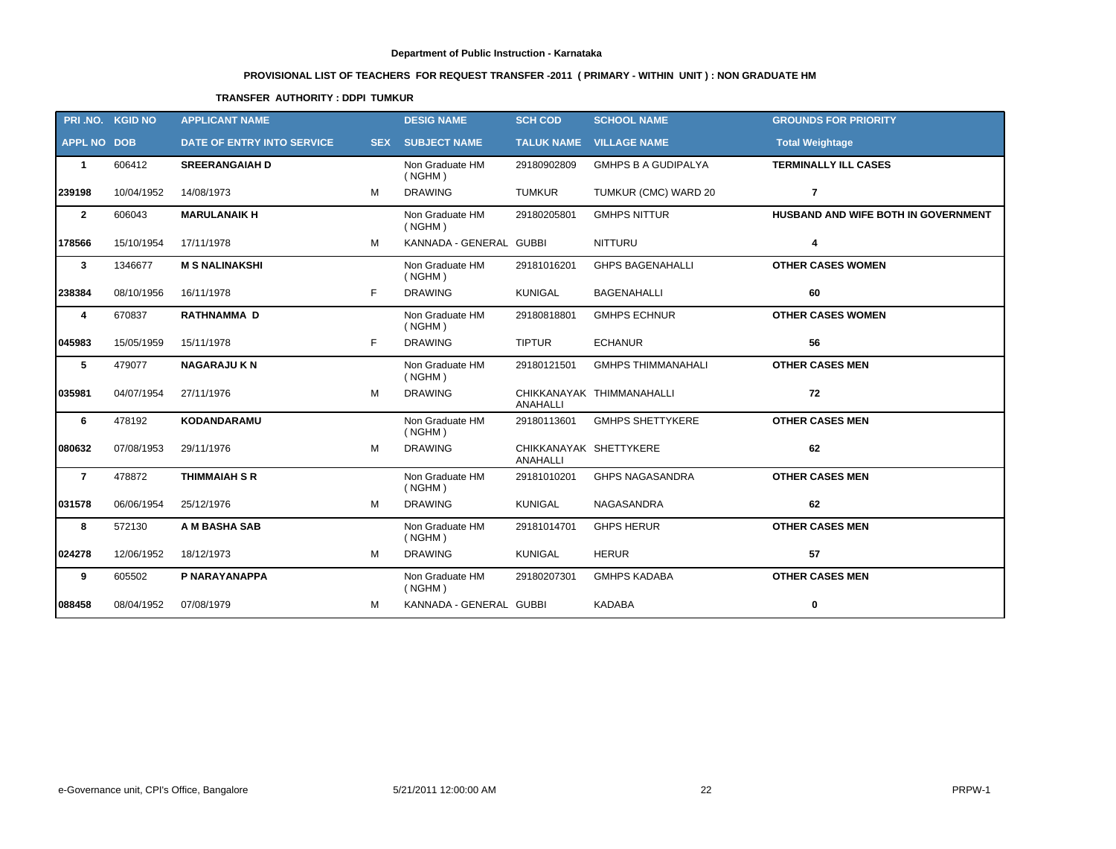# **PROVISIONAL LIST OF TEACHERS FOR REQUEST TRANSFER -2011 ( PRIMARY - WITHIN UNIT ) : NON GRADUATE HM**

# **TRANSFER AUTHORITY : DDPI TUMKUR**

|                    | PRI NO. KGID NO | <b>APPLICANT NAME</b>      |   | <b>DESIG NAME</b>          | <b>SCH COD</b>                     | <b>SCHOOL NAME</b>         | <b>GROUNDS FOR PRIORITY</b>         |
|--------------------|-----------------|----------------------------|---|----------------------------|------------------------------------|----------------------------|-------------------------------------|
| <b>APPL NO DOB</b> |                 | DATE OF ENTRY INTO SERVICE |   | <b>SEX SUBJECT NAME</b>    |                                    | TALUK NAME VILLAGE NAME    | <b>Total Weightage</b>              |
| $\mathbf{1}$       | 606412          | <b>SREERANGAIAH D</b>      |   | Non Graduate HM<br>(NGHM)  | 29180902809                        | <b>GMHPS B A GUDIPALYA</b> | <b>TERMINALLY ILL CASES</b>         |
| 239198             | 10/04/1952      | 14/08/1973                 | м | <b>DRAWING</b>             | <b>TUMKUR</b>                      | TUMKUR (CMC) WARD 20       | $\overline{7}$                      |
| $\mathbf{2}$       | 606043          | <b>MARULANAIK H</b>        |   | Non Graduate HM<br>(NGHM)  | 29180205801                        | <b>GMHPS NITTUR</b>        | HUSBAND AND WIFE BOTH IN GOVERNMENT |
| 178566             | 15/10/1954      | 17/11/1978                 | M | KANNADA - GENERAL GUBBI    |                                    | <b>NITTURU</b>             | 4                                   |
| $\mathbf{3}$       | 1346677         | <b>M S NALINAKSHI</b>      |   | Non Graduate HM<br>( NGHM) | 29181016201                        | <b>GHPS BAGENAHALLI</b>    | <b>OTHER CASES WOMEN</b>            |
| 238384             | 08/10/1956      | 16/11/1978                 | F | <b>DRAWING</b>             | <b>KUNIGAL</b>                     | <b>BAGENAHALLI</b>         | 60                                  |
| 4                  | 670837          | <b>RATHNAMMA D</b>         |   | Non Graduate HM<br>(NGHM)  | 29180818801                        | <b>GMHPS ECHNUR</b>        | <b>OTHER CASES WOMEN</b>            |
| 045983             | 15/05/1959      | 15/11/1978                 | F | <b>DRAWING</b>             | <b>TIPTUR</b>                      | <b>ECHANUR</b>             | 56                                  |
| 5                  | 479077          | <b>NAGARAJU K N</b>        |   | Non Graduate HM<br>( NGHM) | 29180121501                        | <b>GMHPS THIMMANAHALI</b>  | <b>OTHER CASES MEN</b>              |
| 035981             | 04/07/1954      | 27/11/1976                 | M | <b>DRAWING</b>             | <b>ANAHALLI</b>                    | CHIKKANAYAK THIMMANAHALLI  | 72                                  |
| 6                  | 478192          | KODANDARAMU                |   | Non Graduate HM<br>(NGHM)  | 29180113601                        | <b>GMHPS SHETTYKERE</b>    | <b>OTHER CASES MEN</b>              |
| 080632             | 07/08/1953      | 29/11/1976                 | M | <b>DRAWING</b>             | CHIKKANAYAK SHETTYKERE<br>ANAHALLI |                            | 62                                  |
| $\overline{7}$     | 478872          | <b>THIMMAIAH S R</b>       |   | Non Graduate HM<br>(NGHM)  | 29181010201                        | <b>GHPS NAGASANDRA</b>     | <b>OTHER CASES MEN</b>              |
| 031578             | 06/06/1954      | 25/12/1976                 | M | <b>DRAWING</b>             | <b>KUNIGAL</b>                     | NAGASANDRA                 | 62                                  |
| 8                  | 572130          | A M BASHA SAB              |   | Non Graduate HM<br>( NGHM) | 29181014701                        | <b>GHPS HERUR</b>          | <b>OTHER CASES MEN</b>              |
| 024278             | 12/06/1952      | 18/12/1973                 | М | <b>DRAWING</b>             | <b>KUNIGAL</b>                     | <b>HERUR</b>               | 57                                  |
| 9                  | 605502          | P NARAYANAPPA              |   | Non Graduate HM<br>( NGHM) | 29180207301                        | <b>GMHPS KADABA</b>        | <b>OTHER CASES MEN</b>              |
| 088458             | 08/04/1952      | 07/08/1979                 | м | KANNADA - GENERAL GUBBI    |                                    | <b>KADABA</b>              | $\mathbf 0$                         |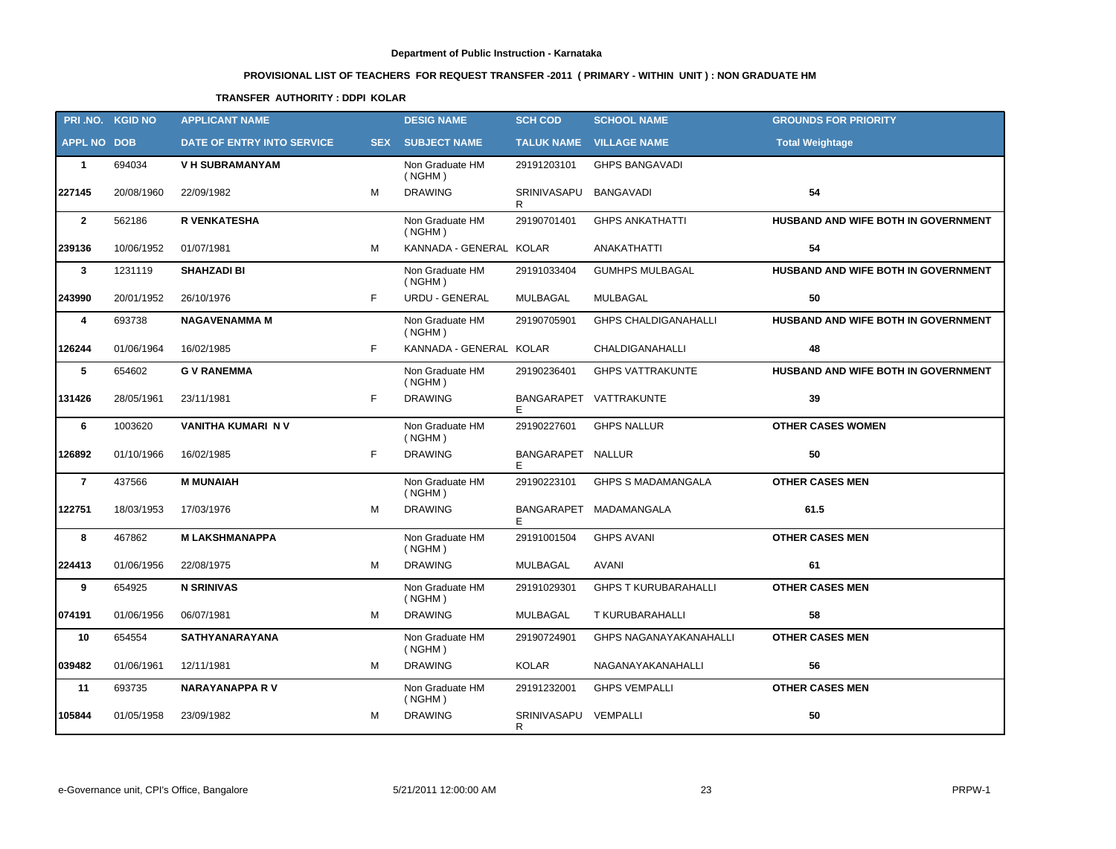# **PROVISIONAL LIST OF TEACHERS FOR REQUEST TRANSFER -2011 ( PRIMARY - WITHIN UNIT ) : NON GRADUATE HM**

# **TRANSFER AUTHORITY : DDPI KOLAR**

|                    | PRI.NO. KGID NO | <b>APPLICANT NAME</b>      |    | <b>DESIG NAME</b>          | <b>SCH COD</b>             | <b>SCHOOL NAME</b>             | <b>GROUNDS FOR PRIORITY</b>         |
|--------------------|-----------------|----------------------------|----|----------------------------|----------------------------|--------------------------------|-------------------------------------|
| <b>APPL NO DOB</b> |                 | DATE OF ENTRY INTO SERVICE |    | <b>SEX SUBJECT NAME</b>    |                            | <b>TALUK NAME VILLAGE NAME</b> | <b>Total Weightage</b>              |
| $\mathbf{1}$       | 694034          | <b>V H SUBRAMANYAM</b>     |    | Non Graduate HM<br>(NGHM)  | 29191203101                | <b>GHPS BANGAVADI</b>          |                                     |
| 227145             | 20/08/1960      | 22/09/1982                 | M  | <b>DRAWING</b>             | SRINIVASAPU<br>R           | <b>BANGAVADI</b>               | 54                                  |
| $\overline{2}$     | 562186          | <b>R VENKATESHA</b>        |    | Non Graduate HM<br>( NGHM) | 29190701401                | <b>GHPS ANKATHATTI</b>         | HUSBAND AND WIFE BOTH IN GOVERNMENT |
| 239136             | 10/06/1952      | 01/07/1981                 | М  | KANNADA - GENERAL KOLAR    |                            | ANAKATHATTI                    | 54                                  |
| $\mathbf{3}$       | 1231119         | <b>SHAHZADI BI</b>         |    | Non Graduate HM<br>( NGHM) | 29191033404                | <b>GUMHPS MULBAGAL</b>         | HUSBAND AND WIFE BOTH IN GOVERNMENT |
| 243990             | 20/01/1952      | 26/10/1976                 | F  | URDU - GENERAL             | MULBAGAL                   | MULBAGAL                       | 50                                  |
| 4                  | 693738          | <b>NAGAVENAMMA M</b>       |    | Non Graduate HM<br>( NGHM) | 29190705901                | <b>GHPS CHALDIGANAHALLI</b>    | HUSBAND AND WIFE BOTH IN GOVERNMENT |
| 126244             | 01/06/1964      | 16/02/1985                 | F. | KANNADA - GENERAL KOLAR    |                            | <b>CHALDIGANAHALLI</b>         | 48                                  |
| 5                  | 654602          | <b>G V RANEMMA</b>         |    | Non Graduate HM<br>( NGHM) | 29190236401                | <b>GHPS VATTRAKUNTE</b>        | HUSBAND AND WIFE BOTH IN GOVERNMENT |
| 131426             | 28/05/1961      | 23/11/1981                 | F. | <b>DRAWING</b>             | Е                          | BANGARAPET VATTRAKUNTE         | 39                                  |
| 6                  | 1003620         | <b>VANITHA KUMARI NV</b>   |    | Non Graduate HM<br>( NGHM) | 29190227601                | <b>GHPS NALLUR</b>             | <b>OTHER CASES WOMEN</b>            |
| 126892             | 01/10/1966      | 16/02/1985                 | F  | <b>DRAWING</b>             | BANGARAPET NALLUR<br>E     |                                | 50                                  |
| $\overline{7}$     | 437566          | <b>M MUNAIAH</b>           |    | Non Graduate HM<br>( NGHM) | 29190223101                | <b>GHPS S MADAMANGALA</b>      | <b>OTHER CASES MEN</b>              |
| 122751             | 18/03/1953      | 17/03/1976                 | M  | <b>DRAWING</b>             | <b>BANGARAPET</b>          | MADAMANGALA                    | 61.5                                |
| 8                  | 467862          | <b>M LAKSHMANAPPA</b>      |    | Non Graduate HM<br>( NGHM) | 29191001504                | <b>GHPS AVANI</b>              | <b>OTHER CASES MEN</b>              |
| 224413             | 01/06/1956      | 22/08/1975                 | M  | <b>DRAWING</b>             | MULBAGAL                   | <b>AVANI</b>                   | 61                                  |
| $\boldsymbol{9}$   | 654925          | <b>N SRINIVAS</b>          |    | Non Graduate HM<br>( NGHM) | 29191029301                | <b>GHPS T KURUBARAHALLI</b>    | <b>OTHER CASES MEN</b>              |
| 074191             | 01/06/1956      | 06/07/1981                 | М  | <b>DRAWING</b>             | MULBAGAL                   | T KURUBARAHALLI                | 58                                  |
| 10                 | 654554          | <b>SATHYANARAYANA</b>      |    | Non Graduate HM<br>(NGHM)  | 29190724901                | <b>GHPS NAGANAYAKANAHALLI</b>  | <b>OTHER CASES MEN</b>              |
| 039482             | 01/06/1961      | 12/11/1981                 | М  | <b>DRAWING</b>             | <b>KOLAR</b>               | NAGANAYAKANAHALLI              | 56                                  |
| 11                 | 693735          | <b>NARAYANAPPA RV</b>      |    | Non Graduate HM<br>( NGHM) | 29191232001                | <b>GHPS VEMPALLI</b>           | <b>OTHER CASES MEN</b>              |
| 105844             | 01/05/1958      | 23/09/1982                 | М  | <b>DRAWING</b>             | SRINIVASAPU VEMPALLI<br>R. |                                | 50                                  |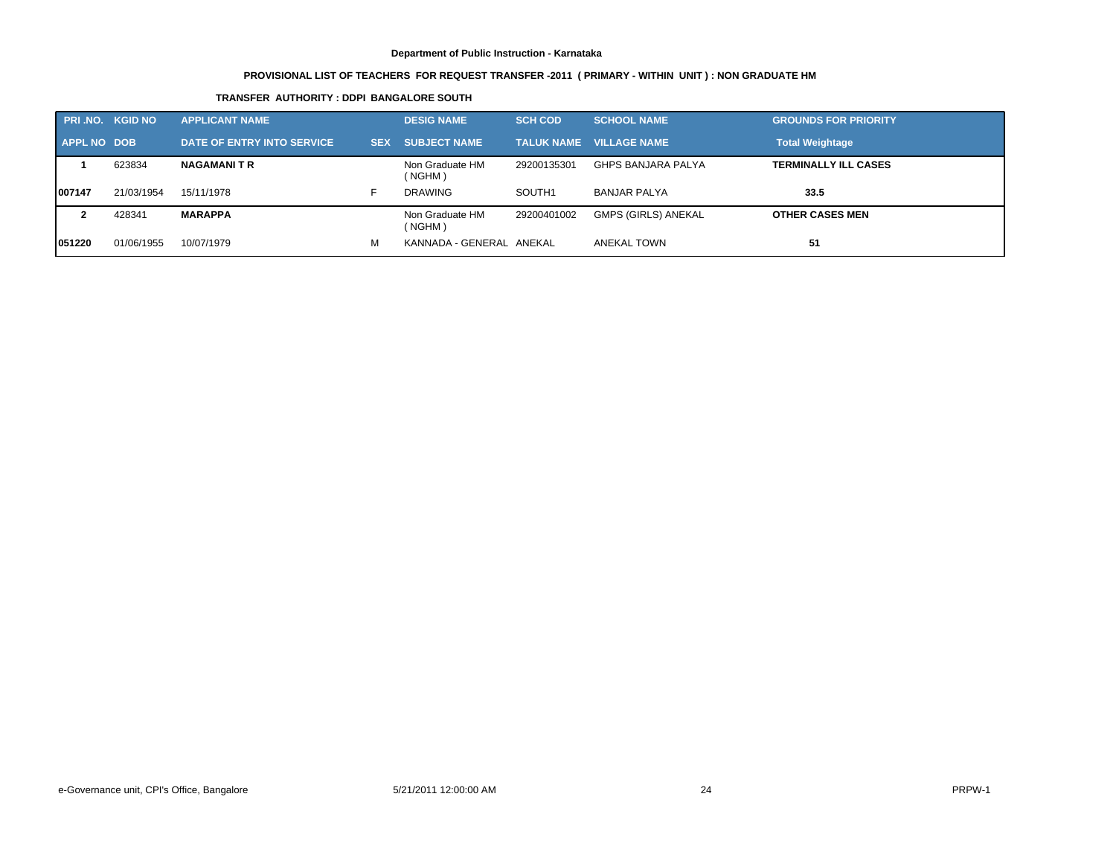# **PROVISIONAL LIST OF TEACHERS FOR REQUEST TRANSFER -2011 ( PRIMARY - WITHIN UNIT ) : NON GRADUATE HM**

# **TRANSFER AUTHORITY : DDPI BANGALORE SOUTH**

|                    | <b>PRI.NO. KGID NO</b> | <b>APPLICANT NAME</b>      |            | <b>DESIG NAME</b>         | <b>SCH COD</b> | <b>SCHOOL NAME</b>             | <b>GROUNDS FOR PRIORITY</b> |
|--------------------|------------------------|----------------------------|------------|---------------------------|----------------|--------------------------------|-----------------------------|
| <b>APPL NO DOB</b> |                        | DATE OF ENTRY INTO SERVICE | <b>SEX</b> | <b>SUBJECT NAME</b>       |                | <b>TALUK NAME VILLAGE NAME</b> | <b>Total Weightage</b>      |
|                    | 623834                 | <b>NAGAMANITR</b>          |            | Non Graduate HM<br>(NGHM) | 29200135301    | <b>GHPS BANJARA PALYA</b>      | <b>TERMINALLY ILL CASES</b> |
| 007147             | 21/03/1954             | 15/11/1978                 |            | <b>DRAWING</b>            | SOUTH1         | <b>BANJAR PALYA</b>            | 33.5                        |
|                    | 428341                 | <b>MARAPPA</b>             |            | Non Graduate HM<br>(NGHM) | 29200401002    | <b>GMPS (GIRLS) ANEKAL</b>     | <b>OTHER CASES MEN</b>      |
| 051220             | 01/06/1955             | 10/07/1979                 | М          | KANNADA - GENERAL ANEKAL  |                | ANEKAL TOWN                    | 51                          |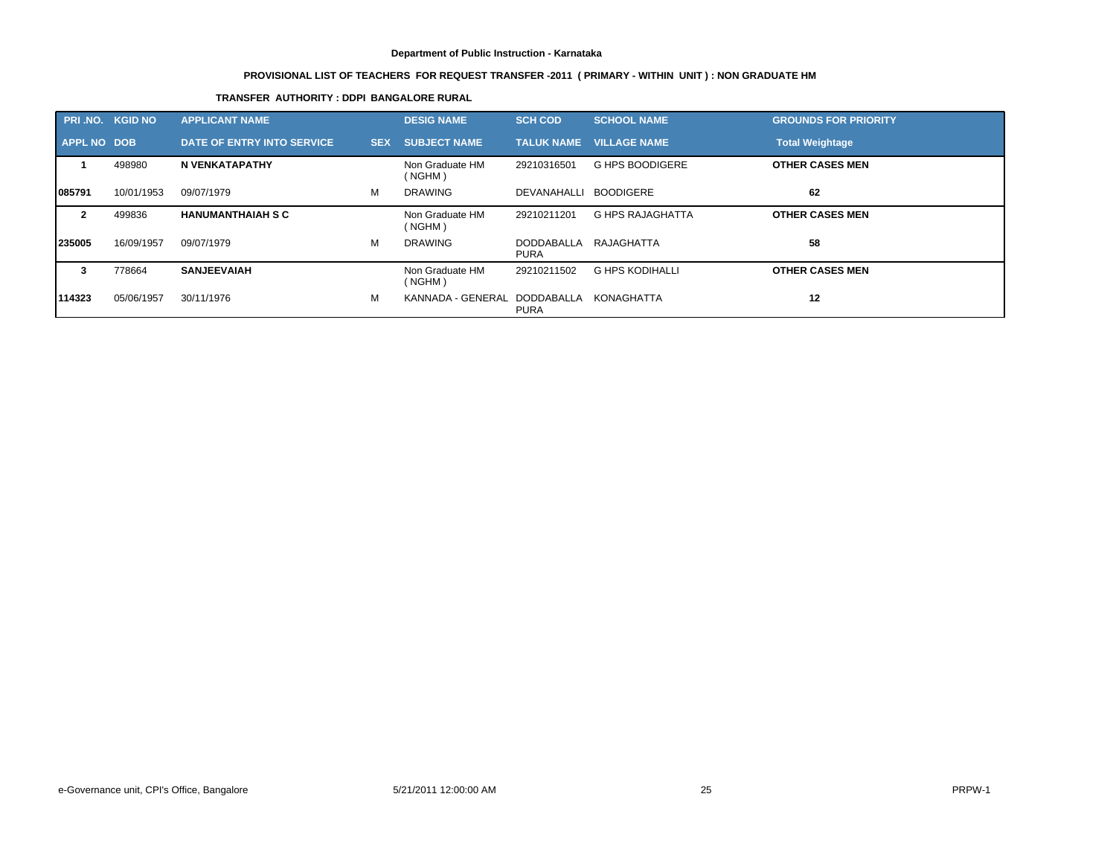# **PROVISIONAL LIST OF TEACHERS FOR REQUEST TRANSFER -2011 ( PRIMARY - WITHIN UNIT ) : NON GRADUATE HM**

# **TRANSFER AUTHORITY : DDPI BANGALORE RURAL**

| PRI.NO. KGID NO    |            | <b>APPLICANT NAME</b>      |            | <b>DESIG NAME</b>                       | <b>SCH COD</b>            | <b>SCHOOL NAME</b>      | <b>GROUNDS FOR PRIORITY</b> |
|--------------------|------------|----------------------------|------------|-----------------------------------------|---------------------------|-------------------------|-----------------------------|
| <b>APPL NO DOB</b> |            | DATE OF ENTRY INTO SERVICE | <b>SEX</b> | <b>SUBJECT NAME</b>                     | <b>TALUK NAME</b>         | <b>VILLAGE NAME</b>     | <b>Total Weightage</b>      |
|                    | 498980     | N VENKATAPATHY             |            | Non Graduate HM<br>( NGHM)              | 29210316501               | <b>G HPS BOODIGERE</b>  | <b>OTHER CASES MEN</b>      |
| 1085791            | 10/01/1953 | 09/07/1979                 | м          | <b>DRAWING</b>                          | DEVANAHALLI               | <b>BOODIGERE</b>        | 62                          |
| $\mathbf{2}$       | 499836     | <b>HANUMANTHAIAH S C</b>   |            | Non Graduate HM<br>( NGHM)              | 29210211201               | <b>G HPS RAJAGHATTA</b> | <b>OTHER CASES MEN</b>      |
| 235005             | 16/09/1957 | 09/07/1979                 | м          | <b>DRAWING</b>                          | DODDABALLA<br><b>PURA</b> | RAJAGHATTA              | 58                          |
| 3                  | 778664     | <b>SANJEEVAIAH</b>         |            | Non Graduate HM<br>( NGHM)              | 29210211502               | G HPS KODIHALLI         | <b>OTHER CASES MEN</b>      |
| 114323             | 05/06/1957 | 30/11/1976                 | м          | KANNADA - GENERAL DODDABALLA KONAGHATTA | <b>PURA</b>               |                         | 12                          |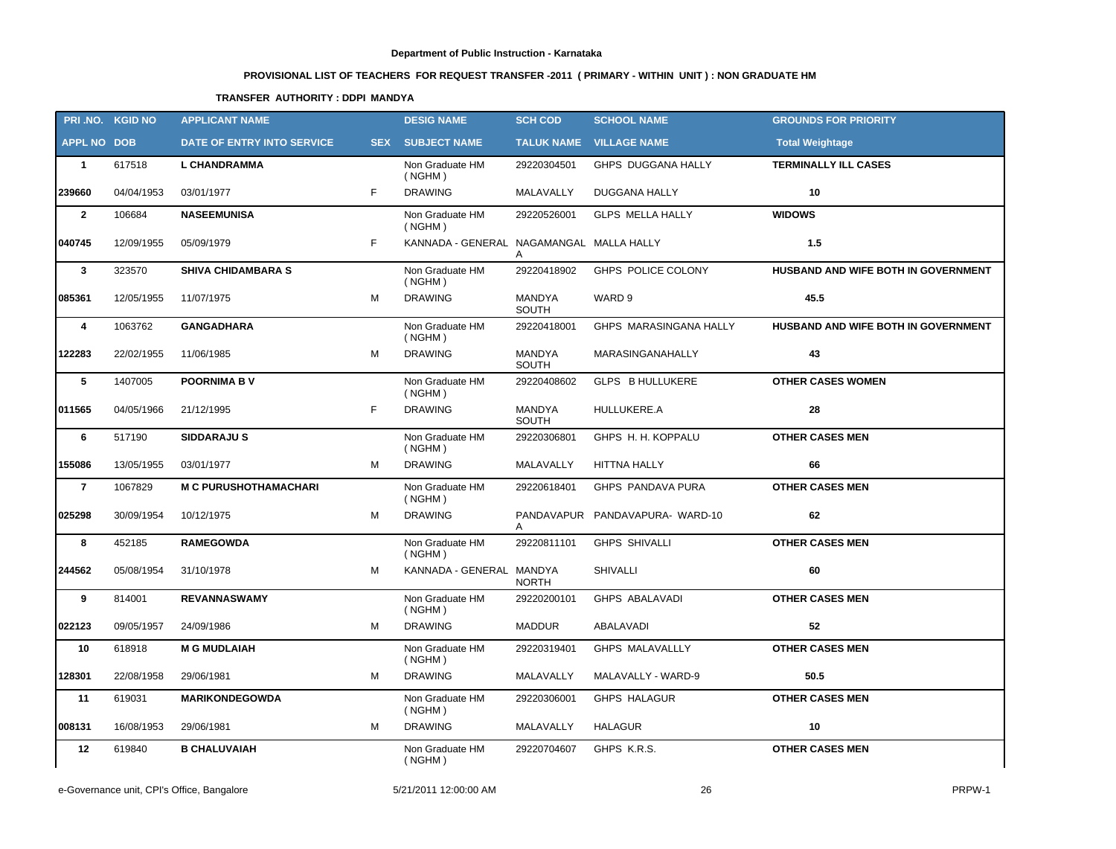# **PROVISIONAL LIST OF TEACHERS FOR REQUEST TRANSFER -2011 ( PRIMARY - WITHIN UNIT ) : NON GRADUATE HM**

# **TRANSFER AUTHORITY : DDPI MANDYA**

|                    | PRI.NO. KGID NO | <b>APPLICANT NAME</b>        |            | <b>DESIG NAME</b>                        | <b>SCH COD</b>  | <b>SCHOOL NAME</b>             | <b>GROUNDS FOR PRIORITY</b>         |
|--------------------|-----------------|------------------------------|------------|------------------------------------------|-----------------|--------------------------------|-------------------------------------|
| <b>APPL NO DOB</b> |                 | DATE OF ENTRY INTO SERVICE   | <b>SEX</b> | <b>SUBJECT NAME</b>                      |                 | <b>TALUK NAME VILLAGE NAME</b> | <b>Total Weightage</b>              |
| $\mathbf{1}$       | 617518          | <b>L CHANDRAMMA</b>          |            | Non Graduate HM<br>( NGHM)               | 29220304501     | GHPS DUGGANA HALLY             | <b>TERMINALLY ILL CASES</b>         |
| 239660             | 04/04/1953      | 03/01/1977                   | F.         | <b>DRAWING</b>                           | MALAVALLY       | DUGGANA HALLY                  | 10                                  |
| $\mathbf{2}$       | 106684          | <b>NASEEMUNISA</b>           |            | Non Graduate HM<br>( NGHM)               | 29220526001     | GLPS MELLA HALLY               | <b>WIDOWS</b>                       |
| 040745             | 12/09/1955      | 05/09/1979                   | F.         | KANNADA - GENERAL NAGAMANGAL MALLA HALLY | A               |                                | 1.5                                 |
| $\mathbf{3}$       | 323570          | <b>SHIVA CHIDAMBARA S</b>    |            | Non Graduate HM<br>( NGHM)               | 29220418902     | GHPS POLICE COLONY             | HUSBAND AND WIFE BOTH IN GOVERNMENT |
| 085361             | 12/05/1955      | 11/07/1975                   | м          | <b>DRAWING</b>                           | MANDYA<br>SOUTH | WARD 9                         | 45.5                                |
| 4                  | 1063762         | <b>GANGADHARA</b>            |            | Non Graduate HM<br>( NGHM)               | 29220418001     | GHPS MARASINGANA HALLY         | HUSBAND AND WIFE BOTH IN GOVERNMENT |
| 122283             | 22/02/1955      | 11/06/1985                   | M          | <b>DRAWING</b>                           | MANDYA<br>SOUTH | MARASINGANAHALLY               | 43                                  |
| 5                  | 1407005         | <b>POORNIMA BV</b>           |            | Non Graduate HM<br>( NGHM)               | 29220408602     | GLPS B HULLUKERE               | <b>OTHER CASES WOMEN</b>            |
| 011565             | 04/05/1966      | 21/12/1995                   | F.         | <b>DRAWING</b>                           | MANDYA<br>SOUTH | HULLUKERE.A                    | 28                                  |
| 6                  | 517190          | <b>SIDDARAJUS</b>            |            | Non Graduate HM<br>( NGHM)               | 29220306801     | GHPS H. H. KOPPALU             | <b>OTHER CASES MEN</b>              |
| 155086             | 13/05/1955      | 03/01/1977                   | M          | <b>DRAWING</b>                           | MALAVALLY       | <b>HITTNA HALLY</b>            | 66                                  |
| $\overline{7}$     | 1067829         | <b>M C PURUSHOTHAMACHARI</b> |            | Non Graduate HM<br>( NGHM)               | 29220618401     | GHPS PANDAVA PURA              | <b>OTHER CASES MEN</b>              |
| 025298             | 30/09/1954      | 10/12/1975                   | М          | <b>DRAWING</b>                           | A               | PANDAVAPUR PANDAVAPURA-WARD-10 | 62                                  |
| 8                  | 452185          | <b>RAMEGOWDA</b>             |            | Non Graduate HM<br>( NGHM)               | 29220811101     | <b>GHPS SHIVALLI</b>           | <b>OTHER CASES MEN</b>              |
| 244562             | 05/08/1954      | 31/10/1978                   | M          | KANNADA - GENERAL MANDYA                 | <b>NORTH</b>    | <b>SHIVALLI</b>                | 60                                  |
| 9                  | 814001          | <b>REVANNASWAMY</b>          |            | Non Graduate HM<br>( NGHM)               | 29220200101     | <b>GHPS ABALAVADI</b>          | <b>OTHER CASES MEN</b>              |
| 022123             | 09/05/1957      | 24/09/1986                   | м          | <b>DRAWING</b>                           | <b>MADDUR</b>   | ABALAVADI                      | 52                                  |
| 10                 | 618918          | <b>M G MUDLAIAH</b>          |            | Non Graduate HM<br>( NGHM)               | 29220319401     | <b>GHPS MALAVALLLY</b>         | <b>OTHER CASES MEN</b>              |
| 128301             | 22/08/1958      | 29/06/1981                   | M          | <b>DRAWING</b>                           | MALAVALLY       | MALAVALLY - WARD-9             | 50.5                                |
| 11                 | 619031          | <b>MARIKONDEGOWDA</b>        |            | Non Graduate HM<br>(NGHM)                | 29220306001     | <b>GHPS HALAGUR</b>            | <b>OTHER CASES MEN</b>              |
| 008131             | 16/08/1953      | 29/06/1981                   | м          | <b>DRAWING</b>                           | MALAVALLY       | HALAGUR                        | 10                                  |
| 12                 | 619840          | <b>B CHALUVAIAH</b>          |            | Non Graduate HM<br>( NGHM)               | 29220704607     | GHPS K.R.S.                    | <b>OTHER CASES MEN</b>              |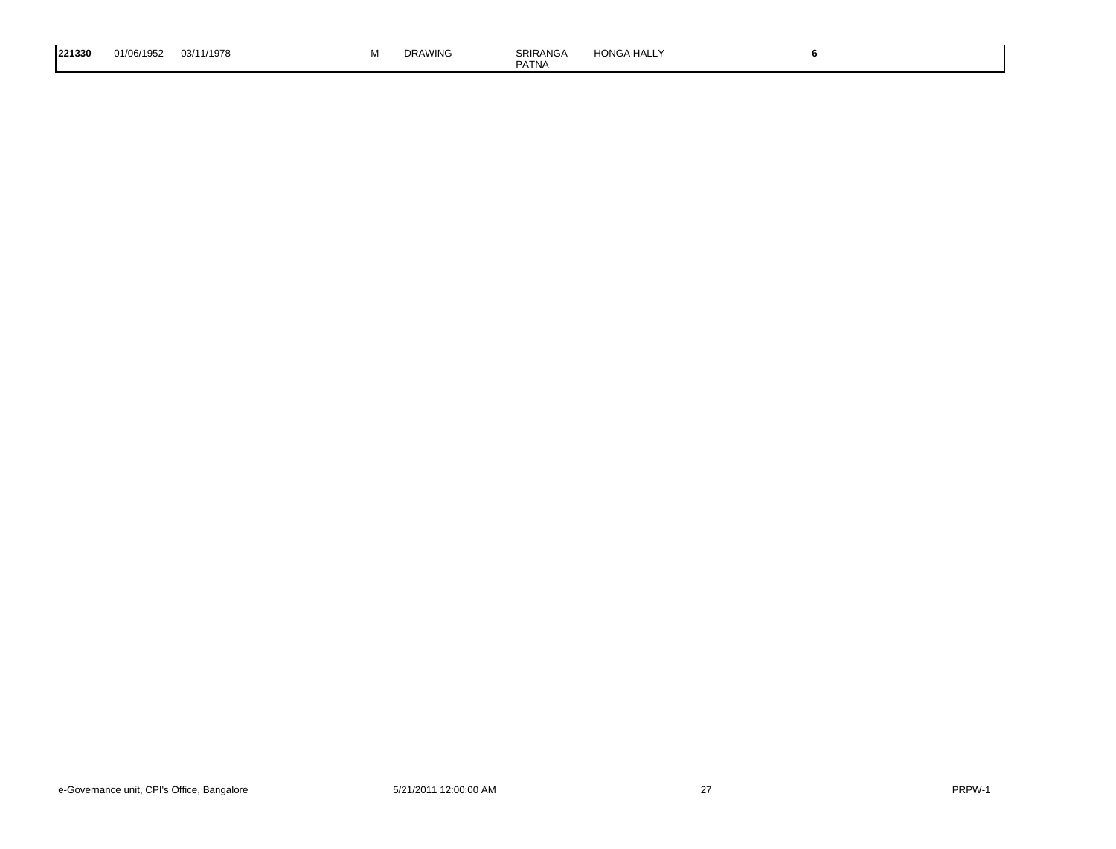| 221330 | 01/06/1952 | 03/11/1978 | IVI. | <b>DRAWING</b> | SRIRANGA<br><b>PATNA</b> | <b>HONGA HALLY</b> |  |  |
|--------|------------|------------|------|----------------|--------------------------|--------------------|--|--|
|--------|------------|------------|------|----------------|--------------------------|--------------------|--|--|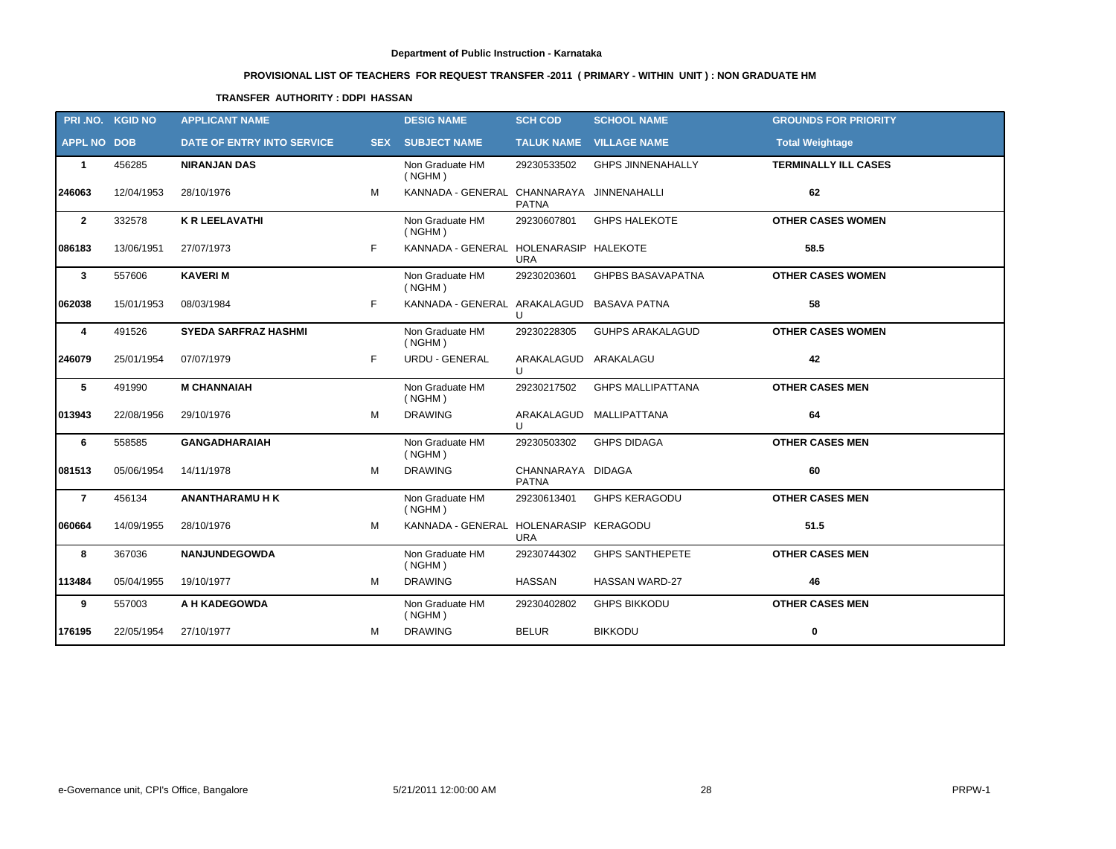# **PROVISIONAL LIST OF TEACHERS FOR REQUEST TRANSFER -2011 ( PRIMARY - WITHIN UNIT ) : NON GRADUATE HM**

# **TRANSFER AUTHORITY : DDPI HASSAN**

|                    | PRI.NO. KGID NO | <b>APPLICANT NAME</b>       |    | <b>DESIG NAME</b>                         | <b>SCH COD</b>                       | <b>SCHOOL NAME</b>       | <b>GROUNDS FOR PRIORITY</b> |
|--------------------|-----------------|-----------------------------|----|-------------------------------------------|--------------------------------------|--------------------------|-----------------------------|
| <b>APPL NO DOB</b> |                 | DATE OF ENTRY INTO SERVICE  |    | <b>SEX SUBJECT NAME</b>                   |                                      | TALUK NAME VILLAGE NAME  | <b>Total Weightage</b>      |
| $\mathbf{1}$       | 456285          | <b>NIRANJAN DAS</b>         |    | Non Graduate HM<br>( NGHM)                | 29230533502                          | <b>GHPS JINNENAHALLY</b> | <b>TERMINALLY ILL CASES</b> |
| 246063             | 12/04/1953      | 28/10/1976                  | M  | KANNADA - GENERAL CHANNARAYA JINNENAHALLI | <b>PATNA</b>                         |                          | 62                          |
| $\overline{2}$     | 332578          | <b>K R LEELAVATHI</b>       |    | Non Graduate HM<br>( NGHM)                | 29230607801                          | <b>GHPS HALEKOTE</b>     | <b>OTHER CASES WOMEN</b>    |
| 086183             | 13/06/1951      | 27/07/1973                  | F. | KANNADA - GENERAL HOLENARASIP HALEKOTE    | <b>URA</b>                           |                          | 58.5                        |
| $\overline{3}$     | 557606          | <b>KAVERIM</b>              |    | Non Graduate HM<br>( NGHM)                | 29230203601                          | <b>GHPBS BASAVAPATNA</b> | <b>OTHER CASES WOMEN</b>    |
| 062038             | 15/01/1953      | 08/03/1984                  | F  | KANNADA - GENERAL ARAKALAGUD BASAVA PATNA | $\cup$                               |                          | 58                          |
| 4                  | 491526          | <b>SYEDA SARFRAZ HASHMI</b> |    | Non Graduate HM<br>( NGHM)                | 29230228305                          | <b>GUHPS ARAKALAGUD</b>  | <b>OTHER CASES WOMEN</b>    |
| 246079             | 25/01/1954      | 07/07/1979                  | F. | URDU - GENERAL                            | ARAKALAGUD ARAKALAGU<br>$\mathbf{U}$ |                          | 42                          |
| 5                  | 491990          | <b>M CHANNAIAH</b>          |    | Non Graduate HM<br>( NGHM)                | 29230217502                          | <b>GHPS MALLIPATTANA</b> | <b>OTHER CASES MEN</b>      |
| 013943             | 22/08/1956      | 29/10/1976                  | M  | <b>DRAWING</b>                            | $\cup$                               | ARAKALAGUD MALLIPATTANA  | 64                          |
| 6                  | 558585          | <b>GANGADHARAIAH</b>        |    | Non Graduate HM<br>( NGHM)                | 29230503302                          | <b>GHPS DIDAGA</b>       | <b>OTHER CASES MEN</b>      |
| 081513             | 05/06/1954      | 14/11/1978                  | М  | <b>DRAWING</b>                            | CHANNARAYA DIDAGA<br><b>PATNA</b>    |                          | 60                          |
| $\overline{7}$     | 456134          | <b>ANANTHARAMU H K</b>      |    | Non Graduate HM<br>( NGHM)                | 29230613401                          | <b>GHPS KERAGODU</b>     | <b>OTHER CASES MEN</b>      |
| 060664             | 14/09/1955      | 28/10/1976                  | M  | KANNADA - GENERAL HOLENARASIP KERAGODU    | <b>URA</b>                           |                          | 51.5                        |
| 8                  | 367036          | <b>NANJUNDEGOWDA</b>        |    | Non Graduate HM<br>(NGHM)                 | 29230744302                          | <b>GHPS SANTHEPETE</b>   | <b>OTHER CASES MEN</b>      |
| 113484             | 05/04/1955      | 19/10/1977                  | М  | <b>DRAWING</b>                            | <b>HASSAN</b>                        | <b>HASSAN WARD-27</b>    | 46                          |
| 9                  | 557003          | A H KADEGOWDA               |    | Non Graduate HM<br>( NGHM)                | 29230402802                          | <b>GHPS BIKKODU</b>      | <b>OTHER CASES MEN</b>      |
| 176195             | 22/05/1954      | 27/10/1977                  | M  | <b>DRAWING</b>                            | <b>BELUR</b>                         | <b>BIKKODU</b>           | $\bf{0}$                    |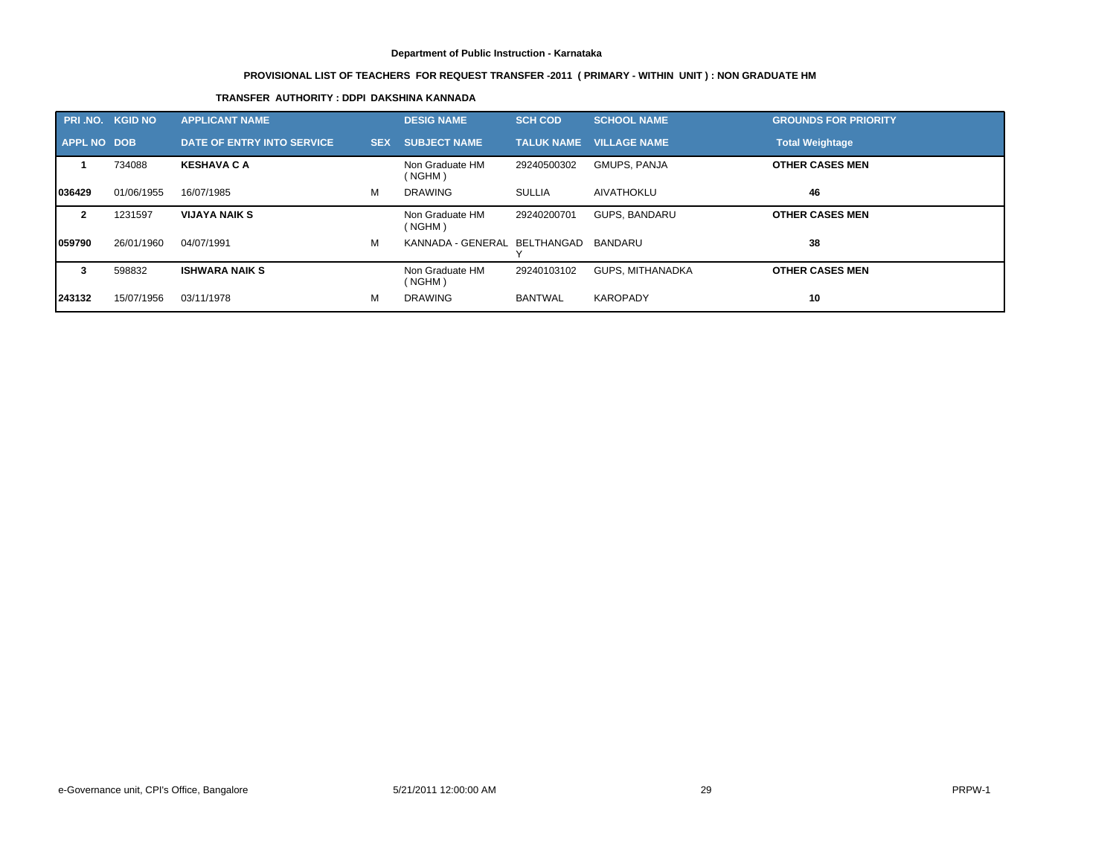# **PROVISIONAL LIST OF TEACHERS FOR REQUEST TRANSFER -2011 ( PRIMARY - WITHIN UNIT ) : NON GRADUATE HM**

# **TRANSFER AUTHORITY : DDPI DAKSHINA KANNADA**

|                    | <b>PRI NO. KGID NO</b> | <b>APPLICANT NAME</b>      |            | <b>DESIG NAME</b>                    | <b>SCH COD</b>    | <b>SCHOOL NAME</b>  | <b>GROUNDS FOR PRIORITY</b> |
|--------------------|------------------------|----------------------------|------------|--------------------------------------|-------------------|---------------------|-----------------------------|
| <b>APPL NO DOB</b> |                        | DATE OF ENTRY INTO SERVICE | <b>SEX</b> | <b>SUBJECT NAME</b>                  | <b>TALUK NAME</b> | <b>VILLAGE NAME</b> | <b>Total Weightage</b>      |
|                    | 734088                 | <b>KESHAVA C A</b>         |            | Non Graduate HM<br>(NGHM)            | 29240500302       | GMUPS, PANJA        | <b>OTHER CASES MEN</b>      |
| 1036429            | 01/06/1955             | 16/07/1985                 | м          | <b>DRAWING</b>                       | <b>SULLIA</b>     | AIVATHOKLU          | 46                          |
| $\mathbf{2}$       | 1231597                | <b>VIJAYA NAIK S</b>       |            | Non Graduate HM<br>(NGHM)            | 29240200701       | GUPS, BANDARU       | <b>OTHER CASES MEN</b>      |
| 059790             | 26/01/1960             | 04/07/1991                 | M          | KANNADA - GENERAL BELTHANGAD BANDARU |                   |                     | 38                          |
| 3                  | 598832                 | <b>ISHWARA NAIK S</b>      |            | Non Graduate HM<br>(NGHM)            | 29240103102       | GUPS. MITHANADKA    | <b>OTHER CASES MEN</b>      |
| 243132             | 15/07/1956             | 03/11/1978                 | м          | <b>DRAWING</b>                       | <b>BANTWAL</b>    | <b>KAROPADY</b>     | 10                          |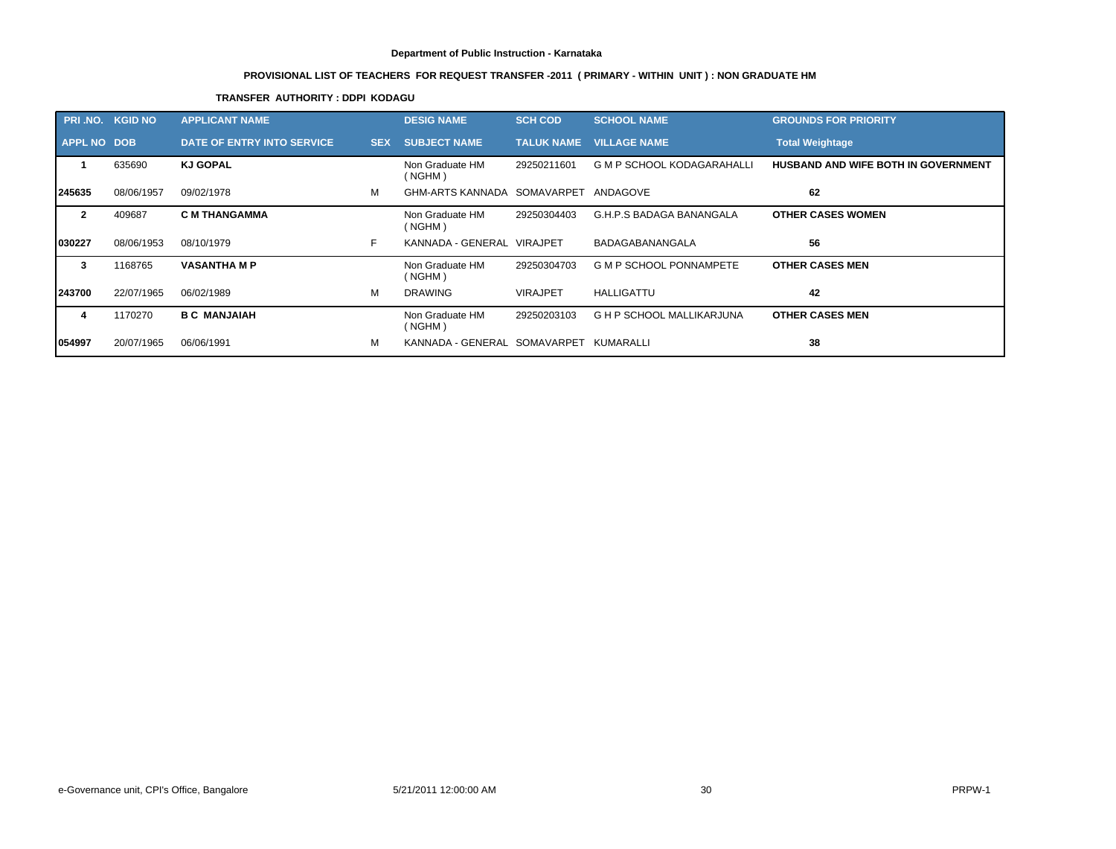# **PROVISIONAL LIST OF TEACHERS FOR REQUEST TRANSFER -2011 ( PRIMARY - WITHIN UNIT ) : NON GRADUATE HM**

# **TRANSFER AUTHORITY : DDPI KODAGU**

| PRI .NO.           | <b>KGID NO</b> | <b>APPLICANT NAME,</b>     |            | <b>DESIG NAME</b>            | <b>SCH COD</b>    | <b>SCHOOL NAME</b>                | <b>GROUNDS FOR PRIORITY</b>                |
|--------------------|----------------|----------------------------|------------|------------------------------|-------------------|-----------------------------------|--------------------------------------------|
| <b>APPL NO DOB</b> |                | DATE OF ENTRY INTO SERVICE | <b>SEX</b> | <b>SUBJECT NAME</b>          | <b>TALUK NAME</b> | <b>VILLAGE NAME</b>               | <b>Total Weightage</b>                     |
|                    | 635690         | <b>KJ GOPAL</b>            |            | Non Graduate HM<br>(NGHM)    | 29250211601       | <b>G M P SCHOOL KODAGARAHALLI</b> | <b>HUSBAND AND WIFE BOTH IN GOVERNMENT</b> |
| 245635             | 08/06/1957     | 09/02/1978                 | M          | GHM-ARTS KANNADA SOMAVARPET  |                   | ANDAGOVE                          | 62                                         |
| $\mathbf{2}$       | 409687         | <b>C M THANGAMMA</b>       |            | Non Graduate HM<br>(NGHM)    | 29250304403       | G.H.P.S BADAGA BANANGALA          | <b>OTHER CASES WOMEN</b>                   |
| 030227             | 08/06/1953     | 08/10/1979                 | F.         | KANNADA - GENERAL VIRAJPET   |                   | BADAGABANANGALA                   | 56                                         |
| 3                  | 1168765        | <b>VASANTHA M P</b>        |            | Non Graduate HM<br>(NGHM)    | 29250304703       | <b>G M P SCHOOL PONNAMPETE</b>    | <b>OTHER CASES MEN</b>                     |
| 243700             | 22/07/1965     | 06/02/1989                 | м          | <b>DRAWING</b>               | <b>VIRAJPET</b>   | <b>HALLIGATTU</b>                 | 42                                         |
| 4                  | 1170270        | <b>B C MANJAIAH</b>        |            | Non Graduate HM<br>(NGHM)    | 29250203103       | <b>G H P SCHOOL MALLIKARJUNA</b>  | <b>OTHER CASES MEN</b>                     |
| 054997             | 20/07/1965     | 06/06/1991                 | м          | KANNADA - GENERAL SOMAVARPET |                   | KUMARALLI                         | 38                                         |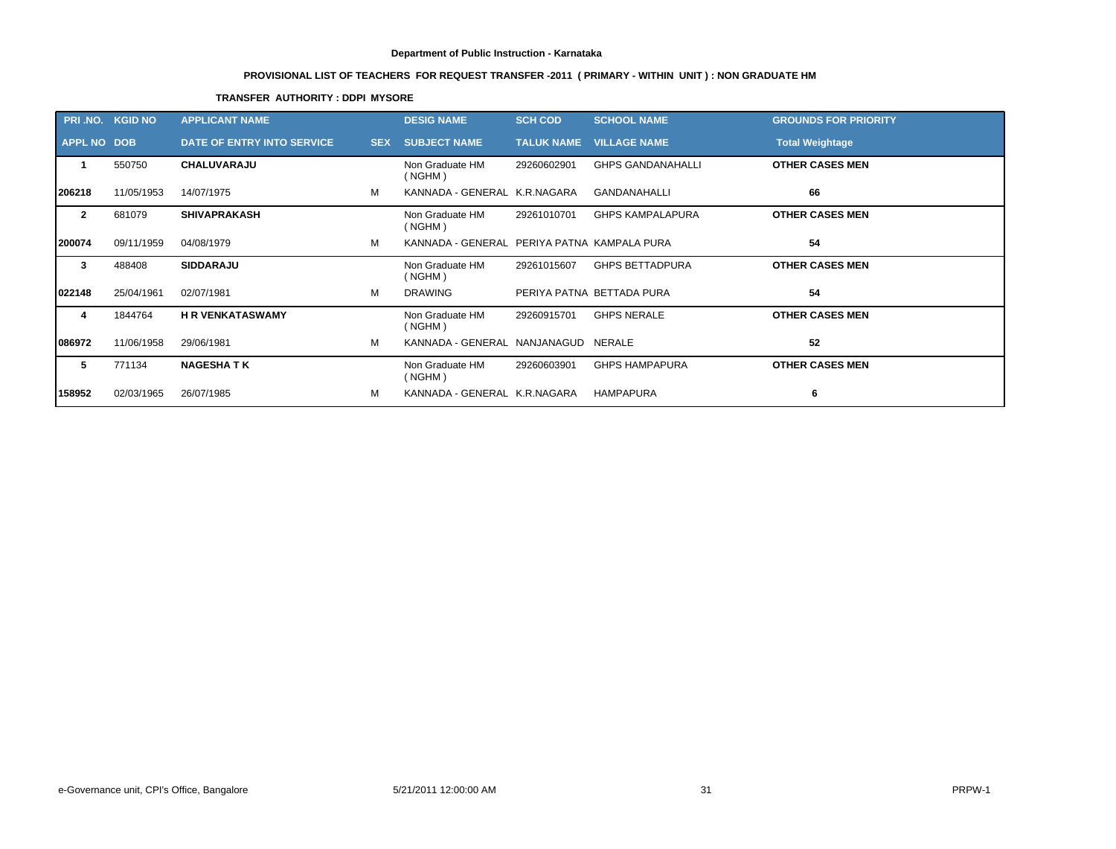# **PROVISIONAL LIST OF TEACHERS FOR REQUEST TRANSFER -2011 ( PRIMARY - WITHIN UNIT ) : NON GRADUATE HM**

# **TRANSFER AUTHORITY : DDPI MYSORE**

|                    | PRI.NO. KGID NO | <b>APPLICANT NAME</b>             |            | <b>DESIG NAME</b>                           | <b>SCH COD</b>    | <b>SCHOOL NAME</b>        | <b>GROUNDS FOR PRIORITY</b> |
|--------------------|-----------------|-----------------------------------|------------|---------------------------------------------|-------------------|---------------------------|-----------------------------|
| <b>APPL NO DOB</b> |                 | <b>DATE OF ENTRY INTO SERVICE</b> | <b>SEX</b> | <b>SUBJECT NAME</b>                         | <b>TALUK NAME</b> | <b>VILLAGE NAME</b>       | <b>Total Weightage</b>      |
| -1                 | 550750          | <b>CHALUVARAJU</b>                |            | Non Graduate HM<br>(NGHM)                   | 29260602901       | <b>GHPS GANDANAHALLI</b>  | <b>OTHER CASES MEN</b>      |
| 206218             | 11/05/1953      | 14/07/1975                        | м          | KANNADA - GENERAL K.R.NAGARA                |                   | <b>GANDANAHALLI</b>       | 66                          |
| $\overline{2}$     | 681079          | <b>SHIVAPRAKASH</b>               |            | Non Graduate HM<br>(NGHM)                   | 29261010701       | <b>GHPS KAMPALAPURA</b>   | <b>OTHER CASES MEN</b>      |
| 200074             | 09/11/1959      | 04/08/1979                        | м          | KANNADA - GENERAL PERIYA PATNA KAMPALA PURA |                   |                           | 54                          |
| 3                  | 488408          | <b>SIDDARAJU</b>                  |            | Non Graduate HM<br>(NGHM)                   | 29261015607       | <b>GHPS BETTADPURA</b>    | <b>OTHER CASES MEN</b>      |
| 022148             | 25/04/1961      | 02/07/1981                        | м          | <b>DRAWING</b>                              |                   | PERIYA PATNA BETTADA PURA | 54                          |
| 4                  | 1844764         | <b>H R VENKATASWAMY</b>           |            | Non Graduate HM<br>(NGHM)                   | 29260915701       | <b>GHPS NERALE</b>        | <b>OTHER CASES MEN</b>      |
| 086972             | 11/06/1958      | 29/06/1981                        | м          | KANNADA - GENERAL NANJANAGUD NERALE         |                   |                           | 52                          |
| 5                  | 771134          | <b>NAGESHATK</b>                  |            | Non Graduate HM<br>(NGHM)                   | 29260603901       | <b>GHPS HAMPAPURA</b>     | <b>OTHER CASES MEN</b>      |
| 158952             | 02/03/1965      | 26/07/1985                        | м          | KANNADA - GENERAL K.R.NAGARA                |                   | <b>HAMPAPURA</b>          | 6                           |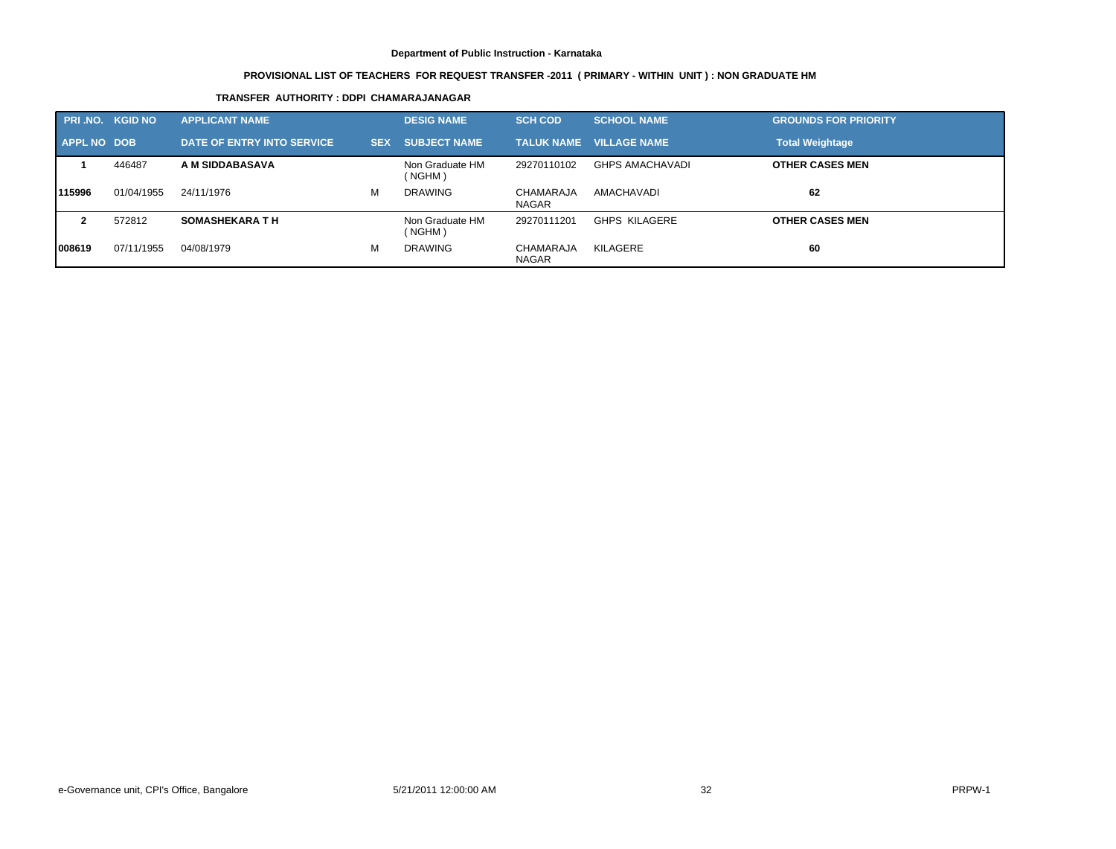# **PROVISIONAL LIST OF TEACHERS FOR REQUEST TRANSFER -2011 ( PRIMARY - WITHIN UNIT ) : NON GRADUATE HM**

# **TRANSFER AUTHORITY : DDPI CHAMARAJANAGAR**

|             | <b>PRI.NO. KGID NO</b> | <b>APPLICANT NAME</b>      |            | <b>DESIG NAME</b>         | <b>SCH COD</b>                   | <b>SCHOOL NAME</b>             | <b>GROUNDS FOR PRIORITY</b> |
|-------------|------------------------|----------------------------|------------|---------------------------|----------------------------------|--------------------------------|-----------------------------|
| APPL NO DOB |                        | DATE OF ENTRY INTO SERVICE | <b>SEX</b> | <b>SUBJECT NAME</b>       |                                  | <b>TALUK NAME VILLAGE NAME</b> | <b>Total Weightage</b>      |
|             | 446487                 | A M SIDDABASAVA            |            | Non Graduate HM<br>(NGHM) | 29270110102                      | <b>GHPS AMACHAVADI</b>         | <b>OTHER CASES MEN</b>      |
| 115996      | 01/04/1955             | 24/11/1976                 | М          | <b>DRAWING</b>            | CHAMARAJA<br><b>NAGAR</b>        | AMACHAVADI                     | 62                          |
|             | 572812                 | <b>SOMASHEKARA TH</b>      |            | Non Graduate HM<br>(NGHM) | 29270111201                      | <b>GHPS KILAGERE</b>           | <b>OTHER CASES MEN</b>      |
| 1008619     | 07/11/1955             | 04/08/1979                 | М          | <b>DRAWING</b>            | <b>CHAMARAJA</b><br><b>NAGAR</b> | KILAGERE                       | 60                          |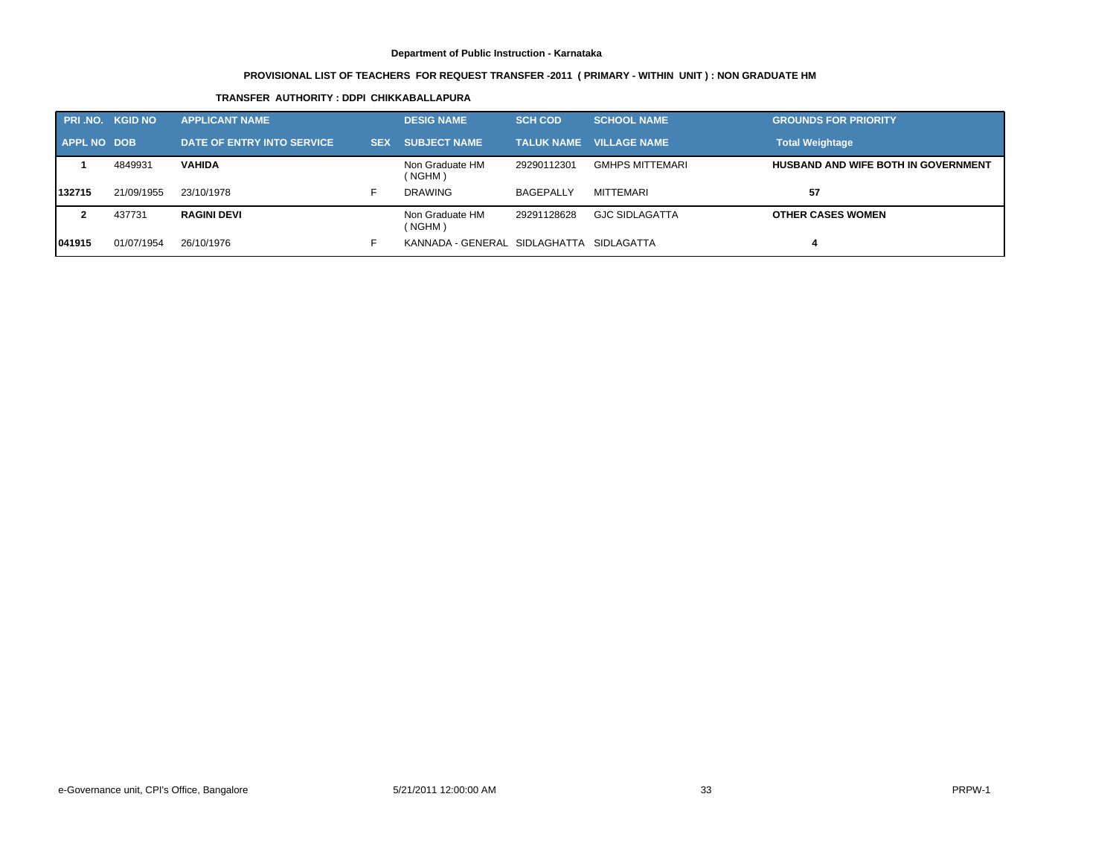# **PROVISIONAL LIST OF TEACHERS FOR REQUEST TRANSFER -2011 ( PRIMARY - WITHIN UNIT ) : NON GRADUATE HM**

# **TRANSFER AUTHORITY : DDPI CHIKKABALLAPURA**

|             | <b>PRI.NO. KGID NO</b> | <b>APPLICANT NAME</b>      |            | <b>DESIG NAME</b>             | <b>SCH COD</b>   | <b>SCHOOL NAME</b>             | <b>GROUNDS FOR PRIORITY</b>                |
|-------------|------------------------|----------------------------|------------|-------------------------------|------------------|--------------------------------|--------------------------------------------|
| APPL NO DOB |                        | DATE OF ENTRY INTO SERVICE | <b>SEX</b> | <b>SUBJECT NAME</b>           |                  | <b>TALUK NAME VILLAGE NAME</b> | <b>Total Weightage</b>                     |
|             | 4849931                | <b>VAHIDA</b>              |            | Non Graduate HM<br>(NGHM)     | 29290112301      | <b>GMHPS MITTEMARI</b>         | <b>HUSBAND AND WIFE BOTH IN GOVERNMENT</b> |
| 132715      | 21/09/1955             | 23/10/1978                 |            | DRAWING                       | <b>BAGEPALLY</b> | MITTEMARI                      | 57                                         |
|             | 437731                 | <b>RAGINI DEVI</b>         |            | Non Graduate HM<br>(NGHM)     | 29291128628      | <b>GJC SIDLAGATTA</b>          | <b>OTHER CASES WOMEN</b>                   |
| 1041915     | 01/07/1954             | 26/10/1976                 |            | KANNADA - GENERAL SIDLAGHATTA |                  | SIDLAGATTA                     |                                            |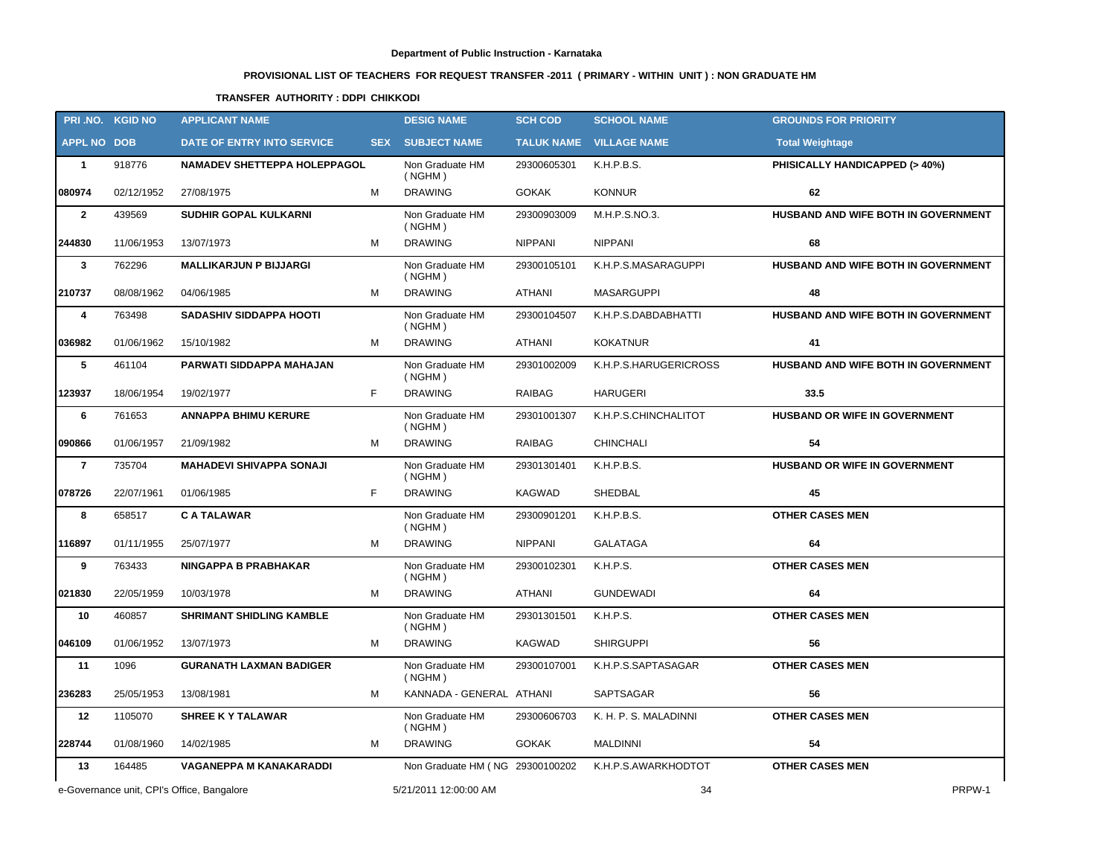# **PROVISIONAL LIST OF TEACHERS FOR REQUEST TRANSFER -2011 ( PRIMARY - WITHIN UNIT ) : NON GRADUATE HM**

# **TRANSFER AUTHORITY : DDPI CHIKKODI**

|                    | PRI.NO. KGID NO | <b>APPLICANT NAME</b>                      |   | <b>DESIG NAME</b>               | <b>SCH COD</b> | <b>SCHOOL NAME</b>             | <b>GROUNDS FOR PRIORITY</b>              |
|--------------------|-----------------|--------------------------------------------|---|---------------------------------|----------------|--------------------------------|------------------------------------------|
| <b>APPL NO DOB</b> |                 | DATE OF ENTRY INTO SERVICE                 |   | <b>SEX SUBJECT NAME</b>         |                | <b>TALUK NAME VILLAGE NAME</b> | <b>Total Weightage</b>                   |
| $\mathbf{1}$       | 918776          | <b>NAMADEV SHETTEPPA HOLEPPAGOL</b>        |   | Non Graduate HM<br>( NGHM)      | 29300605301    | K.H.P.B.S.                     | <b>PHISICALLY HANDICAPPED (&gt; 40%)</b> |
| 080974             | 02/12/1952      | 27/08/1975                                 | м | <b>DRAWING</b>                  | <b>GOKAK</b>   | <b>KONNUR</b>                  | 62                                       |
| $\overline{2}$     | 439569          | <b>SUDHIR GOPAL KULKARNI</b>               |   | Non Graduate HM<br>( NGHM)      | 29300903009    | M.H.P.S.NO.3.                  | HUSBAND AND WIFE BOTH IN GOVERNMENT      |
| 244830             | 11/06/1953      | 13/07/1973                                 | M | <b>DRAWING</b>                  | <b>NIPPANI</b> | <b>NIPPANI</b>                 | 68                                       |
| $\mathbf{3}$       | 762296          | <b>MALLIKARJUN P BIJJARGI</b>              |   | Non Graduate HM<br>( NGHM)      | 29300105101    | K.H.P.S.MASARAGUPPI            | HUSBAND AND WIFE BOTH IN GOVERNMENT      |
| 210737             | 08/08/1962      | 04/06/1985                                 | м | <b>DRAWING</b>                  | ATHANI         | <b>MASARGUPPI</b>              | 48                                       |
| 4                  | 763498          | SADASHIV SIDDAPPA HOOTI                    |   | Non Graduate HM<br>( NGHM)      | 29300104507    | K.H.P.S.DABDABHATTI            | HUSBAND AND WIFE BOTH IN GOVERNMENT      |
| 036982             | 01/06/1962      | 15/10/1982                                 | м | <b>DRAWING</b>                  | ATHANI         | <b>KOKATNUR</b>                | 41                                       |
| 5                  | 461104          | PARWATI SIDDAPPA MAHAJAN                   |   | Non Graduate HM<br>( NGHM)      | 29301002009    | K.H.P.S.HARUGERICROSS          | HUSBAND AND WIFE BOTH IN GOVERNMENT      |
| 123937             | 18/06/1954      | 19/02/1977                                 | F | <b>DRAWING</b>                  | RAIBAG         | <b>HARUGERI</b>                | 33.5                                     |
| 6                  | 761653          | <b>ANNAPPA BHIMU KERURE</b>                |   | Non Graduate HM<br>( NGHM)      | 29301001307    | K.H.P.S.CHINCHALITOT           | HUSBAND OR WIFE IN GOVERNMENT            |
| 090866             | 01/06/1957      | 21/09/1982                                 | M | <b>DRAWING</b>                  | RAIBAG         | CHINCHALI                      | 54                                       |
| $\overline{7}$     | 735704          | <b>MAHADEVI SHIVAPPA SONAJI</b>            |   | Non Graduate HM<br>( NGHM)      | 29301301401    | K.H.P.B.S.                     | <b>HUSBAND OR WIFE IN GOVERNMENT</b>     |
| 078726             | 22/07/1961      | 01/06/1985                                 | F | <b>DRAWING</b>                  | KAGWAD         | SHEDBAL                        | 45                                       |
| 8                  | 658517          | <b>CATALAWAR</b>                           |   | Non Graduate HM<br>( NGHM)      | 29300901201    | K.H.P.B.S.                     | <b>OTHER CASES MEN</b>                   |
| 116897             | 01/11/1955      | 25/07/1977                                 | M | <b>DRAWING</b>                  | <b>NIPPANI</b> | <b>GALATAGA</b>                | 64                                       |
| 9                  | 763433          | NINGAPPA B PRABHAKAR                       |   | Non Graduate HM<br>( NGHM)      | 29300102301    | K.H.P.S.                       | <b>OTHER CASES MEN</b>                   |
| 021830             | 22/05/1959      | 10/03/1978                                 | м | <b>DRAWING</b>                  | ATHANI         | <b>GUNDEWADI</b>               | 64                                       |
| 10                 | 460857          | <b>SHRIMANT SHIDLING KAMBLE</b>            |   | Non Graduate HM<br>( NGHM)      | 29301301501    | K.H.P.S.                       | <b>OTHER CASES MEN</b>                   |
| 046109             | 01/06/1952      | 13/07/1973                                 | M | <b>DRAWING</b>                  | KAGWAD         | <b>SHIRGUPPI</b>               | 56                                       |
| 11                 | 1096            | <b>GURANATH LAXMAN BADIGER</b>             |   | Non Graduate HM<br>(NGHM)       | 29300107001    | K.H.P.S.SAPTASAGAR             | <b>OTHER CASES MEN</b>                   |
| 236283             | 25/05/1953      | 13/08/1981                                 | M | KANNADA - GENERAL ATHANI        |                | SAPTSAGAR                      | 56                                       |
| 12                 | 1105070         | <b>SHREE K Y TALAWAR</b>                   |   | Non Graduate HM<br>(NGHM)       | 29300606703    | K. H. P. S. MALADINNI          | <b>OTHER CASES MEN</b>                   |
| 228744             | 01/08/1960      | 14/02/1985                                 | M | <b>DRAWING</b>                  | <b>GOKAK</b>   | <b>MALDINNI</b>                | 54                                       |
| 13                 | 164485          | VAGANEPPA M KANAKARADDI                    |   | Non Graduate HM (NG 29300100202 |                | K.H.P.S.AWARKHODTOT            | <b>OTHER CASES MEN</b>                   |
|                    |                 | e-Governance unit, CPI's Office, Bangalore |   | 5/21/2011 12:00:00 AM           |                | 34                             | PRPW-1                                   |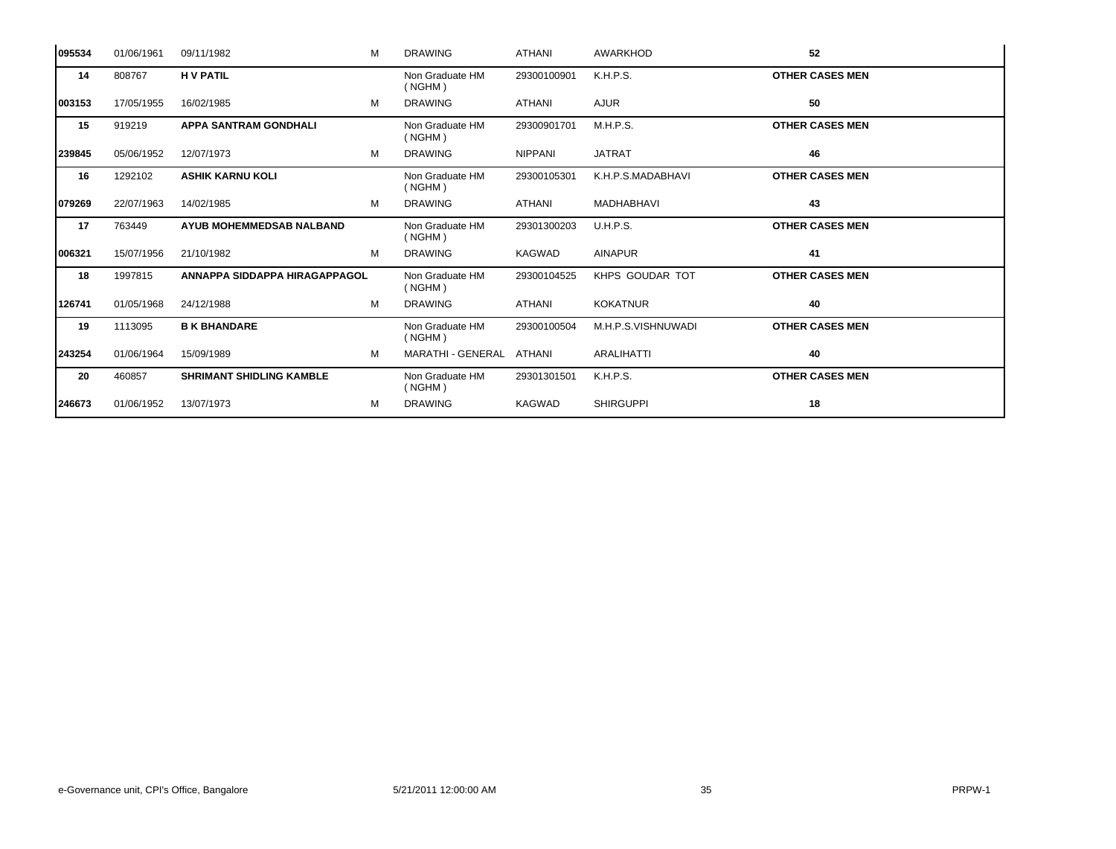| 095534 | 01/06/1961 | 09/11/1982                      | м | <b>DRAWING</b>             | ATHANI         | <b>AWARKHOD</b>    | 52                     |
|--------|------------|---------------------------------|---|----------------------------|----------------|--------------------|------------------------|
| 14     | 808767     | <b>HV PATIL</b>                 |   | Non Graduate HM<br>(NGHM)  | 29300100901    | K.H.P.S.           | <b>OTHER CASES MEN</b> |
| 003153 | 17/05/1955 | 16/02/1985                      | м | <b>DRAWING</b>             | ATHANI         | <b>AJUR</b>        | 50                     |
| 15     | 919219     | <b>APPA SANTRAM GONDHALI</b>    |   | Non Graduate HM<br>(NGHM)  | 29300901701    | M.H.P.S.           | <b>OTHER CASES MEN</b> |
| 239845 | 05/06/1952 | 12/07/1973                      | M | <b>DRAWING</b>             | <b>NIPPANI</b> | <b>JATRAT</b>      | 46                     |
| 16     | 1292102    | <b>ASHIK KARNU KOLI</b>         |   | Non Graduate HM<br>( NGHM) | 29300105301    | K.H.P.S.MADABHAVI  | <b>OTHER CASES MEN</b> |
| 079269 | 22/07/1963 | 14/02/1985                      | м | <b>DRAWING</b>             | ATHANI         | <b>MADHABHAVI</b>  | 43                     |
| 17     | 763449     | <b>AYUB MOHEMMEDSAB NALBAND</b> |   | Non Graduate HM<br>( NGHM) | 29301300203    | <b>U.H.P.S.</b>    | <b>OTHER CASES MEN</b> |
| 006321 | 15/07/1956 | 21/10/1982                      | м | <b>DRAWING</b>             | <b>KAGWAD</b>  | <b>AINAPUR</b>     | 41                     |
| 18     | 1997815    | ANNAPPA SIDDAPPA HIRAGAPPAGOL   |   | Non Graduate HM<br>( NGHM) | 29300104525    | KHPS GOUDAR TOT    | <b>OTHER CASES MEN</b> |
| 126741 | 01/05/1968 | 24/12/1988                      | м | <b>DRAWING</b>             | ATHANI         | <b>KOKATNUR</b>    | 40                     |
| 19     | 1113095    | <b>B K BHANDARE</b>             |   | Non Graduate HM<br>( NGHM) | 29300100504    | M.H.P.S.VISHNUWADI | <b>OTHER CASES MEN</b> |
| 243254 | 01/06/1964 | 15/09/1989                      | м | MARATHI - GENERAL ATHANI   |                | <b>ARALIHATTI</b>  | 40                     |
| 20     | 460857     | <b>SHRIMANT SHIDLING KAMBLE</b> |   | Non Graduate HM<br>( NGHM) | 29301301501    | K.H.P.S.           | <b>OTHER CASES MEN</b> |
| 246673 | 01/06/1952 | 13/07/1973                      | м | <b>DRAWING</b>             | <b>KAGWAD</b>  | <b>SHIRGUPPI</b>   | 18                     |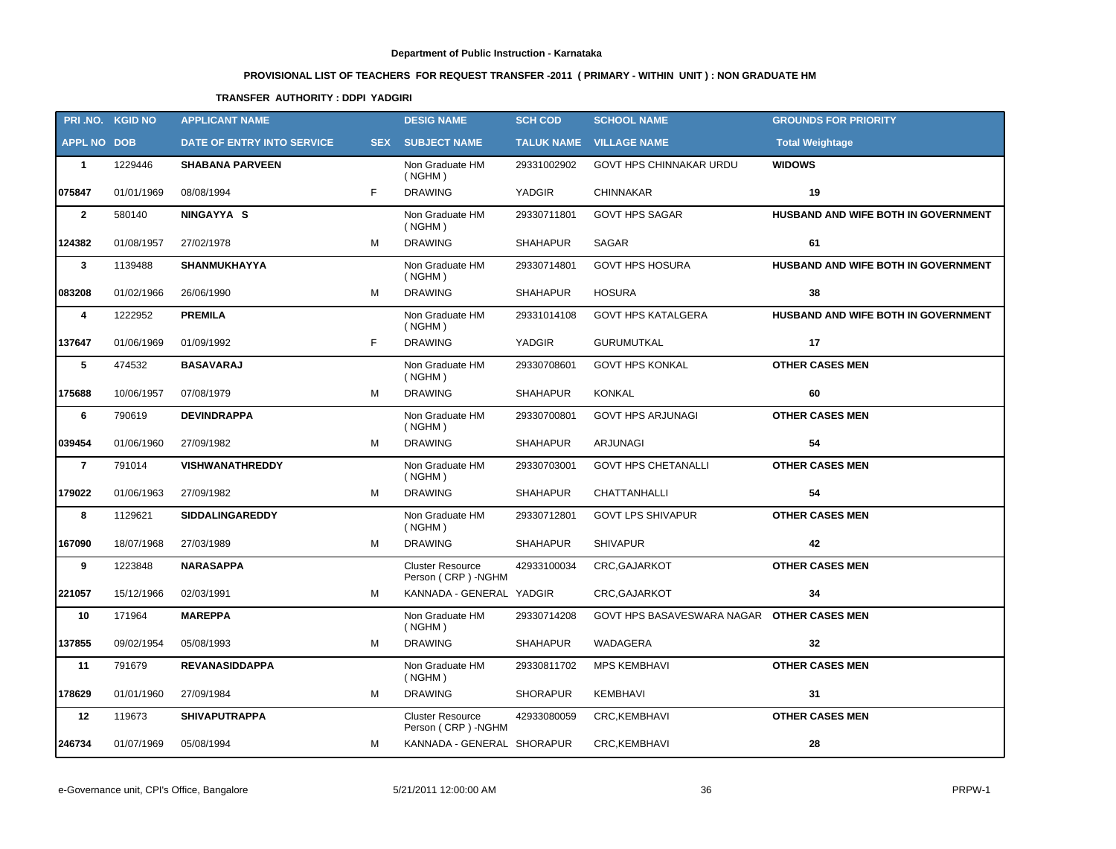# **PROVISIONAL LIST OF TEACHERS FOR REQUEST TRANSFER -2011 ( PRIMARY - WITHIN UNIT ) : NON GRADUATE HM**

# **TRANSFER AUTHORITY : DDPI YADGIRI**

|                    | PRI.NO. KGID NO | <b>APPLICANT NAME</b>      |   | <b>DESIG NAME</b>                             | <b>SCH COD</b>  | <b>SCHOOL NAME</b>                         | <b>GROUNDS FOR PRIORITY</b>         |
|--------------------|-----------------|----------------------------|---|-----------------------------------------------|-----------------|--------------------------------------------|-------------------------------------|
| <b>APPL NO DOB</b> |                 | DATE OF ENTRY INTO SERVICE |   | <b>SEX SUBJECT NAME</b>                       |                 | <b>TALUK NAME VILLAGE NAME</b>             | <b>Total Weightage</b>              |
| $\mathbf{1}$       | 1229446         | <b>SHABANA PARVEEN</b>     |   | Non Graduate HM<br>( NGHM)                    | 29331002902     | <b>GOVT HPS CHINNAKAR URDU</b>             | <b>WIDOWS</b>                       |
| 075847             | 01/01/1969      | 08/08/1994                 | F | <b>DRAWING</b>                                | <b>YADGIR</b>   | <b>CHINNAKAR</b>                           | 19                                  |
| $\overline{2}$     | 580140          | NINGAYYA S                 |   | Non Graduate HM<br>( NGHM)                    | 29330711801     | <b>GOVT HPS SAGAR</b>                      | HUSBAND AND WIFE BOTH IN GOVERNMENT |
| 124382             | 01/08/1957      | 27/02/1978                 | M | <b>DRAWING</b>                                | <b>SHAHAPUR</b> | <b>SAGAR</b>                               | 61                                  |
| $\mathbf{3}$       | 1139488         | <b>SHANMUKHAYYA</b>        |   | Non Graduate HM<br>( NGHM)                    | 29330714801     | <b>GOVT HPS HOSURA</b>                     | HUSBAND AND WIFE BOTH IN GOVERNMENT |
| 083208             | 01/02/1966      | 26/06/1990                 | M | <b>DRAWING</b>                                | <b>SHAHAPUR</b> | <b>HOSURA</b>                              | 38                                  |
| 4                  | 1222952         | <b>PREMILA</b>             |   | Non Graduate HM<br>( NGHM)                    | 29331014108     | <b>GOVT HPS KATALGERA</b>                  | HUSBAND AND WIFE BOTH IN GOVERNMENT |
| 137647             | 01/06/1969      | 01/09/1992                 | F | <b>DRAWING</b>                                | <b>YADGIR</b>   | <b>GURUMUTKAL</b>                          | 17                                  |
| $\sqrt{5}$         | 474532          | <b>BASAVARAJ</b>           |   | Non Graduate HM<br>( NGHM)                    | 29330708601     | <b>GOVT HPS KONKAL</b>                     | <b>OTHER CASES MEN</b>              |
| 175688             | 10/06/1957      | 07/08/1979                 | M | <b>DRAWING</b>                                | <b>SHAHAPUR</b> | KONKAL                                     | 60                                  |
| 6                  | 790619          | <b>DEVINDRAPPA</b>         |   | Non Graduate HM<br>( NGHM)                    | 29330700801     | <b>GOVT HPS ARJUNAGI</b>                   | <b>OTHER CASES MEN</b>              |
| 039454             | 01/06/1960      | 27/09/1982                 | M | <b>DRAWING</b>                                | <b>SHAHAPUR</b> | <b>ARJUNAGI</b>                            | 54                                  |
| $\overline{7}$     | 791014          | <b>VISHWANATHREDDY</b>     |   | Non Graduate HM<br>( NGHM)                    | 29330703001     | <b>GOVT HPS CHETANALLI</b>                 | <b>OTHER CASES MEN</b>              |
| 179022             | 01/06/1963      | 27/09/1982                 | М | <b>DRAWING</b>                                | <b>SHAHAPUR</b> | <b>CHATTANHALLI</b>                        | 54                                  |
| 8                  | 1129621         | <b>SIDDALINGAREDDY</b>     |   | Non Graduate HM<br>( NGHM)                    | 29330712801     | <b>GOVT LPS SHIVAPUR</b>                   | <b>OTHER CASES MEN</b>              |
| 167090             | 18/07/1968      | 27/03/1989                 | M | <b>DRAWING</b>                                | <b>SHAHAPUR</b> | <b>SHIVAPUR</b>                            | 42                                  |
| 9                  | 1223848         | <b>NARASAPPA</b>           |   | <b>Cluster Resource</b><br>Person (CRP) -NGHM | 42933100034     | CRC, GAJARKOT                              | <b>OTHER CASES MEN</b>              |
| 221057             | 15/12/1966      | 02/03/1991                 | M | KANNADA - GENERAL YADGIR                      |                 | CRC, GAJARKOT                              | 34                                  |
| 10                 | 171964          | <b>MAREPPA</b>             |   | Non Graduate HM<br>( NGHM)                    | 29330714208     | GOVT HPS BASAVESWARA NAGAR OTHER CASES MEN |                                     |
| 137855             | 09/02/1954      | 05/08/1993                 | M | <b>DRAWING</b>                                | <b>SHAHAPUR</b> | WADAGERA                                   | 32                                  |
| 11                 | 791679          | <b>REVANASIDDAPPA</b>      |   | Non Graduate HM<br>( NGHM)                    | 29330811702     | <b>MPS KEMBHAVI</b>                        | <b>OTHER CASES MEN</b>              |
| 178629             | 01/01/1960      | 27/09/1984                 | M | <b>DRAWING</b>                                | <b>SHORAPUR</b> | KEMBHAVI                                   | 31                                  |
| 12                 | 119673          | <b>SHIVAPUTRAPPA</b>       |   | <b>Cluster Resource</b><br>Person (CRP) -NGHM | 42933080059     | CRC, KEMBHAVI                              | <b>OTHER CASES MEN</b>              |
| 246734             | 01/07/1969      | 05/08/1994                 | М | KANNADA - GENERAL SHORAPUR                    |                 | CRC, KEMBHAVI                              | 28                                  |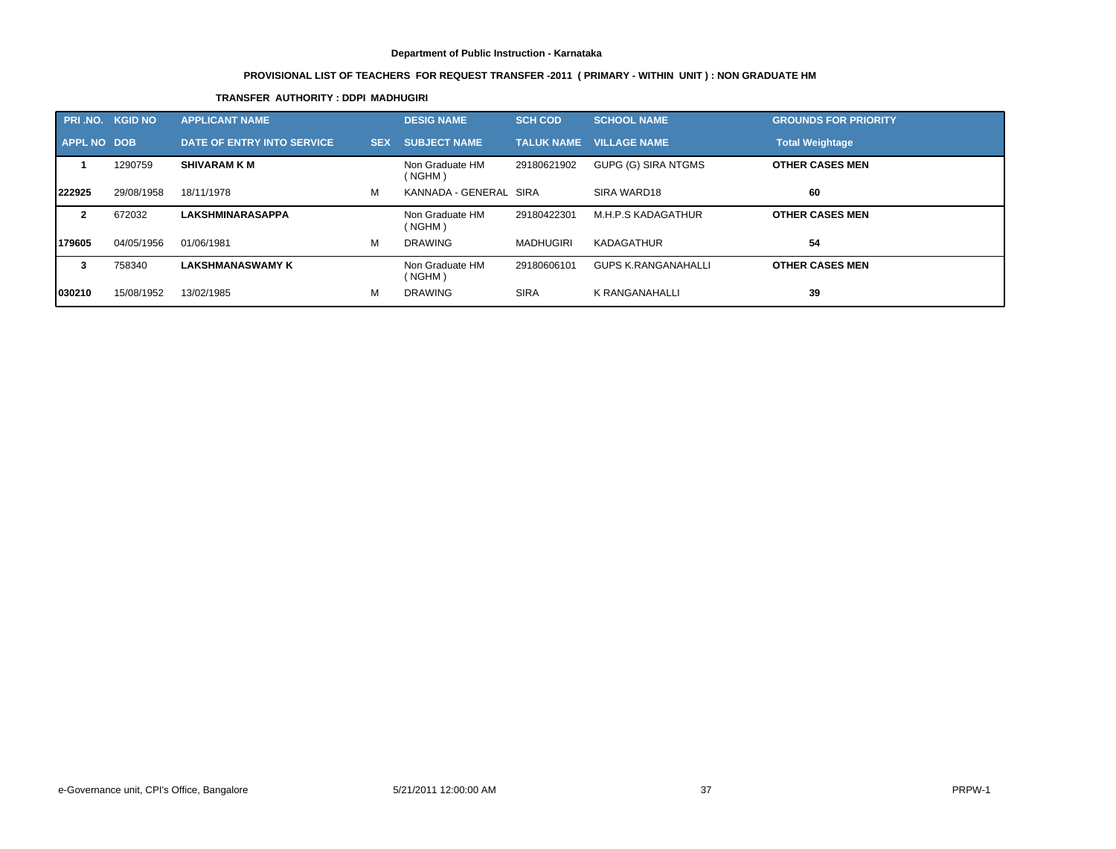# **PROVISIONAL LIST OF TEACHERS FOR REQUEST TRANSFER -2011 ( PRIMARY - WITHIN UNIT ) : NON GRADUATE HM**

# **TRANSFER AUTHORITY : DDPI MADHUGIRI**

| <b>PRI .NO.</b>    | <b>KGID NO</b> | <b>APPLICANT NAME</b>      |            | <b>DESIG NAME</b>         | <b>SCH COD</b>    | <b>SCHOOL NAME</b>  | <b>GROUNDS FOR PRIORITY</b> |
|--------------------|----------------|----------------------------|------------|---------------------------|-------------------|---------------------|-----------------------------|
| <b>APPL NO DOB</b> |                | DATE OF ENTRY INTO SERVICE | <b>SEX</b> | <b>SUBJECT NAME</b>       | <b>TALUK NAME</b> | <b>VILLAGE NAME</b> | <b>Total Weightage</b>      |
|                    | 1290759        | <b>SHIVARAM K M</b>        |            | Non Graduate HM<br>(NGHM) | 29180621902       | GUPG (G) SIRA NTGMS | <b>OTHER CASES MEN</b>      |
| 222925             | 29/08/1958     | 18/11/1978                 | м          | KANNADA - GENERAL SIRA    |                   | SIRA WARD18         | 60                          |
|                    | 672032         | <b>LAKSHMINARASAPPA</b>    |            | Non Graduate HM<br>(NGHM) | 29180422301       | M.H.P.S KADAGATHUR  | <b>OTHER CASES MEN</b>      |
| 179605             | 04/05/1956     | 01/06/1981                 | М          | <b>DRAWING</b>            | <b>MADHUGIRI</b>  | KADAGATHUR          | 54                          |
| 3                  | 758340         | <b>LAKSHMANASWAMY K</b>    |            | Non Graduate HM<br>(NGHM) | 29180606101       | GUPS K.RANGANAHALLI | <b>OTHER CASES MEN</b>      |
| 1030210            | 15/08/1952     | 13/02/1985                 | м          | <b>DRAWING</b>            | <b>SIRA</b>       | K RANGANAHALLI      | 39                          |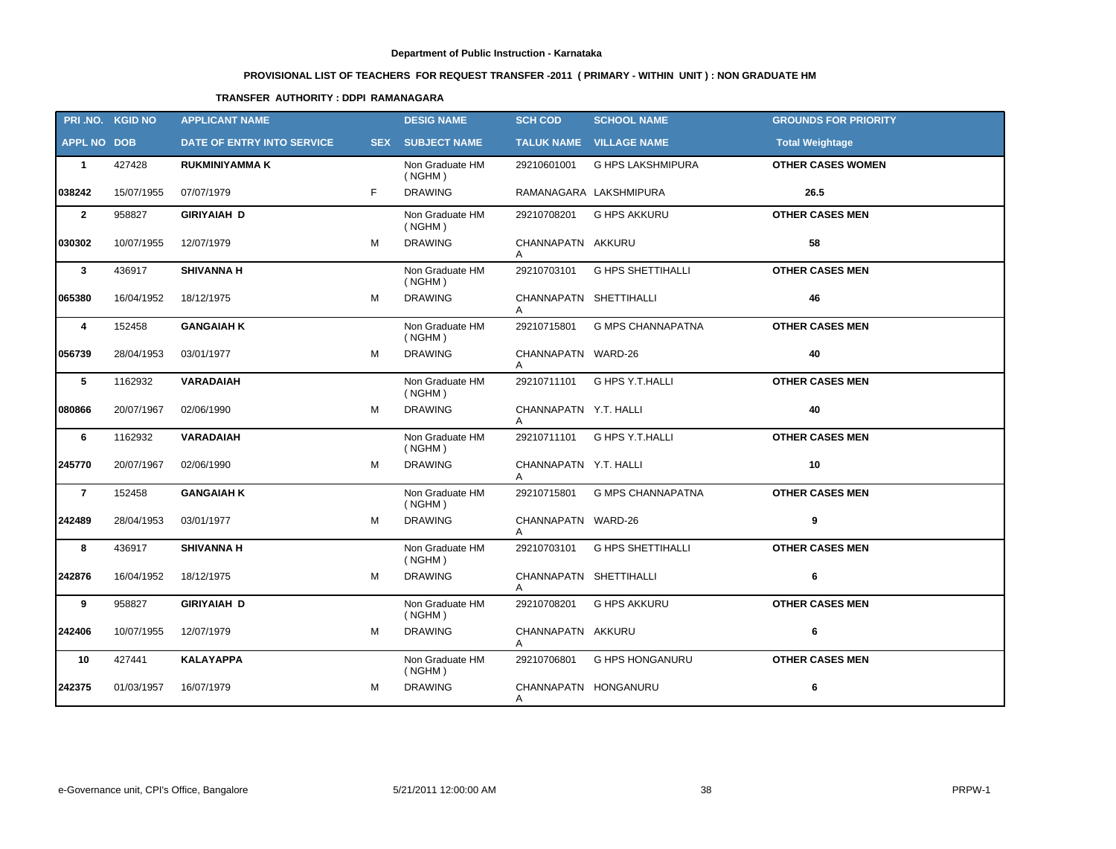# **PROVISIONAL LIST OF TEACHERS FOR REQUEST TRANSFER -2011 ( PRIMARY - WITHIN UNIT ) : NON GRADUATE HM**

# **TRANSFER AUTHORITY : DDPI RAMANAGARA**

|                    | PRI.NO. KGID NO | <b>APPLICANT NAME</b>      |   | <b>DESIG NAME</b>          | <b>SCH COD</b>              | <b>SCHOOL NAME</b>          | <b>GROUNDS FOR PRIORITY</b> |
|--------------------|-----------------|----------------------------|---|----------------------------|-----------------------------|-----------------------------|-----------------------------|
| <b>APPL NO DOB</b> |                 | DATE OF ENTRY INTO SERVICE |   | <b>SEX SUBJECT NAME</b>    |                             | TALUK NAME VILLAGE NAME     | <b>Total Weightage</b>      |
| $\mathbf{1}$       | 427428          | <b>RUKMINIYAMMA K</b>      |   | Non Graduate HM<br>( NGHM) | 29210601001                 | <b>G HPS LAKSHMIPURA</b>    | <b>OTHER CASES WOMEN</b>    |
| 038242             | 15/07/1955      | 07/07/1979                 | F | <b>DRAWING</b>             |                             | RAMANAGARA LAKSHMIPURA      | 26.5                        |
| $\overline{2}$     | 958827          | <b>GIRIYAIAH D</b>         |   | Non Graduate HM<br>( NGHM) | 29210708201                 | <b>G HPS AKKURU</b>         | <b>OTHER CASES MEN</b>      |
| 030302             | 10/07/1955      | 12/07/1979                 | М | <b>DRAWING</b>             | CHANNAPATN AKKURU           |                             | 58                          |
| $\mathbf{3}$       | 436917          | <b>SHIVANNA H</b>          |   | Non Graduate HM<br>( NGHM) | 29210703101                 | <b>G HPS SHETTIHALLI</b>    | <b>OTHER CASES MEN</b>      |
| 065380             | 16/04/1952      | 18/12/1975                 | M | <b>DRAWING</b>             | CHANNAPATN SHETTIHALLI      |                             | 46                          |
| 4                  | 152458          | <b>GANGAIAH K</b>          |   | Non Graduate HM<br>( NGHM) | 29210715801                 | <b>G MPS CHANNAPATNA</b>    | <b>OTHER CASES MEN</b>      |
| 056739             | 28/04/1953      | 03/01/1977                 | M | <b>DRAWING</b>             | CHANNAPATN WARD-26<br>A     |                             | 40                          |
| $\sqrt{5}$         | 1162932         | <b>VARADAIAH</b>           |   | Non Graduate HM<br>( NGHM) | 29210711101                 | G HPS Y.T.HALLI             | <b>OTHER CASES MEN</b>      |
| 080866             | 20/07/1967      | 02/06/1990                 | M | <b>DRAWING</b>             | CHANNAPATN Y.T. HALLI<br>A  |                             | 40                          |
| 6                  | 1162932         | VARADAIAH                  |   | Non Graduate HM<br>( NGHM) |                             | 29210711101 G HPS Y.T.HALLI | <b>OTHER CASES MEN</b>      |
| 245770             | 20/07/1967      | 02/06/1990                 | M | <b>DRAWING</b>             | CHANNAPATN Y.T. HALLI<br>Α  |                             | 10                          |
| $\overline{7}$     | 152458          | <b>GANGAIAH K</b>          |   | Non Graduate HM<br>( NGHM) | 29210715801                 | <b>G MPS CHANNAPATNA</b>    | <b>OTHER CASES MEN</b>      |
| 242489             | 28/04/1953      | 03/01/1977                 | M | <b>DRAWING</b>             | CHANNAPATN WARD-26<br>A     |                             | 9                           |
| 8                  | 436917          | <b>SHIVANNA H</b>          |   | Non Graduate HM<br>( NGHM) | 29210703101                 | <b>G HPS SHETTIHALLI</b>    | <b>OTHER CASES MEN</b>      |
| 242876             | 16/04/1952      | 18/12/1975                 | M | <b>DRAWING</b>             | CHANNAPATN SHETTIHALLI<br>A |                             | 6                           |
| 9                  | 958827          | <b>GIRIYAIAH D</b>         |   | Non Graduate HM<br>( NGHM) | 29210708201                 | <b>G HPS AKKURU</b>         | <b>OTHER CASES MEN</b>      |
| 242406             | 10/07/1955      | 12/07/1979                 | М | <b>DRAWING</b>             | CHANNAPATN AKKURU<br>A      |                             | 6                           |
| 10                 | 427441          | <b>KALAYAPPA</b>           |   | Non Graduate HM<br>(NGHM)  | 29210706801                 | <b>G HPS HONGANURU</b>      | <b>OTHER CASES MEN</b>      |
| 242375             | 01/03/1957      | 16/07/1979                 | M | <b>DRAWING</b>             | CHANNAPATN HONGANURU<br>Α   |                             | 6                           |